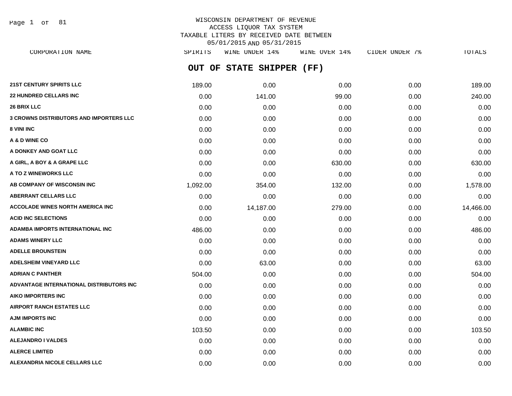Page 1 of 81

# WISCONSIN DEPARTMENT OF REVENUE ACCESS LIQUOR TAX SYSTEM TAXABLE LITERS BY RECEIVED DATE BETWEEN 05/01/2015 AND 05/31/2015 CORPORATION NAME SPIRITS WINE UNDER 14% WINE OVER 14% CIDER UNDER 7% TOTALS

**OUT OF STATE SHIPPER (FF) 21ST CENTURY SPIRITS LLC** 189.00 0.00 0.00 0.00 189.00 **22 HUNDRED CELLARS INC** 0.00 141.00 99.00 0.00 240.00 **26 BRIX LLC** 0.00 0.00 0.00 0.00 0.00 **3 CROWNS DISTRIBUTORS AND IMPORTERS LLC** 0.00 0.00 0.00 0.00 0.00 **8 VINI INC** 0.00 0.00 0.00 0.00 0.00 **A & D WINE CO** 0.00 0.00 0.00 0.00 0.00 **A DONKEY AND GOAT LLC** 0.00 0.00 0.00 0.00 0.00 **A GIRL, A BOY & A GRAPE LLC** 0.00 0.00 630.00 0.00 630.00 **A TO Z WINEWORKS LLC** 0.00 0.00 0.00 0.00 0.00 **AB COMPANY OF WISCONSIN INC** 1,092.00 354.00 132.00 0.00 1,578.00 **ABERRANT CELLARS LLC** 0.00 0.00 0.00 0.00 0.00 **ACCOLADE WINES NORTH AMERICA INC** 0.00 14,187.00 279.00 0.00 14,466.00 **ACID INC SELECTIONS** 0.00 0.00 0.00 0.00 0.00 **ADAMBA IMPORTS INTERNATIONAL INC** 486.00 0.00 0.00 0.00 486.00 **ADAMS WINERY LLC** 0.00 0.00 0.00 0.00 0.00 **ADELLE BROUNSTEIN** 0.00 0.00 0.00 0.00 0.00 **ADELSHEIM VINEYARD LLC** 0.00 63.00 0.00 0.00 63.00 **ADRIAN C PANTHER** 504.00 0.00 0.00 0.00 504.00 **ADVANTAGE INTERNATIONAL DISTRIBUTORS INC** 0.00 0.00 0.00 0.00 0.00 **AIKO IMPORTERS INC** 0.00 0.00 0.00 0.00 0.00 **AIRPORT RANCH ESTATES LLC** 0.00 0.00 0.00 0.00 0.00 **AJM IMPORTS INC** 0.00 0.00 0.00 0.00 0.00 **ALAMBIC INC** 103.50 **103.50 103.50 103.50 0.00 0.00 0.00 0.00 0.00 103.50 ALEJANDRO I VALDES** 0.00 0.00 0.00 0.00 0.00

**ALERCE LIMITED** 0.00 0.00 0.00 0.00 0.00 **ALEXANDRIA NICOLE CELLARS LLC** 0.00 0.00 0.00 0.00 0.00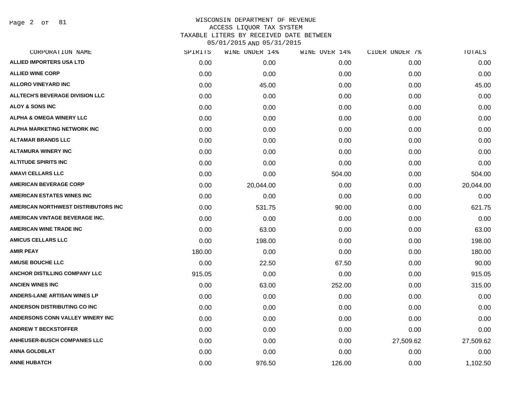Page 2 of 81

| CORPORATION NAME                       | SPIRITS | WINE UNDER 14% | WINE OVER 14% | CIDER UNDER 7% | TOTALS    |
|----------------------------------------|---------|----------------|---------------|----------------|-----------|
| <b>ALLIED IMPORTERS USA LTD</b>        | 0.00    | 0.00           | 0.00          | 0.00           | 0.00      |
| <b>ALLIED WINE CORP</b>                | 0.00    | 0.00           | 0.00          | 0.00           | 0.00      |
| <b>ALLORO VINEYARD INC</b>             | 0.00    | 45.00          | 0.00          | 0.00           | 45.00     |
| <b>ALLTECH'S BEVERAGE DIVISION LLC</b> | 0.00    | 0.00           | 0.00          | 0.00           | 0.00      |
| <b>ALOY &amp; SONS INC</b>             | 0.00    | 0.00           | 0.00          | 0.00           | 0.00      |
| ALPHA & OMEGA WINERY LLC               | 0.00    | 0.00           | 0.00          | 0.00           | 0.00      |
| ALPHA MARKETING NETWORK INC            | 0.00    | 0.00           | 0.00          | 0.00           | 0.00      |
| <b>ALTAMAR BRANDS LLC</b>              | 0.00    | 0.00           | 0.00          | 0.00           | 0.00      |
| <b>ALTAMURA WINERY INC</b>             | 0.00    | 0.00           | 0.00          | 0.00           | 0.00      |
| <b>ALTITUDE SPIRITS INC</b>            | 0.00    | 0.00           | 0.00          | 0.00           | 0.00      |
| <b>AMAVI CELLARS LLC</b>               | 0.00    | 0.00           | 504.00        | 0.00           | 504.00    |
| <b>AMERICAN BEVERAGE CORP</b>          | 0.00    | 20,044.00      | 0.00          | 0.00           | 20,044.00 |
| <b>AMERICAN ESTATES WINES INC</b>      | 0.00    | 0.00           | 0.00          | 0.00           | 0.00      |
| AMERICAN NORTHWEST DISTRIBUTORS INC    | 0.00    | 531.75         | 90.00         | 0.00           | 621.75    |
| AMERICAN VINTAGE BEVERAGE INC.         | 0.00    | 0.00           | 0.00          | 0.00           | 0.00      |
| <b>AMERICAN WINE TRADE INC</b>         | 0.00    | 63.00          | 0.00          | 0.00           | 63.00     |
| <b>AMICUS CELLARS LLC</b>              | 0.00    | 198.00         | 0.00          | 0.00           | 198.00    |
| <b>AMIR PEAY</b>                       | 180.00  | 0.00           | 0.00          | 0.00           | 180.00    |
| <b>AMUSE BOUCHE LLC</b>                | 0.00    | 22.50          | 67.50         | 0.00           | 90.00     |
| <b>ANCHOR DISTILLING COMPANY LLC</b>   | 915.05  | 0.00           | 0.00          | 0.00           | 915.05    |
| <b>ANCIEN WINES INC</b>                | 0.00    | 63.00          | 252.00        | 0.00           | 315.00    |
| ANDERS-LANE ARTISAN WINES LP           | 0.00    | 0.00           | 0.00          | 0.00           | 0.00      |
| <b>ANDERSON DISTRIBUTING CO INC</b>    | 0.00    | 0.00           | 0.00          | 0.00           | 0.00      |
| ANDERSONS CONN VALLEY WINERY INC       | 0.00    | 0.00           | 0.00          | 0.00           | 0.00      |
| <b>ANDREW T BECKSTOFFER</b>            | 0.00    | 0.00           | 0.00          | 0.00           | 0.00      |
| <b>ANHEUSER-BUSCH COMPANIES LLC</b>    | 0.00    | 0.00           | 0.00          | 27,509.62      | 27,509.62 |
| <b>ANNA GOLDBLAT</b>                   | 0.00    | 0.00           | 0.00          | 0.00           | 0.00      |
| <b>ANNE HUBATCH</b>                    | 0.00    | 976.50         | 126.00        | 0.00           | 1,102.50  |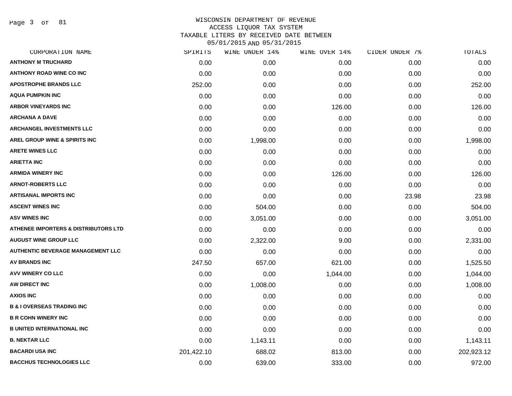Page 3 of 81

| SPIRITS    | WINE UNDER 14% |          |               | TOTALS         |
|------------|----------------|----------|---------------|----------------|
| 0.00       | 0.00           | 0.00     | 0.00          | 0.00           |
| 0.00       | 0.00           | 0.00     | 0.00          | 0.00           |
| 252.00     | 0.00           | 0.00     | 0.00          | 252.00         |
| 0.00       | 0.00           | 0.00     | 0.00          | 0.00           |
| 0.00       | 0.00           | 126.00   | 0.00          | 126.00         |
| 0.00       | 0.00           | 0.00     | 0.00          | 0.00           |
| 0.00       | 0.00           | 0.00     | 0.00          | 0.00           |
| 0.00       | 1,998.00       | 0.00     | 0.00          | 1,998.00       |
| 0.00       | 0.00           | 0.00     | 0.00          | 0.00           |
| 0.00       | 0.00           | 0.00     | 0.00          | 0.00           |
| 0.00       | 0.00           | 126.00   | 0.00          | 126.00         |
| 0.00       | 0.00           | 0.00     | 0.00          | 0.00           |
| 0.00       | 0.00           | 0.00     | 23.98         | 23.98          |
| 0.00       | 504.00         | 0.00     | 0.00          | 504.00         |
| 0.00       | 3,051.00       | 0.00     | 0.00          | 3,051.00       |
| 0.00       | 0.00           | 0.00     | 0.00          | 0.00           |
| 0.00       | 2,322.00       | 9.00     | 0.00          | 2,331.00       |
| 0.00       | 0.00           | 0.00     | 0.00          | 0.00           |
| 247.50     | 657.00         | 621.00   | 0.00          | 1,525.50       |
| 0.00       | 0.00           | 1,044.00 | 0.00          | 1,044.00       |
| 0.00       | 1,008.00       | 0.00     | 0.00          | 1,008.00       |
| 0.00       | 0.00           | 0.00     | 0.00          | 0.00           |
| 0.00       | 0.00           | 0.00     | 0.00          | 0.00           |
| 0.00       | 0.00           | 0.00     | 0.00          | 0.00           |
| 0.00       | 0.00           | 0.00     | 0.00          | 0.00           |
| 0.00       | 1,143.11       | 0.00     | 0.00          | 1,143.11       |
| 201,422.10 | 688.02         | 813.00   | 0.00          | 202,923.12     |
| 0.00       | 639.00         | 333.00   | 0.00          | 972.00         |
|            |                |          | WINE OVER 14% | CIDER UNDER 7% |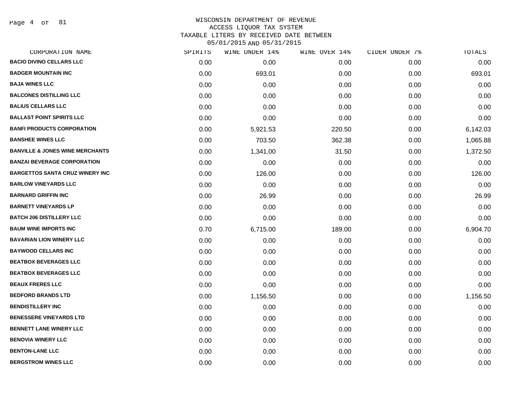Page 4 of 81

# WISCONSIN DEPARTMENT OF REVENUE ACCESS LIQUOR TAX SYSTEM TAXABLE LITERS BY RECEIVED DATE BETWEEN

| CORPORATION NAME                           | SPIRITS | WINE UNDER 14% | WINE OVER 14% | CIDER UNDER 7% | TOTALS   |
|--------------------------------------------|---------|----------------|---------------|----------------|----------|
| <b>BACIO DIVINO CELLARS LLC</b>            | 0.00    | 0.00           | 0.00          | 0.00           | 0.00     |
| <b>BADGER MOUNTAIN INC</b>                 | 0.00    | 693.01         | 0.00          | 0.00           | 693.01   |
| <b>BAJA WINES LLC</b>                      | 0.00    | 0.00           | 0.00          | 0.00           | 0.00     |
| <b>BALCONES DISTILLING LLC</b>             | 0.00    | 0.00           | 0.00          | 0.00           | 0.00     |
| <b>BALIUS CELLARS LLC</b>                  | 0.00    | 0.00           | 0.00          | 0.00           | 0.00     |
| <b>BALLAST POINT SPIRITS LLC</b>           | 0.00    | 0.00           | 0.00          | 0.00           | 0.00     |
| <b>BANFI PRODUCTS CORPORATION</b>          | 0.00    | 5,921.53       | 220.50        | 0.00           | 6,142.03 |
| <b>BANSHEE WINES LLC</b>                   | 0.00    | 703.50         | 362.38        | 0.00           | 1,065.88 |
| <b>BANVILLE &amp; JONES WINE MERCHANTS</b> | 0.00    | 1,341.00       | 31.50         | 0.00           | 1,372.50 |
| <b>BANZAI BEVERAGE CORPORATION</b>         | 0.00    | 0.00           | 0.00          | 0.00           | 0.00     |
| <b>BARGETTOS SANTA CRUZ WINERY INC</b>     | 0.00    | 126.00         | 0.00          | 0.00           | 126.00   |
| <b>BARLOW VINEYARDS LLC</b>                | 0.00    | 0.00           | 0.00          | 0.00           | 0.00     |
| <b>BARNARD GRIFFIN INC</b>                 | 0.00    | 26.99          | 0.00          | 0.00           | 26.99    |
| <b>BARNETT VINEYARDS LP</b>                | 0.00    | 0.00           | 0.00          | 0.00           | 0.00     |
| <b>BATCH 206 DISTILLERY LLC</b>            | 0.00    | 0.00           | 0.00          | 0.00           | 0.00     |
| <b>BAUM WINE IMPORTS INC</b>               | 0.70    | 6,715.00       | 189.00        | 0.00           | 6,904.70 |
| <b>BAVARIAN LION WINERY LLC</b>            | 0.00    | 0.00           | 0.00          | 0.00           | 0.00     |
| <b>BAYWOOD CELLARS INC</b>                 | 0.00    | 0.00           | 0.00          | 0.00           | 0.00     |
| <b>BEATBOX BEVERAGES LLC</b>               | 0.00    | 0.00           | 0.00          | 0.00           | 0.00     |
| <b>BEATBOX BEVERAGES LLC</b>               | 0.00    | 0.00           | 0.00          | 0.00           | 0.00     |
| <b>BEAUX FRERES LLC</b>                    | 0.00    | 0.00           | 0.00          | 0.00           | 0.00     |
| <b>BEDFORD BRANDS LTD</b>                  | 0.00    | 1,156.50       | 0.00          | 0.00           | 1,156.50 |
| <b>BENDISTILLERY INC</b>                   | 0.00    | 0.00           | 0.00          | 0.00           | 0.00     |
| <b>BENESSERE VINEYARDS LTD</b>             | 0.00    | 0.00           | 0.00          | 0.00           | 0.00     |
| <b>BENNETT LANE WINERY LLC</b>             | 0.00    | 0.00           | 0.00          | 0.00           | 0.00     |
| <b>BENOVIA WINERY LLC</b>                  | 0.00    | 0.00           | 0.00          | 0.00           | 0.00     |
| <b>BENTON-LANE LLC</b>                     | 0.00    | 0.00           | 0.00          | 0.00           | 0.00     |
| <b>BERGSTROM WINES LLC</b>                 | 0.00    | 0.00           | 0.00          | 0.00           | 0.00     |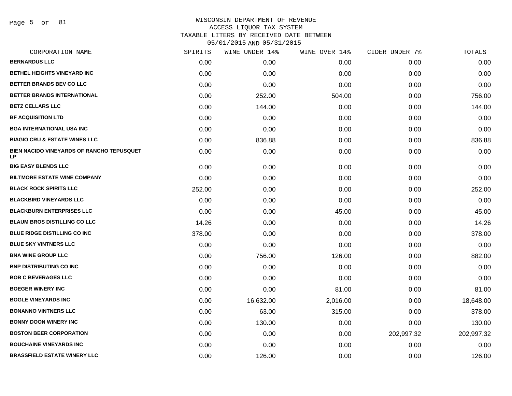Page 5 of 81

| CORPORATION NAME                                       | SPIRITS | WINE UNDER 14% | WINE OVER 14% | CIDER UNDER 7% | TOTALS     |
|--------------------------------------------------------|---------|----------------|---------------|----------------|------------|
| <b>BERNARDUS LLC</b>                                   | 0.00    | 0.00           | 0.00          | 0.00           | 0.00       |
| <b>BETHEL HEIGHTS VINEYARD INC</b>                     | 0.00    | 0.00           | 0.00          | 0.00           | 0.00       |
| <b>BETTER BRANDS BEV CO LLC</b>                        | 0.00    | 0.00           | 0.00          | 0.00           | 0.00       |
| BETTER BRANDS INTERNATIONAL                            | 0.00    | 252.00         | 504.00        | 0.00           | 756.00     |
| <b>BETZ CELLARS LLC</b>                                | 0.00    | 144.00         | 0.00          | 0.00           | 144.00     |
| <b>BF ACQUISITION LTD</b>                              | 0.00    | 0.00           | 0.00          | 0.00           | 0.00       |
| <b>BGA INTERNATIONAL USA INC</b>                       | 0.00    | 0.00           | 0.00          | 0.00           | 0.00       |
| <b>BIAGIO CRU &amp; ESTATE WINES LLC</b>               | 0.00    | 836.88         | 0.00          | 0.00           | 836.88     |
| BIEN NACIDO VINEYARDS OF RANCHO TEPUSQUET<br><b>LP</b> | 0.00    | 0.00           | 0.00          | 0.00           | 0.00       |
| <b>BIG EASY BLENDS LLC</b>                             | 0.00    | 0.00           | 0.00          | 0.00           | 0.00       |
| <b>BILTMORE ESTATE WINE COMPANY</b>                    | 0.00    | 0.00           | 0.00          | 0.00           | 0.00       |
| <b>BLACK ROCK SPIRITS LLC</b>                          | 252.00  | 0.00           | 0.00          | 0.00           | 252.00     |
| <b>BLACKBIRD VINEYARDS LLC</b>                         | 0.00    | 0.00           | 0.00          | 0.00           | 0.00       |
| <b>BLACKBURN ENTERPRISES LLC</b>                       | 0.00    | 0.00           | 45.00         | 0.00           | 45.00      |
| <b>BLAUM BROS DISTILLING CO LLC</b>                    | 14.26   | 0.00           | 0.00          | 0.00           | 14.26      |
| <b>BLUE RIDGE DISTILLING CO INC</b>                    | 378.00  | 0.00           | 0.00          | 0.00           | 378.00     |
| <b>BLUE SKY VINTNERS LLC</b>                           | 0.00    | 0.00           | 0.00          | 0.00           | 0.00       |
| <b>BNA WINE GROUP LLC</b>                              | 0.00    | 756.00         | 126.00        | 0.00           | 882.00     |
| <b>BNP DISTRIBUTING CO INC</b>                         | 0.00    | 0.00           | 0.00          | 0.00           | 0.00       |
| <b>BOB C BEVERAGES LLC</b>                             | 0.00    | 0.00           | 0.00          | 0.00           | 0.00       |
| <b>BOEGER WINERY INC</b>                               | 0.00    | 0.00           | 81.00         | 0.00           | 81.00      |
| <b>BOGLE VINEYARDS INC</b>                             | 0.00    | 16,632.00      | 2,016.00      | 0.00           | 18,648.00  |
| <b>BONANNO VINTNERS LLC</b>                            | 0.00    | 63.00          | 315.00        | 0.00           | 378.00     |
| <b>BONNY DOON WINERY INC</b>                           | 0.00    | 130.00         | 0.00          | 0.00           | 130.00     |
| <b>BOSTON BEER CORPORATION</b>                         | 0.00    | 0.00           | 0.00          | 202,997.32     | 202,997.32 |
| <b>BOUCHAINE VINEYARDS INC</b>                         | 0.00    | 0.00           | 0.00          | 0.00           | 0.00       |
| <b>BRASSFIELD ESTATE WINERY LLC</b>                    | 0.00    | 126.00         | 0.00          | 0.00           | 126.00     |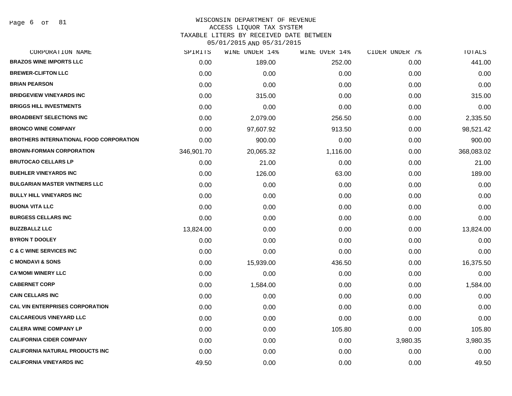Page 6 of 81

# WISCONSIN DEPARTMENT OF REVENUE

# ACCESS LIQUOR TAX SYSTEM

TAXABLE LITERS BY RECEIVED DATE BETWEEN

| CORPORATION NAME                               | SPIRITS    | WINE UNDER 14% | WINE OVER 14% | CIDER UNDER 7% | TOTALS     |
|------------------------------------------------|------------|----------------|---------------|----------------|------------|
| <b>BRAZOS WINE IMPORTS LLC</b>                 | 0.00       | 189.00         | 252.00        | 0.00           | 441.00     |
| <b>BREWER-CLIFTON LLC</b>                      | 0.00       | 0.00           | 0.00          | 0.00           | 0.00       |
| <b>BRIAN PEARSON</b>                           | 0.00       | 0.00           | 0.00          | 0.00           | 0.00       |
| <b>BRIDGEVIEW VINEYARDS INC</b>                | 0.00       | 315.00         | 0.00          | 0.00           | 315.00     |
| <b>BRIGGS HILL INVESTMENTS</b>                 | 0.00       | 0.00           | 0.00          | 0.00           | 0.00       |
| <b>BROADBENT SELECTIONS INC</b>                | 0.00       | 2,079.00       | 256.50        | 0.00           | 2,335.50   |
| <b>BRONCO WINE COMPANY</b>                     | 0.00       | 97,607.92      | 913.50        | 0.00           | 98,521.42  |
| <b>BROTHERS INTERNATIONAL FOOD CORPORATION</b> | 0.00       | 900.00         | 0.00          | 0.00           | 900.00     |
| <b>BROWN-FORMAN CORPORATION</b>                | 346,901.70 | 20,065.32      | 1,116.00      | 0.00           | 368,083.02 |
| <b>BRUTOCAO CELLARS LP</b>                     | 0.00       | 21.00          | 0.00          | 0.00           | 21.00      |
| <b>BUEHLER VINEYARDS INC</b>                   | 0.00       | 126.00         | 63.00         | 0.00           | 189.00     |
| <b>BULGARIAN MASTER VINTNERS LLC</b>           | 0.00       | 0.00           | 0.00          | 0.00           | 0.00       |
| <b>BULLY HILL VINEYARDS INC</b>                | 0.00       | 0.00           | 0.00          | 0.00           | 0.00       |
| <b>BUONA VITA LLC</b>                          | 0.00       | 0.00           | 0.00          | 0.00           | 0.00       |
| <b>BURGESS CELLARS INC</b>                     | 0.00       | 0.00           | 0.00          | 0.00           | 0.00       |
| <b>BUZZBALLZ LLC</b>                           | 13,824.00  | 0.00           | 0.00          | 0.00           | 13,824.00  |
| <b>BYRON T DOOLEY</b>                          | 0.00       | 0.00           | 0.00          | 0.00           | 0.00       |
| <b>C &amp; C WINE SERVICES INC</b>             | 0.00       | 0.00           | 0.00          | 0.00           | 0.00       |
| <b>C MONDAVI &amp; SONS</b>                    | 0.00       | 15,939.00      | 436.50        | 0.00           | 16,375.50  |
| <b>CA'MOMI WINERY LLC</b>                      | 0.00       | 0.00           | 0.00          | 0.00           | 0.00       |
| <b>CABERNET CORP</b>                           | 0.00       | 1,584.00       | 0.00          | 0.00           | 1,584.00   |
| <b>CAIN CELLARS INC</b>                        | 0.00       | 0.00           | 0.00          | 0.00           | 0.00       |
| <b>CAL VIN ENTERPRISES CORPORATION</b>         | 0.00       | 0.00           | 0.00          | 0.00           | 0.00       |
| <b>CALCAREOUS VINEYARD LLC</b>                 | 0.00       | 0.00           | 0.00          | 0.00           | 0.00       |
| <b>CALERA WINE COMPANY LP</b>                  | 0.00       | 0.00           | 105.80        | 0.00           | 105.80     |
| <b>CALIFORNIA CIDER COMPANY</b>                | 0.00       | 0.00           | 0.00          | 3,980.35       | 3,980.35   |
| <b>CALIFORNIA NATURAL PRODUCTS INC</b>         | 0.00       | 0.00           | 0.00          | 0.00           | 0.00       |
| <b>CALIFORNIA VINEYARDS INC</b>                | 49.50      | 0.00           | 0.00          | 0.00           | 49.50      |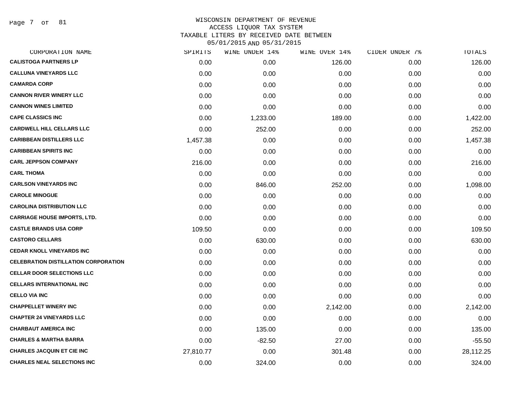Page 7 of 81

| CORPORATION NAME                            | SPIRITS   | WINE UNDER 14% | WINE OVER 14% | CIDER UNDER 7% | TOTALS    |
|---------------------------------------------|-----------|----------------|---------------|----------------|-----------|
| <b>CALISTOGA PARTNERS LP</b>                | 0.00      | 0.00           | 126.00        | 0.00           | 126.00    |
| <b>CALLUNA VINEYARDS LLC</b>                | 0.00      | 0.00           | 0.00          | 0.00           | 0.00      |
| <b>CAMARDA CORP</b>                         | 0.00      | 0.00           | 0.00          | 0.00           | 0.00      |
| <b>CANNON RIVER WINERY LLC</b>              | 0.00      | 0.00           | 0.00          | 0.00           | 0.00      |
| <b>CANNON WINES LIMITED</b>                 | 0.00      | 0.00           | 0.00          | 0.00           | 0.00      |
| <b>CAPE CLASSICS INC</b>                    | 0.00      | 1,233.00       | 189.00        | 0.00           | 1,422.00  |
| <b>CARDWELL HILL CELLARS LLC</b>            | 0.00      | 252.00         | 0.00          | 0.00           | 252.00    |
| <b>CARIBBEAN DISTILLERS LLC</b>             | 1,457.38  | 0.00           | 0.00          | 0.00           | 1,457.38  |
| <b>CARIBBEAN SPIRITS INC</b>                | 0.00      | 0.00           | 0.00          | 0.00           | 0.00      |
| <b>CARL JEPPSON COMPANY</b>                 | 216.00    | 0.00           | 0.00          | 0.00           | 216.00    |
| <b>CARL THOMA</b>                           | 0.00      | 0.00           | 0.00          | 0.00           | 0.00      |
| <b>CARLSON VINEYARDS INC</b>                | 0.00      | 846.00         | 252.00        | 0.00           | 1,098.00  |
| <b>CAROLE MINOGUE</b>                       | 0.00      | 0.00           | 0.00          | 0.00           | 0.00      |
| <b>CAROLINA DISTRIBUTION LLC</b>            | 0.00      | 0.00           | 0.00          | 0.00           | 0.00      |
| <b>CARRIAGE HOUSE IMPORTS, LTD.</b>         | 0.00      | 0.00           | 0.00          | 0.00           | 0.00      |
| <b>CASTLE BRANDS USA CORP</b>               | 109.50    | 0.00           | 0.00          | 0.00           | 109.50    |
| <b>CASTORO CELLARS</b>                      | 0.00      | 630.00         | 0.00          | 0.00           | 630.00    |
| <b>CEDAR KNOLL VINEYARDS INC</b>            | 0.00      | 0.00           | 0.00          | 0.00           | 0.00      |
| <b>CELEBRATION DISTILLATION CORPORATION</b> | 0.00      | 0.00           | 0.00          | 0.00           | 0.00      |
| <b>CELLAR DOOR SELECTIONS LLC</b>           | 0.00      | 0.00           | 0.00          | 0.00           | 0.00      |
| <b>CELLARS INTERNATIONAL INC</b>            | 0.00      | 0.00           | 0.00          | 0.00           | 0.00      |
| <b>CELLO VIA INC</b>                        | 0.00      | 0.00           | 0.00          | 0.00           | 0.00      |
| <b>CHAPPELLET WINERY INC</b>                | 0.00      | 0.00           | 2,142.00      | 0.00           | 2,142.00  |
| <b>CHAPTER 24 VINEYARDS LLC</b>             | 0.00      | 0.00           | 0.00          | 0.00           | 0.00      |
| <b>CHARBAUT AMERICA INC</b>                 | 0.00      | 135.00         | 0.00          | 0.00           | 135.00    |
| <b>CHARLES &amp; MARTHA BARRA</b>           | 0.00      | $-82.50$       | 27.00         | 0.00           | $-55.50$  |
| <b>CHARLES JACQUIN ET CIE INC</b>           | 27,810.77 | 0.00           | 301.48        | 0.00           | 28,112.25 |
| <b>CHARLES NEAL SELECTIONS INC</b>          | 0.00      | 324.00         | 0.00          | 0.00           | 324.00    |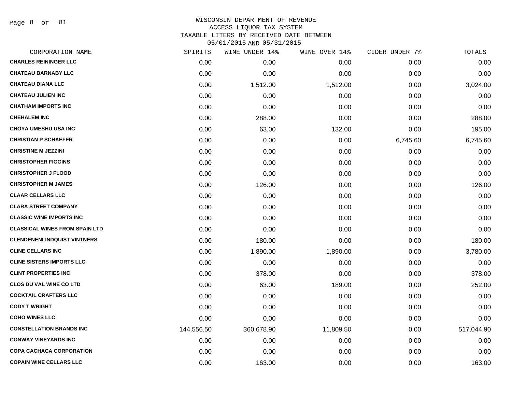Page 8 of 81

### WISCONSIN DEPARTMENT OF REVENUE ACCESS LIQUOR TAX SYSTEM TAXABLE LITERS BY RECEIVED DATE BETWEEN

| CORPORATION NAME                      | SPIRITS    | WINE UNDER 14% | WINE OVER 14% | CIDER UNDER 7% | TOTALS     |
|---------------------------------------|------------|----------------|---------------|----------------|------------|
| <b>CHARLES REININGER LLC</b>          | 0.00       | 0.00           | 0.00          | 0.00           | 0.00       |
| <b>CHATEAU BARNABY LLC</b>            | 0.00       | 0.00           | 0.00          | 0.00           | 0.00       |
| <b>CHATEAU DIANA LLC</b>              | 0.00       | 1,512.00       | 1,512.00      | 0.00           | 3,024.00   |
| <b>CHATEAU JULIEN INC</b>             | 0.00       | 0.00           | 0.00          | 0.00           | 0.00       |
| <b>CHATHAM IMPORTS INC</b>            | 0.00       | 0.00           | 0.00          | 0.00           | 0.00       |
| <b>CHEHALEM INC</b>                   | 0.00       | 288.00         | 0.00          | 0.00           | 288.00     |
| <b>CHOYA UMESHU USA INC</b>           | 0.00       | 63.00          | 132.00        | 0.00           | 195.00     |
| <b>CHRISTIAN P SCHAEFER</b>           | 0.00       | 0.00           | 0.00          | 6,745.60       | 6,745.60   |
| <b>CHRISTINE M JEZZINI</b>            | 0.00       | 0.00           | 0.00          | 0.00           | 0.00       |
| <b>CHRISTOPHER FIGGINS</b>            | 0.00       | 0.00           | 0.00          | 0.00           | 0.00       |
| <b>CHRISTOPHER J FLOOD</b>            | 0.00       | 0.00           | 0.00          | 0.00           | 0.00       |
| <b>CHRISTOPHER M JAMES</b>            | 0.00       | 126.00         | 0.00          | 0.00           | 126.00     |
| <b>CLAAR CELLARS LLC</b>              | 0.00       | 0.00           | 0.00          | 0.00           | 0.00       |
| <b>CLARA STREET COMPANY</b>           | 0.00       | 0.00           | 0.00          | 0.00           | 0.00       |
| <b>CLASSIC WINE IMPORTS INC</b>       | 0.00       | 0.00           | 0.00          | 0.00           | 0.00       |
| <b>CLASSICAL WINES FROM SPAIN LTD</b> | 0.00       | 0.00           | 0.00          | 0.00           | 0.00       |
| <b>CLENDENENLINDQUIST VINTNERS</b>    | 0.00       | 180.00         | 0.00          | 0.00           | 180.00     |
| <b>CLINE CELLARS INC</b>              | 0.00       | 1,890.00       | 1,890.00      | 0.00           | 3,780.00   |
| <b>CLINE SISTERS IMPORTS LLC</b>      | 0.00       | 0.00           | 0.00          | 0.00           | 0.00       |
| <b>CLINT PROPERTIES INC</b>           | 0.00       | 378.00         | 0.00          | 0.00           | 378.00     |
| <b>CLOS DU VAL WINE CO LTD</b>        | 0.00       | 63.00          | 189.00        | 0.00           | 252.00     |
| <b>COCKTAIL CRAFTERS LLC</b>          | 0.00       | 0.00           | 0.00          | 0.00           | 0.00       |
| <b>CODY T WRIGHT</b>                  | 0.00       | 0.00           | 0.00          | 0.00           | 0.00       |
| <b>COHO WINES LLC</b>                 | 0.00       | 0.00           | 0.00          | 0.00           | 0.00       |
| <b>CONSTELLATION BRANDS INC</b>       | 144,556.50 | 360,678.90     | 11,809.50     | 0.00           | 517,044.90 |
| <b>CONWAY VINEYARDS INC</b>           | 0.00       | 0.00           | 0.00          | 0.00           | 0.00       |
| <b>COPA CACHACA CORPORATION</b>       | 0.00       | 0.00           | 0.00          | 0.00           | 0.00       |
| <b>COPAIN WINE CELLARS LLC</b>        | 0.00       | 163.00         | 0.00          | 0.00           | 163.00     |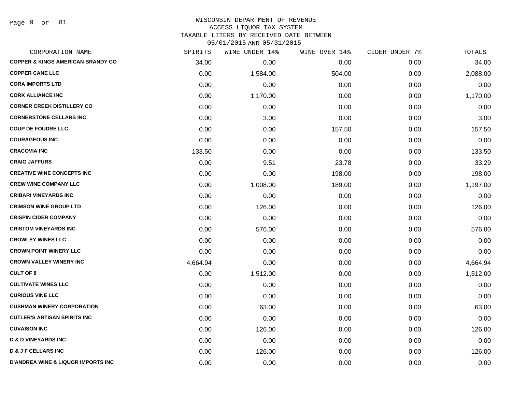Page 9 of 81

### WISCONSIN DEPARTMENT OF REVENUE ACCESS LIQUOR TAX SYSTEM TAXABLE LITERS BY RECEIVED DATE BETWEEN

| CORPORATION NAME                              | SPIRITS  | WINE UNDER 14% | WINE OVER 14% | CIDER UNDER 7% | TOTALS   |
|-----------------------------------------------|----------|----------------|---------------|----------------|----------|
| <b>COPPER &amp; KINGS AMERICAN BRANDY CO</b>  | 34.00    | 0.00           | 0.00          | 0.00           | 34.00    |
| <b>COPPER CANE LLC</b>                        | 0.00     | 1,584.00       | 504.00        | 0.00           | 2,088.00 |
| <b>CORA IMPORTS LTD</b>                       | 0.00     | 0.00           | 0.00          | 0.00           | 0.00     |
| <b>CORK ALLIANCE INC</b>                      | 0.00     | 1,170.00       | 0.00          | 0.00           | 1,170.00 |
| <b>CORNER CREEK DISTILLERY CO</b>             | 0.00     | 0.00           | 0.00          | 0.00           | 0.00     |
| <b>CORNERSTONE CELLARS INC</b>                | 0.00     | 3.00           | 0.00          | 0.00           | 3.00     |
| <b>COUP DE FOUDRE LLC</b>                     | 0.00     | 0.00           | 157.50        | 0.00           | 157.50   |
| <b>COURAGEOUS INC</b>                         | 0.00     | 0.00           | 0.00          | 0.00           | 0.00     |
| <b>CRACOVIA INC</b>                           | 133.50   | 0.00           | 0.00          | 0.00           | 133.50   |
| <b>CRAIG JAFFURS</b>                          | 0.00     | 9.51           | 23.78         | 0.00           | 33.29    |
| <b>CREATIVE WINE CONCEPTS INC</b>             | 0.00     | 0.00           | 198.00        | 0.00           | 198.00   |
| <b>CREW WINE COMPANY LLC</b>                  | 0.00     | 1,008.00       | 189.00        | 0.00           | 1,197.00 |
| <b>CRIBARI VINEYARDS INC</b>                  | 0.00     | 0.00           | 0.00          | 0.00           | 0.00     |
| <b>CRIMSON WINE GROUP LTD</b>                 | 0.00     | 126.00         | 0.00          | 0.00           | 126.00   |
| <b>CRISPIN CIDER COMPANY</b>                  | 0.00     | 0.00           | 0.00          | 0.00           | 0.00     |
| <b>CRISTOM VINEYARDS INC</b>                  | 0.00     | 576.00         | 0.00          | 0.00           | 576.00   |
| <b>CROWLEY WINES LLC</b>                      | 0.00     | 0.00           | 0.00          | 0.00           | 0.00     |
| <b>CROWN POINT WINERY LLC</b>                 | 0.00     | 0.00           | 0.00          | 0.00           | 0.00     |
| <b>CROWN VALLEY WINERY INC</b>                | 4,664.94 | 0.00           | 0.00          | 0.00           | 4,664.94 |
| <b>CULT OF 8</b>                              | 0.00     | 1,512.00       | 0.00          | 0.00           | 1,512.00 |
| <b>CULTIVATE WINES LLC</b>                    | 0.00     | 0.00           | 0.00          | 0.00           | 0.00     |
| <b>CURIOUS VINE LLC</b>                       | 0.00     | 0.00           | 0.00          | 0.00           | 0.00     |
| <b>CUSHMAN WINERY CORPORATION</b>             | 0.00     | 63.00          | 0.00          | 0.00           | 63.00    |
| <b>CUTLER'S ARTISAN SPIRITS INC</b>           | 0.00     | 0.00           | 0.00          | 0.00           | 0.00     |
| <b>CUVAISON INC</b>                           | 0.00     | 126.00         | 0.00          | 0.00           | 126.00   |
| <b>D &amp; D VINEYARDS INC</b>                | 0.00     | 0.00           | 0.00          | 0.00           | 0.00     |
| <b>D &amp; J F CELLARS INC</b>                | 0.00     | 126.00         | 0.00          | 0.00           | 126.00   |
| <b>D'ANDREA WINE &amp; LIQUOR IMPORTS INC</b> | 0.00     | 0.00           | 0.00          | 0.00           | 0.00     |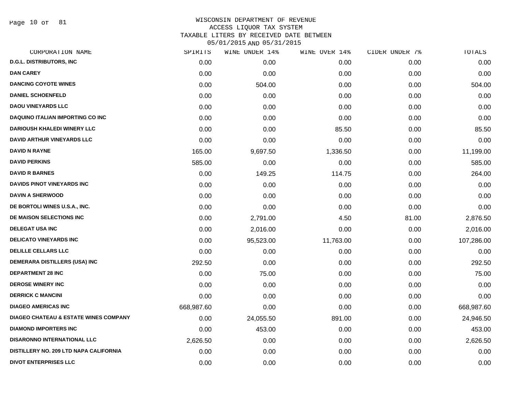Page 10 of 81

| CORPORATION NAME                                 | SPIRITS    | WINE UNDER 14% | WINE OVER 14% | CIDER UNDER 7% | TOTALS     |
|--------------------------------------------------|------------|----------------|---------------|----------------|------------|
| <b>D.G.L. DISTRIBUTORS, INC</b>                  | 0.00       | 0.00           | 0.00          | 0.00           | 0.00       |
| <b>DAN CAREY</b>                                 | 0.00       | 0.00           | 0.00          | 0.00           | 0.00       |
| <b>DANCING COYOTE WINES</b>                      | 0.00       | 504.00         | 0.00          | 0.00           | 504.00     |
| <b>DANIEL SCHOENFELD</b>                         | 0.00       | 0.00           | 0.00          | 0.00           | 0.00       |
| <b>DAOU VINEYARDS LLC</b>                        | 0.00       | 0.00           | 0.00          | 0.00           | 0.00       |
| <b>DAQUINO ITALIAN IMPORTING CO INC</b>          | 0.00       | 0.00           | 0.00          | 0.00           | 0.00       |
| <b>DARIOUSH KHALEDI WINERY LLC</b>               | 0.00       | 0.00           | 85.50         | 0.00           | 85.50      |
| <b>DAVID ARTHUR VINEYARDS LLC</b>                | 0.00       | 0.00           | 0.00          | 0.00           | 0.00       |
| <b>DAVID N RAYNE</b>                             | 165.00     | 9,697.50       | 1,336.50      | 0.00           | 11,199.00  |
| <b>DAVID PERKINS</b>                             | 585.00     | 0.00           | 0.00          | 0.00           | 585.00     |
| <b>DAVID R BARNES</b>                            | 0.00       | 149.25         | 114.75        | 0.00           | 264.00     |
| <b>DAVIDS PINOT VINEYARDS INC</b>                | 0.00       | 0.00           | 0.00          | 0.00           | 0.00       |
| <b>DAVIN A SHERWOOD</b>                          | 0.00       | 0.00           | 0.00          | 0.00           | 0.00       |
| DE BORTOLI WINES U.S.A., INC.                    | 0.00       | 0.00           | 0.00          | 0.00           | 0.00       |
| DE MAISON SELECTIONS INC                         | 0.00       | 2,791.00       | 4.50          | 81.00          | 2,876.50   |
| <b>DELEGAT USA INC</b>                           | 0.00       | 2,016.00       | 0.00          | 0.00           | 2,016.00   |
| <b>DELICATO VINEYARDS INC</b>                    | 0.00       | 95,523.00      | 11,763.00     | 0.00           | 107,286.00 |
| <b>DELILLE CELLARS LLC</b>                       | 0.00       | 0.00           | 0.00          | 0.00           | 0.00       |
| DEMERARA DISTILLERS (USA) INC                    | 292.50     | 0.00           | 0.00          | 0.00           | 292.50     |
| <b>DEPARTMENT 28 INC</b>                         | 0.00       | 75.00          | 0.00          | 0.00           | 75.00      |
| <b>DEROSE WINERY INC</b>                         | 0.00       | 0.00           | 0.00          | 0.00           | 0.00       |
| <b>DERRICK C MANCINI</b>                         | 0.00       | 0.00           | 0.00          | 0.00           | 0.00       |
| <b>DIAGEO AMERICAS INC</b>                       | 668,987.60 | 0.00           | 0.00          | 0.00           | 668,987.60 |
| <b>DIAGEO CHATEAU &amp; ESTATE WINES COMPANY</b> | 0.00       | 24,055.50      | 891.00        | 0.00           | 24,946.50  |
| <b>DIAMOND IMPORTERS INC</b>                     | 0.00       | 453.00         | 0.00          | 0.00           | 453.00     |
| <b>DISARONNO INTERNATIONAL LLC</b>               | 2,626.50   | 0.00           | 0.00          | 0.00           | 2,626.50   |
| DISTILLERY NO. 209 LTD NAPA CALIFORNIA           | 0.00       | 0.00           | 0.00          | 0.00           | 0.00       |
| <b>DIVOT ENTERPRISES LLC</b>                     | 0.00       | 0.00           | 0.00          | 0.00           | 0.00       |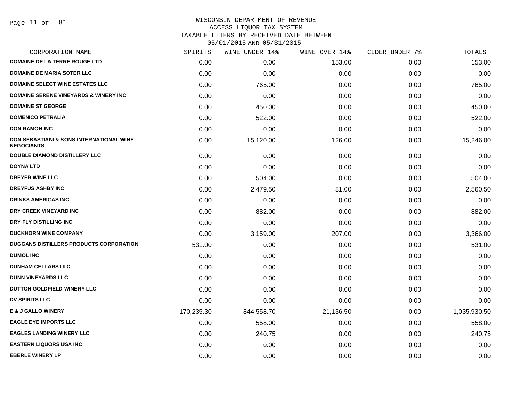### WISCONSIN DEPARTMENT OF REVENUE ACCESS LIQUOR TAX SYSTEM

TAXABLE LITERS BY RECEIVED DATE BETWEEN

| CORPORATION NAME                                                         | SPIRITS    | WINE UNDER 14% | WINE OVER 14% | CIDER UNDER 7% | TOTALS       |
|--------------------------------------------------------------------------|------------|----------------|---------------|----------------|--------------|
| <b>DOMAINE DE LA TERRE ROUGE LTD</b>                                     | 0.00       | 0.00           | 153.00        | 0.00           | 153.00       |
| <b>DOMAINE DE MARIA SOTER LLC</b>                                        | 0.00       | 0.00           | 0.00          | 0.00           | 0.00         |
| <b>DOMAINE SELECT WINE ESTATES LLC</b>                                   | 0.00       | 765.00         | 0.00          | 0.00           | 765.00       |
| <b>DOMAINE SERENE VINEYARDS &amp; WINERY INC</b>                         | 0.00       | 0.00           | 0.00          | 0.00           | 0.00         |
| <b>DOMAINE ST GEORGE</b>                                                 | 0.00       | 450.00         | 0.00          | 0.00           | 450.00       |
| <b>DOMENICO PETRALIA</b>                                                 | 0.00       | 522.00         | 0.00          | 0.00           | 522.00       |
| <b>DON RAMON INC</b>                                                     | 0.00       | 0.00           | 0.00          | 0.00           | 0.00         |
| <b>DON SEBASTIANI &amp; SONS INTERNATIONAL WINE</b><br><b>NEGOCIANTS</b> | 0.00       | 15,120.00      | 126.00        | 0.00           | 15,246.00    |
| <b>DOUBLE DIAMOND DISTILLERY LLC</b>                                     | 0.00       | 0.00           | 0.00          | 0.00           | 0.00         |
| <b>DOYNA LTD</b>                                                         | 0.00       | 0.00           | 0.00          | 0.00           | 0.00         |
| <b>DREYER WINE LLC</b>                                                   | 0.00       | 504.00         | 0.00          | 0.00           | 504.00       |
| <b>DREYFUS ASHBY INC</b>                                                 | 0.00       | 2,479.50       | 81.00         | 0.00           | 2,560.50     |
| <b>DRINKS AMERICAS INC</b>                                               | 0.00       | 0.00           | 0.00          | 0.00           | 0.00         |
| DRY CREEK VINEYARD INC                                                   | 0.00       | 882.00         | 0.00          | 0.00           | 882.00       |
| DRY FLY DISTILLING INC                                                   | 0.00       | 0.00           | 0.00          | 0.00           | 0.00         |
| <b>DUCKHORN WINE COMPANY</b>                                             | 0.00       | 3,159.00       | 207.00        | 0.00           | 3,366.00     |
| DUGGANS DISTILLERS PRODUCTS CORPORATION                                  | 531.00     | 0.00           | 0.00          | 0.00           | 531.00       |
| <b>DUMOL INC</b>                                                         | 0.00       | 0.00           | 0.00          | 0.00           | 0.00         |
| <b>DUNHAM CELLARS LLC</b>                                                | 0.00       | 0.00           | 0.00          | 0.00           | 0.00         |
| <b>DUNN VINEYARDS LLC</b>                                                | 0.00       | 0.00           | 0.00          | 0.00           | 0.00         |
| DUTTON GOLDFIELD WINERY LLC                                              | 0.00       | 0.00           | 0.00          | 0.00           | 0.00         |
| <b>DV SPIRITS LLC</b>                                                    | 0.00       | 0.00           | 0.00          | 0.00           | 0.00         |
| <b>E &amp; J GALLO WINERY</b>                                            | 170,235.30 | 844,558.70     | 21,136.50     | 0.00           | 1,035,930.50 |
| <b>EAGLE EYE IMPORTS LLC</b>                                             | 0.00       | 558.00         | 0.00          | 0.00           | 558.00       |
| <b>EAGLES LANDING WINERY LLC</b>                                         | 0.00       | 240.75         | 0.00          | 0.00           | 240.75       |
| <b>EASTERN LIQUORS USA INC</b>                                           | 0.00       | 0.00           | 0.00          | 0.00           | 0.00         |
| <b>EBERLE WINERY LP</b>                                                  | 0.00       | 0.00           | 0.00          | 0.00           | 0.00         |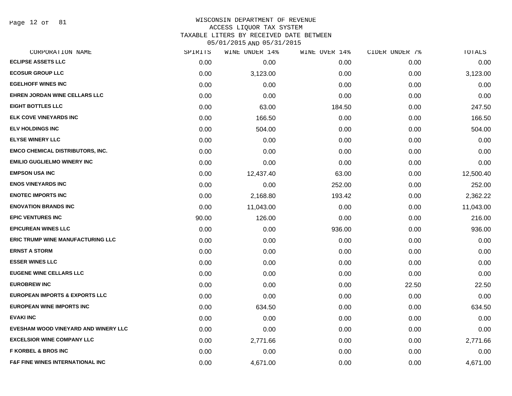Page 12 of 81

### WISCONSIN DEPARTMENT OF REVENUE ACCESS LIQUOR TAX SYSTEM

TAXABLE LITERS BY RECEIVED DATE BETWEEN

| CORPORATION NAME                            | SPIRITS | WINE UNDER 14% | WINE OVER 14% | CIDER UNDER 7% | TOTALS    |
|---------------------------------------------|---------|----------------|---------------|----------------|-----------|
| <b>ECLIPSE ASSETS LLC</b>                   | 0.00    | 0.00           | 0.00          | 0.00           | 0.00      |
| <b>ECOSUR GROUP LLC</b>                     | 0.00    | 3,123.00       | 0.00          | 0.00           | 3,123.00  |
| <b>EGELHOFF WINES INC</b>                   | 0.00    | 0.00           | 0.00          | 0.00           | 0.00      |
| EHREN JORDAN WINE CELLARS LLC               | 0.00    | 0.00           | 0.00          | 0.00           | 0.00      |
| <b>EIGHT BOTTLES LLC</b>                    | 0.00    | 63.00          | 184.50        | 0.00           | 247.50    |
| ELK COVE VINEYARDS INC                      | 0.00    | 166.50         | 0.00          | 0.00           | 166.50    |
| <b>ELV HOLDINGS INC</b>                     | 0.00    | 504.00         | 0.00          | 0.00           | 504.00    |
| <b>ELYSE WINERY LLC</b>                     | 0.00    | 0.00           | 0.00          | 0.00           | 0.00      |
| <b>EMCO CHEMICAL DISTRIBUTORS, INC.</b>     | 0.00    | 0.00           | 0.00          | 0.00           | 0.00      |
| <b>EMILIO GUGLIELMO WINERY INC</b>          | 0.00    | 0.00           | 0.00          | 0.00           | 0.00      |
| <b>EMPSON USA INC</b>                       | 0.00    | 12,437.40      | 63.00         | 0.00           | 12,500.40 |
| <b>ENOS VINEYARDS INC</b>                   | 0.00    | 0.00           | 252.00        | 0.00           | 252.00    |
| <b>ENOTEC IMPORTS INC</b>                   | 0.00    | 2,168.80       | 193.42        | 0.00           | 2,362.22  |
| <b>ENOVATION BRANDS INC</b>                 | 0.00    | 11,043.00      | 0.00          | 0.00           | 11,043.00 |
| <b>EPIC VENTURES INC</b>                    | 90.00   | 126.00         | 0.00          | 0.00           | 216.00    |
| <b>EPICUREAN WINES LLC</b>                  | 0.00    | 0.00           | 936.00        | 0.00           | 936.00    |
| <b>ERIC TRUMP WINE MANUFACTURING LLC</b>    | 0.00    | 0.00           | 0.00          | 0.00           | 0.00      |
| <b>ERNST A STORM</b>                        | 0.00    | 0.00           | 0.00          | 0.00           | 0.00      |
| <b>ESSER WINES LLC</b>                      | 0.00    | 0.00           | 0.00          | 0.00           | 0.00      |
| <b>EUGENE WINE CELLARS LLC</b>              | 0.00    | 0.00           | 0.00          | 0.00           | 0.00      |
| <b>EUROBREW INC</b>                         | 0.00    | 0.00           | 0.00          | 22.50          | 22.50     |
| <b>EUROPEAN IMPORTS &amp; EXPORTS LLC</b>   | 0.00    | 0.00           | 0.00          | 0.00           | 0.00      |
| <b>EUROPEAN WINE IMPORTS INC</b>            | 0.00    | 634.50         | 0.00          | 0.00           | 634.50    |
| <b>EVAKI INC</b>                            | 0.00    | 0.00           | 0.00          | 0.00           | 0.00      |
| EVESHAM WOOD VINEYARD AND WINERY LLC        | 0.00    | 0.00           | 0.00          | 0.00           | 0.00      |
| <b>EXCELSIOR WINE COMPANY LLC</b>           | 0.00    | 2,771.66       | 0.00          | 0.00           | 2,771.66  |
| <b>F KORBEL &amp; BROS INC</b>              | 0.00    | 0.00           | 0.00          | 0.00           | 0.00      |
| <b>F&amp;F FINE WINES INTERNATIONAL INC</b> | 0.00    | 4,671.00       | 0.00          | 0.00           | 4,671.00  |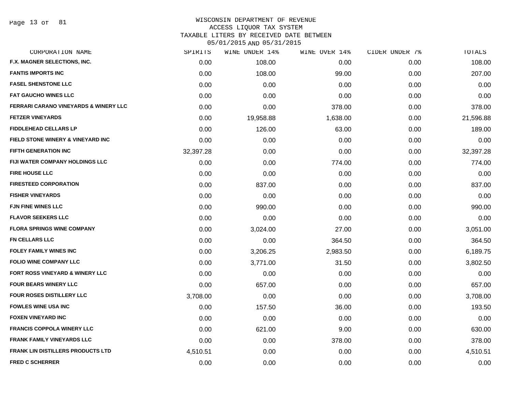# WISCONSIN DEPARTMENT OF REVENUE

ACCESS LIQUOR TAX SYSTEM

TAXABLE LITERS BY RECEIVED DATE BETWEEN

| CORPORATION NAME                                 | SPIRITS   | WINE UNDER 14% | WINE OVER 14% | CIDER UNDER 7% | TOTALS    |
|--------------------------------------------------|-----------|----------------|---------------|----------------|-----------|
| F.X. MAGNER SELECTIONS, INC.                     | 0.00      | 108.00         | 0.00          | 0.00           | 108.00    |
| <b>FANTIS IMPORTS INC</b>                        | 0.00      | 108.00         | 99.00         | 0.00           | 207.00    |
| <b>FASEL SHENSTONE LLC</b>                       | 0.00      | 0.00           | 0.00          | 0.00           | 0.00      |
| <b>FAT GAUCHO WINES LLC</b>                      | 0.00      | 0.00           | 0.00          | 0.00           | 0.00      |
| <b>FERRARI CARANO VINEYARDS &amp; WINERY LLC</b> | 0.00      | 0.00           | 378.00        | 0.00           | 378.00    |
| <b>FETZER VINEYARDS</b>                          | 0.00      | 19,958.88      | 1,638.00      | 0.00           | 21,596.88 |
| <b>FIDDLEHEAD CELLARS LP</b>                     | 0.00      | 126.00         | 63.00         | 0.00           | 189.00    |
| FIELD STONE WINERY & VINEYARD INC                | 0.00      | 0.00           | 0.00          | 0.00           | 0.00      |
| <b>FIFTH GENERATION INC</b>                      | 32,397.28 | 0.00           | 0.00          | 0.00           | 32,397.28 |
| <b>FIJI WATER COMPANY HOLDINGS LLC</b>           | 0.00      | 0.00           | 774.00        | 0.00           | 774.00    |
| <b>FIRE HOUSE LLC</b>                            | 0.00      | 0.00           | 0.00          | 0.00           | 0.00      |
| <b>FIRESTEED CORPORATION</b>                     | 0.00      | 837.00         | 0.00          | 0.00           | 837.00    |
| <b>FISHER VINEYARDS</b>                          | 0.00      | 0.00           | 0.00          | 0.00           | 0.00      |
| <b>FJN FINE WINES LLC</b>                        | 0.00      | 990.00         | 0.00          | 0.00           | 990.00    |
| <b>FLAVOR SEEKERS LLC</b>                        | 0.00      | 0.00           | 0.00          | 0.00           | 0.00      |
| <b>FLORA SPRINGS WINE COMPANY</b>                | 0.00      | 3,024.00       | 27.00         | 0.00           | 3,051.00  |
| <b>FN CELLARS LLC</b>                            | 0.00      | 0.00           | 364.50        | 0.00           | 364.50    |
| <b>FOLEY FAMILY WINES INC</b>                    | 0.00      | 3,206.25       | 2,983.50      | 0.00           | 6,189.75  |
| <b>FOLIO WINE COMPANY LLC</b>                    | 0.00      | 3,771.00       | 31.50         | 0.00           | 3,802.50  |
| FORT ROSS VINEYARD & WINERY LLC                  | 0.00      | 0.00           | 0.00          | 0.00           | 0.00      |
| <b>FOUR BEARS WINERY LLC</b>                     | 0.00      | 657.00         | 0.00          | 0.00           | 657.00    |
| FOUR ROSES DISTILLERY LLC                        | 3,708.00  | 0.00           | 0.00          | 0.00           | 3,708.00  |
| <b>FOWLES WINE USA INC</b>                       | 0.00      | 157.50         | 36.00         | 0.00           | 193.50    |
| <b>FOXEN VINEYARD INC</b>                        | 0.00      | 0.00           | 0.00          | 0.00           | 0.00      |
| <b>FRANCIS COPPOLA WINERY LLC</b>                | 0.00      | 621.00         | 9.00          | 0.00           | 630.00    |
| <b>FRANK FAMILY VINEYARDS LLC</b>                | 0.00      | 0.00           | 378.00        | 0.00           | 378.00    |
| <b>FRANK LIN DISTILLERS PRODUCTS LTD</b>         | 4,510.51  | 0.00           | 0.00          | 0.00           | 4,510.51  |
| <b>FRED C SCHERRER</b>                           | 0.00      | 0.00           | 0.00          | 0.00           | 0.00      |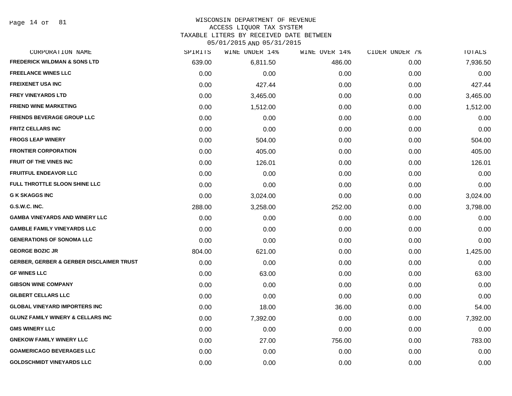Page 14 of 81

# WISCONSIN DEPARTMENT OF REVENUE

### ACCESS LIQUOR TAX SYSTEM

TAXABLE LITERS BY RECEIVED DATE BETWEEN

| CORPORATION NAME                                    | SPIRITS | WINE UNDER 14% | WINE OVER 14% | CIDER UNDER 7% | TOTALS   |
|-----------------------------------------------------|---------|----------------|---------------|----------------|----------|
| <b>FREDERICK WILDMAN &amp; SONS LTD</b>             | 639.00  | 6,811.50       | 486.00        | 0.00           | 7,936.50 |
| <b>FREELANCE WINES LLC</b>                          | 0.00    | 0.00           | 0.00          | 0.00           | 0.00     |
| <b>FREIXENET USA INC</b>                            | 0.00    | 427.44         | 0.00          | 0.00           | 427.44   |
| <b>FREY VINEYARDS LTD</b>                           | 0.00    | 3,465.00       | 0.00          | 0.00           | 3,465.00 |
| <b>FRIEND WINE MARKETING</b>                        | 0.00    | 1,512.00       | 0.00          | 0.00           | 1,512.00 |
| <b>FRIENDS BEVERAGE GROUP LLC</b>                   | 0.00    | 0.00           | 0.00          | 0.00           | 0.00     |
| <b>FRITZ CELLARS INC</b>                            | 0.00    | 0.00           | 0.00          | 0.00           | 0.00     |
| <b>FROGS LEAP WINERY</b>                            | 0.00    | 504.00         | 0.00          | 0.00           | 504.00   |
| <b>FRONTIER CORPORATION</b>                         | 0.00    | 405.00         | 0.00          | 0.00           | 405.00   |
| <b>FRUIT OF THE VINES INC</b>                       | 0.00    | 126.01         | 0.00          | 0.00           | 126.01   |
| <b>FRUITFUL ENDEAVOR LLC</b>                        | 0.00    | 0.00           | 0.00          | 0.00           | 0.00     |
| FULL THROTTLE SLOON SHINE LLC                       | 0.00    | 0.00           | 0.00          | 0.00           | 0.00     |
| <b>G K SKAGGS INC</b>                               | 0.00    | 3,024.00       | 0.00          | 0.00           | 3,024.00 |
| G.S.W.C. INC.                                       | 288.00  | 3,258.00       | 252.00        | 0.00           | 3,798.00 |
| <b>GAMBA VINEYARDS AND WINERY LLC</b>               | 0.00    | 0.00           | 0.00          | 0.00           | 0.00     |
| <b>GAMBLE FAMILY VINEYARDS LLC</b>                  | 0.00    | 0.00           | 0.00          | 0.00           | 0.00     |
| <b>GENERATIONS OF SONOMA LLC</b>                    | 0.00    | 0.00           | 0.00          | 0.00           | 0.00     |
| <b>GEORGE BOZIC JR</b>                              | 804.00  | 621.00         | 0.00          | 0.00           | 1,425.00 |
| <b>GERBER, GERBER &amp; GERBER DISCLAIMER TRUST</b> | 0.00    | 0.00           | 0.00          | 0.00           | 0.00     |
| <b>GF WINES LLC</b>                                 | 0.00    | 63.00          | 0.00          | 0.00           | 63.00    |
| <b>GIBSON WINE COMPANY</b>                          | 0.00    | 0.00           | 0.00          | 0.00           | 0.00     |
| <b>GILBERT CELLARS LLC</b>                          | 0.00    | 0.00           | 0.00          | 0.00           | 0.00     |
| <b>GLOBAL VINEYARD IMPORTERS INC</b>                | 0.00    | 18.00          | 36.00         | 0.00           | 54.00    |
| <b>GLUNZ FAMILY WINERY &amp; CELLARS INC</b>        | 0.00    | 7,392.00       | 0.00          | 0.00           | 7,392.00 |
| <b>GMS WINERY LLC</b>                               | 0.00    | 0.00           | 0.00          | 0.00           | 0.00     |
| <b>GNEKOW FAMILY WINERY LLC</b>                     | 0.00    | 27.00          | 756.00        | 0.00           | 783.00   |
| <b>GOAMERICAGO BEVERAGES LLC</b>                    | 0.00    | 0.00           | 0.00          | 0.00           | 0.00     |
| <b>GOLDSCHMIDT VINEYARDS LLC</b>                    | 0.00    | 0.00           | 0.00          | 0.00           | 0.00     |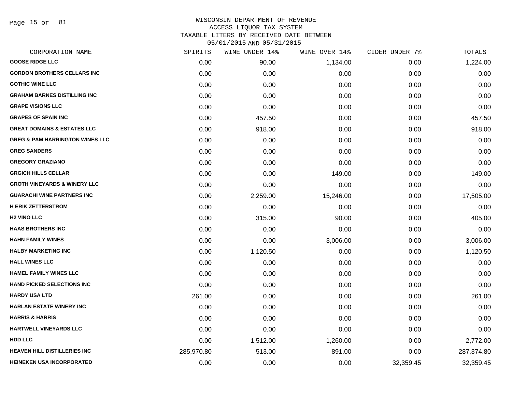Page 15 of 81

# WISCONSIN DEPARTMENT OF REVENUE ACCESS LIQUOR TAX SYSTEM TAXABLE LITERS BY RECEIVED DATE BETWEEN

| CORPORATION NAME                           | SPIRITS    | WINE UNDER 14% | WINE OVER 14% | CIDER UNDER 7% | TOTALS     |
|--------------------------------------------|------------|----------------|---------------|----------------|------------|
| <b>GOOSE RIDGE LLC</b>                     | 0.00       | 90.00          | 1,134.00      | 0.00           | 1,224.00   |
| <b>GORDON BROTHERS CELLARS INC</b>         | 0.00       | 0.00           | 0.00          | 0.00           | 0.00       |
| <b>GOTHIC WINE LLC</b>                     | 0.00       | 0.00           | 0.00          | 0.00           | 0.00       |
| <b>GRAHAM BARNES DISTILLING INC</b>        | 0.00       | 0.00           | 0.00          | 0.00           | 0.00       |
| <b>GRAPE VISIONS LLC</b>                   | 0.00       | 0.00           | 0.00          | 0.00           | 0.00       |
| <b>GRAPES OF SPAIN INC</b>                 | 0.00       | 457.50         | 0.00          | 0.00           | 457.50     |
| <b>GREAT DOMAINS &amp; ESTATES LLC</b>     | 0.00       | 918.00         | 0.00          | 0.00           | 918.00     |
| <b>GREG &amp; PAM HARRINGTON WINES LLC</b> | 0.00       | 0.00           | 0.00          | 0.00           | 0.00       |
| <b>GREG SANDERS</b>                        | 0.00       | 0.00           | 0.00          | 0.00           | 0.00       |
| <b>GREGORY GRAZIANO</b>                    | 0.00       | 0.00           | 0.00          | 0.00           | 0.00       |
| <b>GRGICH HILLS CELLAR</b>                 | 0.00       | 0.00           | 149.00        | 0.00           | 149.00     |
| <b>GROTH VINEYARDS &amp; WINERY LLC</b>    | 0.00       | 0.00           | 0.00          | 0.00           | 0.00       |
| <b>GUARACHI WINE PARTNERS INC</b>          | 0.00       | 2,259.00       | 15,246.00     | 0.00           | 17,505.00  |
| <b>H ERIK ZETTERSTROM</b>                  | 0.00       | 0.00           | 0.00          | 0.00           | 0.00       |
| <b>H<sub>2</sub> VINO LLC</b>              | 0.00       | 315.00         | 90.00         | 0.00           | 405.00     |
| <b>HAAS BROTHERS INC</b>                   | 0.00       | 0.00           | 0.00          | 0.00           | 0.00       |
| <b>HAHN FAMILY WINES</b>                   | 0.00       | 0.00           | 3,006.00      | 0.00           | 3,006.00   |
| <b>HALBY MARKETING INC</b>                 | 0.00       | 1,120.50       | 0.00          | 0.00           | 1,120.50   |
| <b>HALL WINES LLC</b>                      | 0.00       | 0.00           | 0.00          | 0.00           | 0.00       |
| <b>HAMEL FAMILY WINES LLC</b>              | 0.00       | 0.00           | 0.00          | 0.00           | 0.00       |
| <b>HAND PICKED SELECTIONS INC</b>          | 0.00       | 0.00           | 0.00          | 0.00           | 0.00       |
| <b>HARDY USA LTD</b>                       | 261.00     | 0.00           | 0.00          | 0.00           | 261.00     |
| HARLAN ESTATE WINERY INC                   | 0.00       | 0.00           | 0.00          | 0.00           | 0.00       |
| <b>HARRIS &amp; HARRIS</b>                 | 0.00       | 0.00           | 0.00          | 0.00           | 0.00       |
| HARTWELL VINEYARDS LLC                     | 0.00       | 0.00           | 0.00          | 0.00           | 0.00       |
| <b>HDD LLC</b>                             | 0.00       | 1,512.00       | 1,260.00      | 0.00           | 2,772.00   |
| <b>HEAVEN HILL DISTILLERIES INC</b>        | 285,970.80 | 513.00         | 891.00        | 0.00           | 287,374.80 |
| <b>HEINEKEN USA INCORPORATED</b>           | 0.00       | 0.00           | 0.00          | 32,359.45      | 32,359.45  |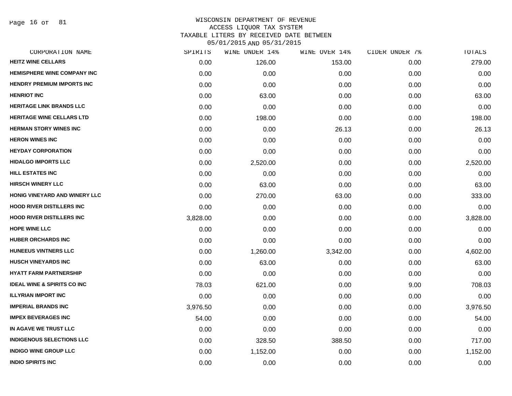Page 16 of 81

| CORPORATION NAME                       | SPIRITS  | WINE UNDER 14% | WINE OVER 14% | CIDER UNDER 7% | TOTALS   |
|----------------------------------------|----------|----------------|---------------|----------------|----------|
| <b>HEITZ WINE CELLARS</b>              | 0.00     | 126.00         | 153.00        | 0.00           | 279.00   |
| <b>HEMISPHERE WINE COMPANY INC</b>     | 0.00     | 0.00           | 0.00          | 0.00           | 0.00     |
| <b>HENDRY PREMIUM IMPORTS INC</b>      | 0.00     | 0.00           | 0.00          | 0.00           | 0.00     |
| <b>HENRIOT INC</b>                     | 0.00     | 63.00          | 0.00          | 0.00           | 63.00    |
| <b>HERITAGE LINK BRANDS LLC</b>        | 0.00     | 0.00           | 0.00          | 0.00           | 0.00     |
| <b>HERITAGE WINE CELLARS LTD</b>       | 0.00     | 198.00         | 0.00          | 0.00           | 198.00   |
| <b>HERMAN STORY WINES INC</b>          | 0.00     | 0.00           | 26.13         | 0.00           | 26.13    |
| <b>HERON WINES INC</b>                 | 0.00     | 0.00           | 0.00          | 0.00           | 0.00     |
| <b>HEYDAY CORPORATION</b>              | 0.00     | 0.00           | 0.00          | 0.00           | 0.00     |
| <b>HIDALGO IMPORTS LLC</b>             | 0.00     | 2,520.00       | 0.00          | 0.00           | 2,520.00 |
| <b>HILL ESTATES INC</b>                | 0.00     | 0.00           | 0.00          | 0.00           | 0.00     |
| <b>HIRSCH WINERY LLC</b>               | 0.00     | 63.00          | 0.00          | 0.00           | 63.00    |
| HONIG VINEYARD AND WINERY LLC          | 0.00     | 270.00         | 63.00         | 0.00           | 333.00   |
| <b>HOOD RIVER DISTILLERS INC</b>       | 0.00     | 0.00           | 0.00          | 0.00           | 0.00     |
| <b>HOOD RIVER DISTILLERS INC</b>       | 3,828.00 | 0.00           | 0.00          | 0.00           | 3,828.00 |
| <b>HOPE WINE LLC</b>                   | 0.00     | 0.00           | 0.00          | 0.00           | 0.00     |
| <b>HUBER ORCHARDS INC</b>              | 0.00     | 0.00           | 0.00          | 0.00           | 0.00     |
| <b>HUNEEUS VINTNERS LLC</b>            | 0.00     | 1,260.00       | 3,342.00      | 0.00           | 4,602.00 |
| <b>HUSCH VINEYARDS INC</b>             | 0.00     | 63.00          | 0.00          | 0.00           | 63.00    |
| <b>HYATT FARM PARTNERSHIP</b>          | 0.00     | 0.00           | 0.00          | 0.00           | 0.00     |
| <b>IDEAL WINE &amp; SPIRITS CO INC</b> | 78.03    | 621.00         | 0.00          | 9.00           | 708.03   |
| <b>ILLYRIAN IMPORT INC</b>             | 0.00     | 0.00           | 0.00          | 0.00           | 0.00     |
| <b>IMPERIAL BRANDS INC</b>             | 3,976.50 | 0.00           | 0.00          | 0.00           | 3,976.50 |
| <b>IMPEX BEVERAGES INC</b>             | 54.00    | 0.00           | 0.00          | 0.00           | 54.00    |
| IN AGAVE WE TRUST LLC                  | 0.00     | 0.00           | 0.00          | 0.00           | 0.00     |
| <b>INDIGENOUS SELECTIONS LLC</b>       | 0.00     | 328.50         | 388.50        | 0.00           | 717.00   |
| <b>INDIGO WINE GROUP LLC</b>           | 0.00     | 1,152.00       | 0.00          | 0.00           | 1,152.00 |
| <b>INDIO SPIRITS INC</b>               | 0.00     | 0.00           | 0.00          | 0.00           | 0.00     |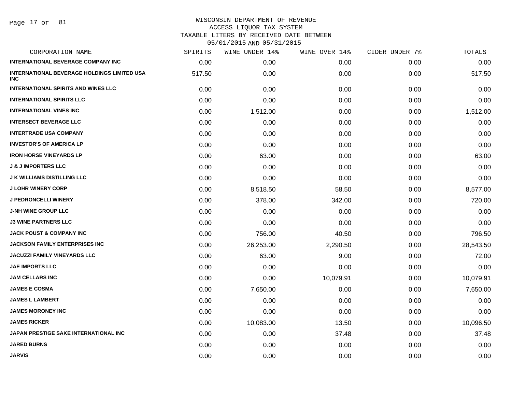Page 17 of 81

| CORPORATION NAME                                                 | SPIRITS | WINE UNDER 14% | WINE OVER 14% | CIDER UNDER 7% | TOTALS    |
|------------------------------------------------------------------|---------|----------------|---------------|----------------|-----------|
| <b>INTERNATIONAL BEVERAGE COMPANY INC</b>                        | 0.00    | 0.00           | 0.00          | 0.00           | 0.00      |
| <b>INTERNATIONAL BEVERAGE HOLDINGS LIMITED USA</b><br><b>INC</b> | 517.50  | 0.00           | 0.00          | 0.00           | 517.50    |
| <b>INTERNATIONAL SPIRITS AND WINES LLC</b>                       | 0.00    | 0.00           | 0.00          | 0.00           | 0.00      |
| <b>INTERNATIONAL SPIRITS LLC</b>                                 | 0.00    | 0.00           | 0.00          | 0.00           | 0.00      |
| <b>INTERNATIONAL VINES INC</b>                                   | 0.00    | 1,512.00       | 0.00          | 0.00           | 1,512.00  |
| <b>INTERSECT BEVERAGE LLC</b>                                    | 0.00    | 0.00           | 0.00          | 0.00           | 0.00      |
| <b>INTERTRADE USA COMPANY</b>                                    | 0.00    | 0.00           | 0.00          | 0.00           | 0.00      |
| <b>INVESTOR'S OF AMERICA LP</b>                                  | 0.00    | 0.00           | 0.00          | 0.00           | 0.00      |
| <b>IRON HORSE VINEYARDS LP</b>                                   | 0.00    | 63.00          | 0.00          | 0.00           | 63.00     |
| <b>J &amp; J IMPORTERS LLC</b>                                   | 0.00    | 0.00           | 0.00          | 0.00           | 0.00      |
| <b>J K WILLIAMS DISTILLING LLC</b>                               | 0.00    | 0.00           | 0.00          | 0.00           | 0.00      |
| <b>J LOHR WINERY CORP</b>                                        | 0.00    | 8,518.50       | 58.50         | 0.00           | 8,577.00  |
| <b>J PEDRONCELLI WINERY</b>                                      | 0.00    | 378.00         | 342.00        | 0.00           | 720.00    |
| <b>J-NH WINE GROUP LLC</b>                                       | 0.00    | 0.00           | 0.00          | 0.00           | 0.00      |
| <b>J3 WINE PARTNERS LLC</b>                                      | 0.00    | 0.00           | 0.00          | 0.00           | 0.00      |
| <b>JACK POUST &amp; COMPANY INC</b>                              | 0.00    | 756.00         | 40.50         | 0.00           | 796.50    |
| <b>JACKSON FAMILY ENTERPRISES INC</b>                            | 0.00    | 26,253.00      | 2,290.50      | 0.00           | 28,543.50 |
| <b>JACUZZI FAMILY VINEYARDS LLC</b>                              | 0.00    | 63.00          | 9.00          | 0.00           | 72.00     |
| <b>JAE IMPORTS LLC</b>                                           | 0.00    | 0.00           | 0.00          | 0.00           | 0.00      |
| <b>JAM CELLARS INC</b>                                           | 0.00    | 0.00           | 10,079.91     | 0.00           | 10,079.91 |
| <b>JAMES E COSMA</b>                                             | 0.00    | 7,650.00       | 0.00          | 0.00           | 7,650.00  |
| <b>JAMES L LAMBERT</b>                                           | 0.00    | 0.00           | 0.00          | 0.00           | 0.00      |
| <b>JAMES MORONEY INC</b>                                         | 0.00    | 0.00           | 0.00          | 0.00           | 0.00      |
| <b>JAMES RICKER</b>                                              | 0.00    | 10,083.00      | 13.50         | 0.00           | 10,096.50 |
| JAPAN PRESTIGE SAKE INTERNATIONAL INC                            | 0.00    | 0.00           | 37.48         | 0.00           | 37.48     |
| <b>JARED BURNS</b>                                               | 0.00    | 0.00           | 0.00          | 0.00           | 0.00      |
| <b>JARVIS</b>                                                    | 0.00    | 0.00           | 0.00          | 0.00           | 0.00      |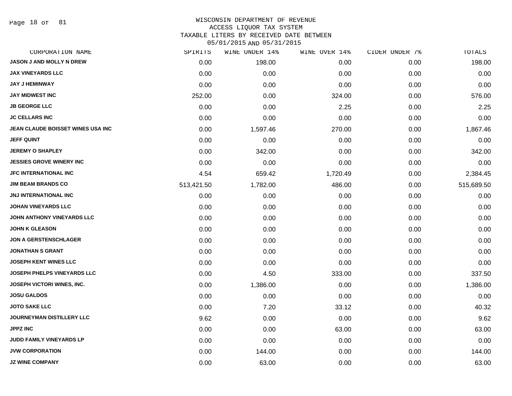Page 18 of 81

# WISCONSIN DEPARTMENT OF REVENUE

ACCESS LIQUOR TAX SYSTEM

TAXABLE LITERS BY RECEIVED DATE BETWEEN

| CORPORATION NAME                   | SPIRITS    | WINE UNDER 14% | WINE OVER 14% | CIDER UNDER 7% | TOTALS     |
|------------------------------------|------------|----------------|---------------|----------------|------------|
| <b>JASON J AND MOLLY N DREW</b>    | 0.00       | 198.00         | 0.00          | 0.00           | 198.00     |
| <b>JAX VINEYARDS LLC</b>           | 0.00       | 0.00           | 0.00          | 0.00           | 0.00       |
| JAY J HEMINWAY                     | 0.00       | 0.00           | 0.00          | 0.00           | 0.00       |
| <b>JAY MIDWEST INC</b>             | 252.00     | 0.00           | 324.00        | 0.00           | 576.00     |
| <b>JB GEORGE LLC</b>               | 0.00       | 0.00           | 2.25          | 0.00           | 2.25       |
| <b>JC CELLARS INC</b>              | 0.00       | 0.00           | 0.00          | 0.00           | 0.00       |
| JEAN CLAUDE BOISSET WINES USA INC  | 0.00       | 1,597.46       | 270.00        | 0.00           | 1,867.46   |
| <b>JEFF QUINT</b>                  | 0.00       | 0.00           | 0.00          | 0.00           | 0.00       |
| <b>JEREMY O SHAPLEY</b>            | 0.00       | 342.00         | 0.00          | 0.00           | 342.00     |
| <b>JESSIES GROVE WINERY INC</b>    | 0.00       | 0.00           | 0.00          | 0.00           | 0.00       |
| JFC INTERNATIONAL INC              | 4.54       | 659.42         | 1,720.49      | 0.00           | 2,384.45   |
| <b>JIM BEAM BRANDS CO</b>          | 513,421.50 | 1,782.00       | 486.00        | 0.00           | 515,689.50 |
| <b>JNJ INTERNATIONAL INC</b>       | 0.00       | 0.00           | 0.00          | 0.00           | 0.00       |
| <b>JOHAN VINEYARDS LLC</b>         | 0.00       | 0.00           | 0.00          | 0.00           | 0.00       |
| JOHN ANTHONY VINEYARDS LLC         | 0.00       | 0.00           | 0.00          | 0.00           | 0.00       |
| <b>JOHN K GLEASON</b>              | 0.00       | 0.00           | 0.00          | 0.00           | 0.00       |
| <b>JON A GERSTENSCHLAGER</b>       | 0.00       | 0.00           | 0.00          | 0.00           | 0.00       |
| JONATHAN S GRANT                   | 0.00       | 0.00           | 0.00          | 0.00           | 0.00       |
| <b>JOSEPH KENT WINES LLC</b>       | 0.00       | 0.00           | 0.00          | 0.00           | 0.00       |
| <b>JOSEPH PHELPS VINEYARDS LLC</b> | 0.00       | 4.50           | 333.00        | 0.00           | 337.50     |
| JOSEPH VICTORI WINES, INC.         | 0.00       | 1,386.00       | 0.00          | 0.00           | 1,386.00   |
| <b>JOSU GALDOS</b>                 | 0.00       | 0.00           | 0.00          | 0.00           | 0.00       |
| <b>JOTO SAKE LLC</b>               | 0.00       | 7.20           | 33.12         | 0.00           | 40.32      |
| <b>JOURNEYMAN DISTILLERY LLC</b>   | 9.62       | 0.00           | 0.00          | 0.00           | 9.62       |
| <b>JPPZ INC</b>                    | 0.00       | 0.00           | 63.00         | 0.00           | 63.00      |
| JUDD FAMILY VINEYARDS LP           | 0.00       | 0.00           | 0.00          | 0.00           | 0.00       |
| <b>JVW CORPORATION</b>             | 0.00       | 144.00         | 0.00          | 0.00           | 144.00     |
| <b>JZ WINE COMPANY</b>             | 0.00       | 63.00          | 0.00          | 0.00           | 63.00      |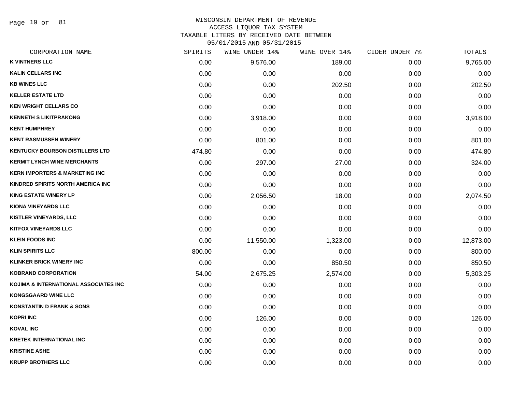Page 19 of 81

### WISCONSIN DEPARTMENT OF REVENUE ACCESS LIQUOR TAX SYSTEM

TAXABLE LITERS BY RECEIVED DATE BETWEEN

| CORPORATION NAME                          | SPIRITS | WINE UNDER 14% | WINE OVER 14% | CIDER UNDER 7% | TOTALS    |
|-------------------------------------------|---------|----------------|---------------|----------------|-----------|
| <b>K VINTNERS LLC</b>                     | 0.00    | 9,576.00       | 189.00        | 0.00           | 9,765.00  |
| <b>KALIN CELLARS INC</b>                  | 0.00    | 0.00           | 0.00          | 0.00           | 0.00      |
| <b>KB WINES LLC</b>                       | 0.00    | 0.00           | 202.50        | 0.00           | 202.50    |
| <b>KELLER ESTATE LTD</b>                  | 0.00    | 0.00           | 0.00          | 0.00           | 0.00      |
| <b>KEN WRIGHT CELLARS CO</b>              | 0.00    | 0.00           | 0.00          | 0.00           | 0.00      |
| <b>KENNETH S LIKITPRAKONG</b>             | 0.00    | 3,918.00       | 0.00          | 0.00           | 3,918.00  |
| <b>KENT HUMPHREY</b>                      | 0.00    | 0.00           | 0.00          | 0.00           | 0.00      |
| <b>KENT RASMUSSEN WINERY</b>              | 0.00    | 801.00         | 0.00          | 0.00           | 801.00    |
| <b>KENTUCKY BOURBON DISTILLERS LTD</b>    | 474.80  | 0.00           | 0.00          | 0.00           | 474.80    |
| <b>KERMIT LYNCH WINE MERCHANTS</b>        | 0.00    | 297.00         | 27.00         | 0.00           | 324.00    |
| <b>KERN IMPORTERS &amp; MARKETING INC</b> | 0.00    | 0.00           | 0.00          | 0.00           | 0.00      |
| KINDRED SPIRITS NORTH AMERICA INC         | 0.00    | 0.00           | 0.00          | 0.00           | 0.00      |
| <b>KING ESTATE WINERY LP</b>              | 0.00    | 2,056.50       | 18.00         | 0.00           | 2,074.50  |
| <b>KIONA VINEYARDS LLC</b>                | 0.00    | 0.00           | 0.00          | 0.00           | 0.00      |
| <b>KISTLER VINEYARDS, LLC</b>             | 0.00    | 0.00           | 0.00          | 0.00           | 0.00      |
| <b>KITFOX VINEYARDS LLC</b>               | 0.00    | 0.00           | 0.00          | 0.00           | 0.00      |
| <b>KLEIN FOODS INC</b>                    | 0.00    | 11,550.00      | 1,323.00      | 0.00           | 12,873.00 |
| <b>KLIN SPIRITS LLC</b>                   | 800.00  | 0.00           | 0.00          | 0.00           | 800.00    |
| <b>KLINKER BRICK WINERY INC</b>           | 0.00    | 0.00           | 850.50        | 0.00           | 850.50    |
| <b>KOBRAND CORPORATION</b>                | 54.00   | 2,675.25       | 2,574.00      | 0.00           | 5,303.25  |
| KOJIMA & INTERNATIONAL ASSOCIATES INC     | 0.00    | 0.00           | 0.00          | 0.00           | 0.00      |
| <b>KONGSGAARD WINE LLC</b>                | 0.00    | 0.00           | 0.00          | 0.00           | 0.00      |
| <b>KONSTANTIN D FRANK &amp; SONS</b>      | 0.00    | 0.00           | 0.00          | 0.00           | 0.00      |
| <b>KOPRI INC</b>                          | 0.00    | 126.00         | 0.00          | 0.00           | 126.00    |
| <b>KOVAL INC</b>                          | 0.00    | 0.00           | 0.00          | 0.00           | 0.00      |
| <b>KRETEK INTERNATIONAL INC</b>           | 0.00    | 0.00           | 0.00          | 0.00           | 0.00      |
| <b>KRISTINE ASHE</b>                      | 0.00    | 0.00           | 0.00          | 0.00           | 0.00      |
| <b>KRUPP BROTHERS LLC</b>                 | 0.00    | 0.00           | 0.00          | 0.00           | 0.00      |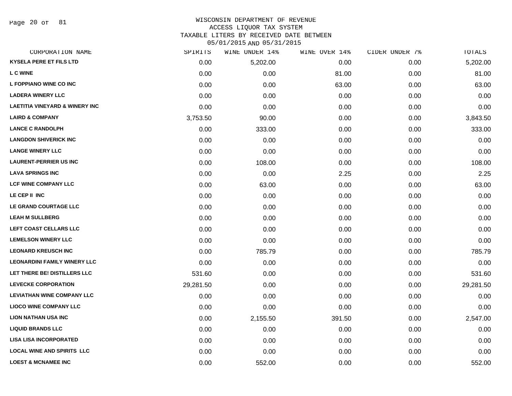# WISCONSIN DEPARTMENT OF REVENUE ACCESS LIQUOR TAX SYSTEM TAXABLE LITERS BY RECEIVED DATE BETWEEN

| CORPORATION NAME                          | SPIRITS   | WINE UNDER 14% | WINE OVER 14% | CIDER UNDER 7% | TOTALS    |
|-------------------------------------------|-----------|----------------|---------------|----------------|-----------|
| <b>KYSELA PERE ET FILS LTD</b>            | 0.00      | 5,202.00       | 0.00          | 0.00           | 5,202.00  |
| <b>LC WINE</b>                            | 0.00      | 0.00           | 81.00         | 0.00           | 81.00     |
| L FOPPIANO WINE CO INC                    | 0.00      | 0.00           | 63.00         | 0.00           | 63.00     |
| <b>LADERA WINERY LLC</b>                  | 0.00      | 0.00           | 0.00          | 0.00           | 0.00      |
| <b>LAETITIA VINEYARD &amp; WINERY INC</b> | 0.00      | 0.00           | 0.00          | 0.00           | 0.00      |
| <b>LAIRD &amp; COMPANY</b>                | 3,753.50  | 90.00          | 0.00          | 0.00           | 3,843.50  |
| <b>LANCE C RANDOLPH</b>                   | 0.00      | 333.00         | 0.00          | 0.00           | 333.00    |
| <b>LANGDON SHIVERICK INC</b>              | 0.00      | 0.00           | 0.00          | 0.00           | 0.00      |
| <b>LANGE WINERY LLC</b>                   | 0.00      | 0.00           | 0.00          | 0.00           | 0.00      |
| <b>LAURENT-PERRIER US INC</b>             | 0.00      | 108.00         | 0.00          | 0.00           | 108.00    |
| <b>LAVA SPRINGS INC</b>                   | 0.00      | 0.00           | 2.25          | 0.00           | 2.25      |
| <b>LCF WINE COMPANY LLC</b>               | 0.00      | 63.00          | 0.00          | 0.00           | 63.00     |
| LE CEP II INC                             | 0.00      | 0.00           | 0.00          | 0.00           | 0.00      |
| LE GRAND COURTAGE LLC                     | 0.00      | 0.00           | 0.00          | 0.00           | 0.00      |
| <b>LEAH M SULLBERG</b>                    | 0.00      | 0.00           | 0.00          | 0.00           | 0.00      |
| LEFT COAST CELLARS LLC                    | 0.00      | 0.00           | 0.00          | 0.00           | 0.00      |
| <b>LEMELSON WINERY LLC</b>                | 0.00      | 0.00           | 0.00          | 0.00           | 0.00      |
| <b>LEONARD KREUSCH INC</b>                | 0.00      | 785.79         | 0.00          | 0.00           | 785.79    |
| <b>LEONARDINI FAMILY WINERY LLC</b>       | 0.00      | 0.00           | 0.00          | 0.00           | 0.00      |
| LET THERE BE! DISTILLERS LLC              | 531.60    | 0.00           | 0.00          | 0.00           | 531.60    |
| <b>LEVECKE CORPORATION</b>                | 29,281.50 | 0.00           | 0.00          | 0.00           | 29,281.50 |
| <b>LEVIATHAN WINE COMPANY LLC</b>         | 0.00      | 0.00           | 0.00          | 0.00           | 0.00      |
| <b>LIOCO WINE COMPANY LLC</b>             | 0.00      | 0.00           | 0.00          | 0.00           | 0.00      |
| <b>LION NATHAN USA INC</b>                | 0.00      | 2,155.50       | 391.50        | 0.00           | 2,547.00  |
| <b>LIQUID BRANDS LLC</b>                  | 0.00      | 0.00           | 0.00          | 0.00           | 0.00      |
| <b>LISA LISA INCORPORATED</b>             | 0.00      | 0.00           | 0.00          | 0.00           | 0.00      |
| <b>LOCAL WINE AND SPIRITS LLC</b>         | 0.00      | 0.00           | 0.00          | 0.00           | 0.00      |
| <b>LOEST &amp; MCNAMEE INC</b>            | 0.00      | 552.00         | 0.00          | 0.00           | 552.00    |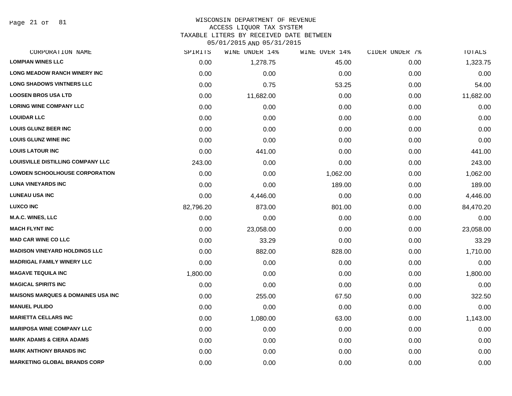Page 21 of 81

### WISCONSIN DEPARTMENT OF REVENUE ACCESS LIQUOR TAX SYSTEM

TAXABLE LITERS BY RECEIVED DATE BETWEEN

| CORPORATION NAME                              | SPIRITS   | WINE UNDER 14% | WINE OVER 14% | CIDER UNDER 7% | TOTALS    |
|-----------------------------------------------|-----------|----------------|---------------|----------------|-----------|
| <b>LOMPIAN WINES LLC</b>                      | 0.00      | 1,278.75       | 45.00         | 0.00           | 1,323.75  |
| <b>LONG MEADOW RANCH WINERY INC.</b>          | 0.00      | 0.00           | 0.00          | 0.00           | 0.00      |
| <b>LONG SHADOWS VINTNERS LLC</b>              | 0.00      | 0.75           | 53.25         | 0.00           | 54.00     |
| <b>LOOSEN BROS USA LTD</b>                    | 0.00      | 11,682.00      | 0.00          | 0.00           | 11,682.00 |
| <b>LORING WINE COMPANY LLC</b>                | 0.00      | 0.00           | 0.00          | 0.00           | 0.00      |
| <b>LOUIDAR LLC</b>                            | 0.00      | 0.00           | 0.00          | 0.00           | 0.00      |
| <b>LOUIS GLUNZ BEER INC</b>                   | 0.00      | 0.00           | 0.00          | 0.00           | 0.00      |
| <b>LOUIS GLUNZ WINE INC</b>                   | 0.00      | 0.00           | 0.00          | 0.00           | 0.00      |
| <b>LOUIS LATOUR INC</b>                       | 0.00      | 441.00         | 0.00          | 0.00           | 441.00    |
| LOUISVILLE DISTILLING COMPANY LLC             | 243.00    | 0.00           | 0.00          | 0.00           | 243.00    |
| <b>LOWDEN SCHOOLHOUSE CORPORATION</b>         | 0.00      | 0.00           | 1,062.00      | 0.00           | 1,062.00  |
| <b>LUNA VINEYARDS INC</b>                     | 0.00      | 0.00           | 189.00        | 0.00           | 189.00    |
| <b>LUNEAU USA INC</b>                         | 0.00      | 4,446.00       | 0.00          | 0.00           | 4,446.00  |
| <b>LUXCO INC</b>                              | 82,796.20 | 873.00         | 801.00        | 0.00           | 84,470.20 |
| <b>M.A.C. WINES, LLC</b>                      | 0.00      | 0.00           | 0.00          | 0.00           | 0.00      |
| <b>MACH FLYNT INC</b>                         | 0.00      | 23,058.00      | 0.00          | 0.00           | 23,058.00 |
| <b>MAD CAR WINE CO LLC</b>                    | 0.00      | 33.29          | 0.00          | 0.00           | 33.29     |
| <b>MADISON VINEYARD HOLDINGS LLC</b>          | 0.00      | 882.00         | 828.00        | 0.00           | 1,710.00  |
| <b>MADRIGAL FAMILY WINERY LLC</b>             | 0.00      | 0.00           | 0.00          | 0.00           | 0.00      |
| <b>MAGAVE TEQUILA INC</b>                     | 1,800.00  | 0.00           | 0.00          | 0.00           | 1,800.00  |
| <b>MAGICAL SPIRITS INC</b>                    | 0.00      | 0.00           | 0.00          | 0.00           | 0.00      |
| <b>MAISONS MARQUES &amp; DOMAINES USA INC</b> | 0.00      | 255.00         | 67.50         | 0.00           | 322.50    |
| <b>MANUEL PULIDO</b>                          | 0.00      | 0.00           | 0.00          | 0.00           | 0.00      |
| <b>MARIETTA CELLARS INC</b>                   | 0.00      | 1,080.00       | 63.00         | 0.00           | 1,143.00  |
| <b>MARIPOSA WINE COMPANY LLC</b>              | 0.00      | 0.00           | 0.00          | 0.00           | 0.00      |
| <b>MARK ADAMS &amp; CIERA ADAMS</b>           | 0.00      | 0.00           | 0.00          | 0.00           | 0.00      |
| <b>MARK ANTHONY BRANDS INC</b>                | 0.00      | 0.00           | 0.00          | 0.00           | 0.00      |
| <b>MARKETING GLOBAL BRANDS CORP</b>           | 0.00      | 0.00           | 0.00          | 0.00           | 0.00      |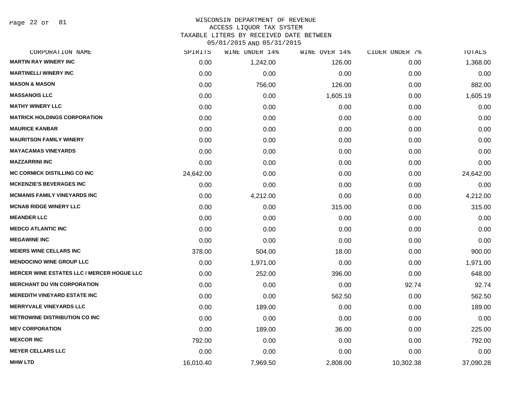Page 22 of 81

# WISCONSIN DEPARTMENT OF REVENUE ACCESS LIQUOR TAX SYSTEM

TAXABLE LITERS BY RECEIVED DATE BETWEEN

| CORPORATION NAME                                  | SPIRITS   | WINE UNDER 14% | WINE OVER 14% | CIDER UNDER 7% | TOTALS    |
|---------------------------------------------------|-----------|----------------|---------------|----------------|-----------|
| <b>MARTIN RAY WINERY INC</b>                      | 0.00      | 1,242.00       | 126.00        | 0.00           | 1,368.00  |
| <b>MARTINELLI WINERY INC</b>                      | 0.00      | 0.00           | 0.00          | 0.00           | 0.00      |
| <b>MASON &amp; MASON</b>                          | 0.00      | 756.00         | 126.00        | 0.00           | 882.00    |
| <b>MASSANOIS LLC</b>                              | 0.00      | 0.00           | 1,605.19      | 0.00           | 1,605.19  |
| <b>MATHY WINERY LLC</b>                           | 0.00      | 0.00           | 0.00          | 0.00           | 0.00      |
| <b>MATRICK HOLDINGS CORPORATION</b>               | 0.00      | 0.00           | 0.00          | 0.00           | 0.00      |
| <b>MAURICE KANBAR</b>                             | 0.00      | 0.00           | 0.00          | 0.00           | 0.00      |
| <b>MAURITSON FAMILY WINERY</b>                    | 0.00      | 0.00           | 0.00          | 0.00           | 0.00      |
| <b>MAYACAMAS VINEYARDS</b>                        | 0.00      | 0.00           | 0.00          | 0.00           | 0.00      |
| <b>MAZZARRINI INC</b>                             | 0.00      | 0.00           | 0.00          | 0.00           | 0.00      |
| MC CORMICK DISTILLING CO INC                      | 24,642.00 | 0.00           | 0.00          | 0.00           | 24,642.00 |
| <b>MCKENZIE'S BEVERAGES INC</b>                   | 0.00      | 0.00           | 0.00          | 0.00           | 0.00      |
| <b>MCMANIS FAMILY VINEYARDS INC</b>               | 0.00      | 4,212.00       | 0.00          | 0.00           | 4,212.00  |
| <b>MCNAB RIDGE WINERY LLC</b>                     | 0.00      | 0.00           | 315.00        | 0.00           | 315.00    |
| <b>MEANDER LLC</b>                                | 0.00      | 0.00           | 0.00          | 0.00           | 0.00      |
| <b>MEDCO ATLANTIC INC</b>                         | 0.00      | 0.00           | 0.00          | 0.00           | 0.00      |
| <b>MEGAWINE INC</b>                               | 0.00      | 0.00           | 0.00          | 0.00           | 0.00      |
| <b>MEIERS WINE CELLARS INC</b>                    | 378.00    | 504.00         | 18.00         | 0.00           | 900.00    |
| <b>MENDOCINO WINE GROUP LLC</b>                   | 0.00      | 1,971.00       | 0.00          | 0.00           | 1,971.00  |
| <b>MERCER WINE ESTATES LLC / MERCER HOGUE LLC</b> | 0.00      | 252.00         | 396.00        | 0.00           | 648.00    |
| <b>MERCHANT DU VIN CORPORATION</b>                | 0.00      | 0.00           | 0.00          | 92.74          | 92.74     |
| <b>MEREDITH VINEYARD ESTATE INC</b>               | 0.00      | 0.00           | 562.50        | 0.00           | 562.50    |
| <b>MERRYVALE VINEYARDS LLC</b>                    | 0.00      | 189.00         | 0.00          | 0.00           | 189.00    |
| <b>METROWINE DISTRIBUTION CO INC.</b>             | 0.00      | 0.00           | 0.00          | 0.00           | 0.00      |
| <b>MEV CORPORATION</b>                            | 0.00      | 189.00         | 36.00         | 0.00           | 225.00    |
| <b>MEXCOR INC</b>                                 | 792.00    | 0.00           | 0.00          | 0.00           | 792.00    |
| <b>MEYER CELLARS LLC</b>                          | 0.00      | 0.00           | 0.00          | 0.00           | 0.00      |
| <b>MHW LTD</b>                                    | 16,010.40 | 7,969.50       | 2,808.00      | 10,302.38      | 37,090.28 |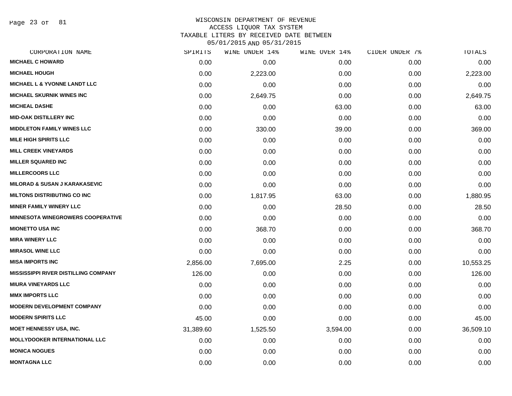Page 23 of 81

### WISCONSIN DEPARTMENT OF REVENUE ACCESS LIQUOR TAX SYSTEM TAXABLE LITERS BY RECEIVED DATE BETWEEN

| CORPORATION NAME                            | SPIRITS   | WINE UNDER 14% | WINE OVER 14% | CIDER UNDER 7% | TOTALS    |
|---------------------------------------------|-----------|----------------|---------------|----------------|-----------|
| <b>MICHAEL C HOWARD</b>                     | 0.00      | 0.00           | 0.00          | 0.00           | 0.00      |
| <b>MICHAEL HOUGH</b>                        | 0.00      | 2,223.00       | 0.00          | 0.00           | 2,223.00  |
| <b>MICHAEL L &amp; YVONNE LANDT LLC</b>     | 0.00      | 0.00           | 0.00          | 0.00           | 0.00      |
| <b>MICHAEL SKURNIK WINES INC</b>            | 0.00      | 2,649.75       | 0.00          | 0.00           | 2,649.75  |
| <b>MICHEAL DASHE</b>                        | 0.00      | 0.00           | 63.00         | 0.00           | 63.00     |
| <b>MID-OAK DISTILLERY INC</b>               | 0.00      | 0.00           | 0.00          | 0.00           | 0.00      |
| <b>MIDDLETON FAMILY WINES LLC</b>           | 0.00      | 330.00         | 39.00         | 0.00           | 369.00    |
| <b>MILE HIGH SPIRITS LLC</b>                | 0.00      | 0.00           | 0.00          | 0.00           | 0.00      |
| <b>MILL CREEK VINEYARDS</b>                 | 0.00      | 0.00           | 0.00          | 0.00           | 0.00      |
| <b>MILLER SQUARED INC</b>                   | 0.00      | 0.00           | 0.00          | 0.00           | 0.00      |
| <b>MILLERCOORS LLC</b>                      | 0.00      | 0.00           | 0.00          | 0.00           | 0.00      |
| <b>MILORAD &amp; SUSAN J KARAKASEVIC</b>    | 0.00      | 0.00           | 0.00          | 0.00           | 0.00      |
| <b>MILTONS DISTRIBUTING CO INC</b>          | 0.00      | 1,817.95       | 63.00         | 0.00           | 1,880.95  |
| <b>MINER FAMILY WINERY LLC</b>              | 0.00      | 0.00           | 28.50         | 0.00           | 28.50     |
| <b>MINNESOTA WINEGROWERS COOPERATIVE</b>    | 0.00      | 0.00           | 0.00          | 0.00           | 0.00      |
| <b>MIONETTO USA INC</b>                     | 0.00      | 368.70         | 0.00          | 0.00           | 368.70    |
| <b>MIRA WINERY LLC</b>                      | 0.00      | 0.00           | 0.00          | 0.00           | 0.00      |
| <b>MIRASOL WINE LLC</b>                     | 0.00      | 0.00           | 0.00          | 0.00           | 0.00      |
| <b>MISA IMPORTS INC</b>                     | 2,856.00  | 7,695.00       | 2.25          | 0.00           | 10,553.25 |
| <b>MISSISSIPPI RIVER DISTILLING COMPANY</b> | 126.00    | 0.00           | 0.00          | 0.00           | 126.00    |
| <b>MIURA VINEYARDS LLC</b>                  | 0.00      | 0.00           | 0.00          | 0.00           | 0.00      |
| <b>MMX IMPORTS LLC</b>                      | 0.00      | 0.00           | 0.00          | 0.00           | 0.00      |
| <b>MODERN DEVELOPMENT COMPANY</b>           | 0.00      | 0.00           | 0.00          | 0.00           | 0.00      |
| <b>MODERN SPIRITS LLC</b>                   | 45.00     | 0.00           | 0.00          | 0.00           | 45.00     |
| <b>MOET HENNESSY USA, INC.</b>              | 31,389.60 | 1,525.50       | 3,594.00      | 0.00           | 36,509.10 |
| <b>MOLLYDOOKER INTERNATIONAL LLC</b>        | 0.00      | 0.00           | 0.00          | 0.00           | 0.00      |
| <b>MONICA NOGUES</b>                        | 0.00      | 0.00           | 0.00          | 0.00           | 0.00      |
| <b>MONTAGNA LLC</b>                         | 0.00      | 0.00           | 0.00          | 0.00           | 0.00      |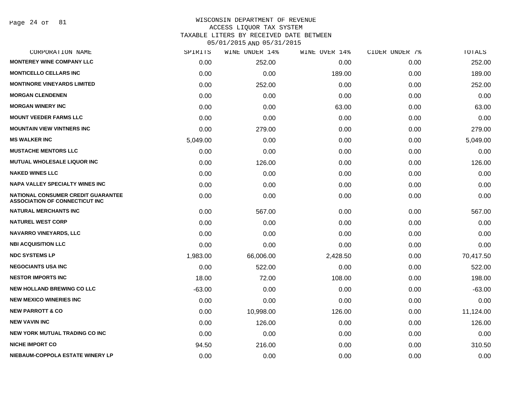Page 24 of 81

# WISCONSIN DEPARTMENT OF REVENUE ACCESS LIQUOR TAX SYSTEM TAXABLE LITERS BY RECEIVED DATE BETWEEN

| CORPORATION NAME                                                                   | SPIRITS  | WINE UNDER 14% | WINE OVER 14% | CIDER UNDER 7% | TOTALS    |
|------------------------------------------------------------------------------------|----------|----------------|---------------|----------------|-----------|
| <b>MONTEREY WINE COMPANY LLC</b>                                                   | 0.00     | 252.00         | 0.00          | 0.00           | 252.00    |
| <b>MONTICELLO CELLARS INC</b>                                                      | 0.00     | 0.00           | 189.00        | 0.00           | 189.00    |
| <b>MONTINORE VINEYARDS LIMITED</b>                                                 | 0.00     | 252.00         | 0.00          | 0.00           | 252.00    |
| <b>MORGAN CLENDENEN</b>                                                            | 0.00     | 0.00           | 0.00          | 0.00           | 0.00      |
| <b>MORGAN WINERY INC</b>                                                           | 0.00     | 0.00           | 63.00         | 0.00           | 63.00     |
| <b>MOUNT VEEDER FARMS LLC</b>                                                      | 0.00     | 0.00           | 0.00          | 0.00           | 0.00      |
| <b>MOUNTAIN VIEW VINTNERS INC</b>                                                  | 0.00     | 279.00         | 0.00          | 0.00           | 279.00    |
| <b>MS WALKER INC</b>                                                               | 5,049.00 | 0.00           | 0.00          | 0.00           | 5,049.00  |
| <b>MUSTACHE MENTORS LLC</b>                                                        | 0.00     | 0.00           | 0.00          | 0.00           | 0.00      |
| MUTUAL WHOLESALE LIQUOR INC                                                        | 0.00     | 126.00         | 0.00          | 0.00           | 126.00    |
| <b>NAKED WINES LLC</b>                                                             | 0.00     | 0.00           | 0.00          | 0.00           | 0.00      |
| <b>NAPA VALLEY SPECIALTY WINES INC</b>                                             | 0.00     | 0.00           | 0.00          | 0.00           | 0.00      |
| <b>NATIONAL CONSUMER CREDIT GUARANTEE</b><br><b>ASSOCIATION OF CONNECTICUT INC</b> | 0.00     | 0.00           | 0.00          | 0.00           | 0.00      |
| <b>NATURAL MERCHANTS INC</b>                                                       | 0.00     | 567.00         | 0.00          | 0.00           | 567.00    |
| <b>NATUREL WEST CORP</b>                                                           | 0.00     | 0.00           | 0.00          | 0.00           | 0.00      |
| <b>NAVARRO VINEYARDS, LLC</b>                                                      | 0.00     | 0.00           | 0.00          | 0.00           | 0.00      |
| <b>NBI ACQUISITION LLC</b>                                                         | 0.00     | 0.00           | 0.00          | 0.00           | 0.00      |
| <b>NDC SYSTEMS LP</b>                                                              | 1,983.00 | 66,006.00      | 2,428.50      | 0.00           | 70,417.50 |
| <b>NEGOCIANTS USA INC</b>                                                          | 0.00     | 522.00         | 0.00          | 0.00           | 522.00    |
| <b>NESTOR IMPORTS INC</b>                                                          | 18.00    | 72.00          | 108.00        | 0.00           | 198.00    |
| <b>NEW HOLLAND BREWING CO LLC</b>                                                  | $-63.00$ | 0.00           | 0.00          | 0.00           | $-63.00$  |
| <b>NEW MEXICO WINERIES INC</b>                                                     | 0.00     | 0.00           | 0.00          | 0.00           | 0.00      |
| <b>NEW PARROTT &amp; CO</b>                                                        | 0.00     | 10,998.00      | 126.00        | 0.00           | 11,124.00 |
| <b>NEW VAVIN INC</b>                                                               | 0.00     | 126.00         | 0.00          | 0.00           | 126.00    |
| <b>NEW YORK MUTUAL TRADING CO INC</b>                                              | 0.00     | 0.00           | 0.00          | 0.00           | 0.00      |
| <b>NICHE IMPORT CO</b>                                                             | 94.50    | 216.00         | 0.00          | 0.00           | 310.50    |
| NIEBAUM-COPPOLA ESTATE WINERY LP                                                   | 0.00     | 0.00           | 0.00          | 0.00           | 0.00      |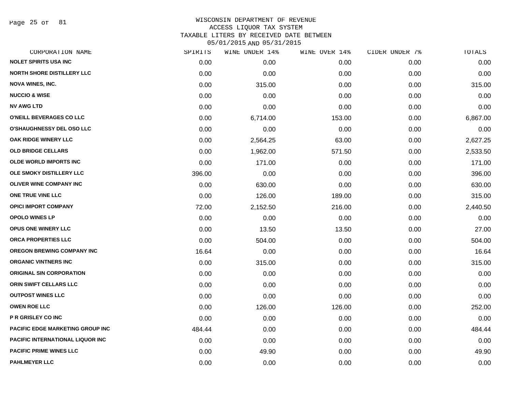Page 25 of 81

### WISCONSIN DEPARTMENT OF REVENUE ACCESS LIQUOR TAX SYSTEM TAXABLE LITERS BY RECEIVED DATE BETWEEN

| CORPORATION NAME                         | SPIRITS | WINE UNDER 14% | WINE OVER 14% | CIDER UNDER 7% | TOTALS   |
|------------------------------------------|---------|----------------|---------------|----------------|----------|
| <b>NOLET SPIRITS USA INC</b>             | 0.00    | 0.00           | 0.00          | 0.00           | 0.00     |
| <b>NORTH SHORE DISTILLERY LLC</b>        | 0.00    | 0.00           | 0.00          | 0.00           | 0.00     |
| <b>NOVA WINES, INC.</b>                  | 0.00    | 315.00         | 0.00          | 0.00           | 315.00   |
| <b>NUCCIO &amp; WISE</b>                 | 0.00    | 0.00           | 0.00          | 0.00           | 0.00     |
| <b>NV AWG LTD</b>                        | 0.00    | 0.00           | 0.00          | 0.00           | 0.00     |
| O'NEILL BEVERAGES CO LLC                 | 0.00    | 6,714.00       | 153.00        | 0.00           | 6,867.00 |
| O'SHAUGHNESSY DEL OSO LLC                | 0.00    | 0.00           | 0.00          | 0.00           | 0.00     |
| OAK RIDGE WINERY LLC                     | 0.00    | 2,564.25       | 63.00         | 0.00           | 2,627.25 |
| <b>OLD BRIDGE CELLARS</b>                | 0.00    | 1,962.00       | 571.50        | 0.00           | 2,533.50 |
| <b>OLDE WORLD IMPORTS INC</b>            | 0.00    | 171.00         | 0.00          | 0.00           | 171.00   |
| OLE SMOKY DISTILLERY LLC                 | 396.00  | 0.00           | 0.00          | 0.00           | 396.00   |
| OLIVER WINE COMPANY INC                  | 0.00    | 630.00         | 0.00          | 0.00           | 630.00   |
| ONE TRUE VINE LLC                        | 0.00    | 126.00         | 189.00        | 0.00           | 315.00   |
| <b>OPICI IMPORT COMPANY</b>              | 72.00   | 2,152.50       | 216.00        | 0.00           | 2,440.50 |
| <b>OPOLO WINES LP</b>                    | 0.00    | 0.00           | 0.00          | 0.00           | 0.00     |
| OPUS ONE WINERY LLC                      | 0.00    | 13.50          | 13.50         | 0.00           | 27.00    |
| ORCA PROPERTIES LLC                      | 0.00    | 504.00         | 0.00          | 0.00           | 504.00   |
| <b>OREGON BREWING COMPANY INC</b>        | 16.64   | 0.00           | 0.00          | 0.00           | 16.64    |
| <b>ORGANIC VINTNERS INC</b>              | 0.00    | 315.00         | 0.00          | 0.00           | 315.00   |
| <b>ORIGINAL SIN CORPORATION</b>          | 0.00    | 0.00           | 0.00          | 0.00           | 0.00     |
| ORIN SWIFT CELLARS LLC                   | 0.00    | 0.00           | 0.00          | 0.00           | 0.00     |
| <b>OUTPOST WINES LLC</b>                 | 0.00    | 0.00           | 0.00          | 0.00           | 0.00     |
| <b>OWEN ROE LLC</b>                      | 0.00    | 126.00         | 126.00        | 0.00           | 252.00   |
| P R GRISLEY CO INC                       | 0.00    | 0.00           | 0.00          | 0.00           | 0.00     |
| <b>PACIFIC EDGE MARKETING GROUP INC</b>  | 484.44  | 0.00           | 0.00          | 0.00           | 484.44   |
| <b>PACIFIC INTERNATIONAL LIQUOR INC.</b> | 0.00    | 0.00           | 0.00          | 0.00           | 0.00     |
| <b>PACIFIC PRIME WINES LLC</b>           | 0.00    | 49.90          | 0.00          | 0.00           | 49.90    |
| <b>PAHLMEYER LLC</b>                     | 0.00    | 0.00           | 0.00          | 0.00           | 0.00     |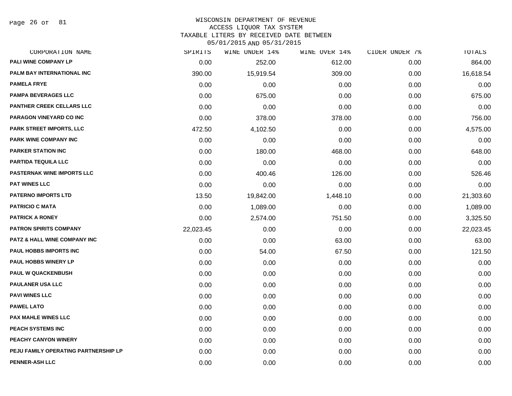Page 26 of 81

### WISCONSIN DEPARTMENT OF REVENUE ACCESS LIQUOR TAX SYSTEM

TAXABLE LITERS BY RECEIVED DATE BETWEEN

| CORPORATION NAME                        | SPIRITS   | WINE UNDER 14% | WINE OVER 14% | CIDER UNDER 7% | TOTALS    |
|-----------------------------------------|-----------|----------------|---------------|----------------|-----------|
| PALI WINE COMPANY LP                    | 0.00      | 252.00         | 612.00        | 0.00           | 864.00    |
| PALM BAY INTERNATIONAL INC              | 390.00    | 15,919.54      | 309.00        | 0.00           | 16,618.54 |
| <b>PAMELA FRYE</b>                      | 0.00      | 0.00           | 0.00          | 0.00           | 0.00      |
| <b>PAMPA BEVERAGES LLC</b>              | 0.00      | 675.00         | 0.00          | 0.00           | 675.00    |
| <b>PANTHER CREEK CELLARS LLC</b>        | 0.00      | 0.00           | 0.00          | 0.00           | 0.00      |
| <b>PARAGON VINEYARD CO INC</b>          | 0.00      | 378.00         | 378.00        | 0.00           | 756.00    |
| <b>PARK STREET IMPORTS, LLC</b>         | 472.50    | 4,102.50       | 0.00          | 0.00           | 4,575.00  |
| <b>PARK WINE COMPANY INC</b>            | 0.00      | 0.00           | 0.00          | 0.00           | 0.00      |
| <b>PARKER STATION INC</b>               | 0.00      | 180.00         | 468.00        | 0.00           | 648.00    |
| <b>PARTIDA TEQUILA LLC</b>              | 0.00      | 0.00           | 0.00          | 0.00           | 0.00      |
| <b>PASTERNAK WINE IMPORTS LLC</b>       | 0.00      | 400.46         | 126.00        | 0.00           | 526.46    |
| <b>PAT WINES LLC</b>                    | 0.00      | 0.00           | 0.00          | 0.00           | 0.00      |
| <b>PATERNO IMPORTS LTD</b>              | 13.50     | 19,842.00      | 1,448.10      | 0.00           | 21,303.60 |
| <b>PATRICIO C MATA</b>                  | 0.00      | 1,089.00       | 0.00          | 0.00           | 1,089.00  |
| <b>PATRICK A RONEY</b>                  | 0.00      | 2,574.00       | 751.50        | 0.00           | 3,325.50  |
| <b>PATRON SPIRITS COMPANY</b>           | 22,023.45 | 0.00           | 0.00          | 0.00           | 22,023.45 |
| <b>PATZ &amp; HALL WINE COMPANY INC</b> | 0.00      | 0.00           | 63.00         | 0.00           | 63.00     |
| PAUL HOBBS IMPORTS INC                  | 0.00      | 54.00          | 67.50         | 0.00           | 121.50    |
| <b>PAUL HOBBS WINERY LP</b>             | 0.00      | 0.00           | 0.00          | 0.00           | 0.00      |
| <b>PAUL W QUACKENBUSH</b>               | 0.00      | 0.00           | 0.00          | 0.00           | 0.00      |
| <b>PAULANER USA LLC</b>                 | 0.00      | 0.00           | 0.00          | 0.00           | 0.00      |
| <b>PAVI WINES LLC</b>                   | 0.00      | 0.00           | 0.00          | 0.00           | 0.00      |
| <b>PAWEL LATO</b>                       | 0.00      | 0.00           | 0.00          | 0.00           | 0.00      |
| <b>PAX MAHLE WINES LLC</b>              | 0.00      | 0.00           | 0.00          | 0.00           | 0.00      |
| PEACH SYSTEMS INC                       | 0.00      | 0.00           | 0.00          | 0.00           | 0.00      |
| PEACHY CANYON WINERY                    | 0.00      | 0.00           | 0.00          | 0.00           | 0.00      |
| PEJU FAMILY OPERATING PARTNERSHIP LP    | 0.00      | 0.00           | 0.00          | 0.00           | 0.00      |
| <b>PENNER-ASH LLC</b>                   | 0.00      | 0.00           | 0.00          | 0.00           | 0.00      |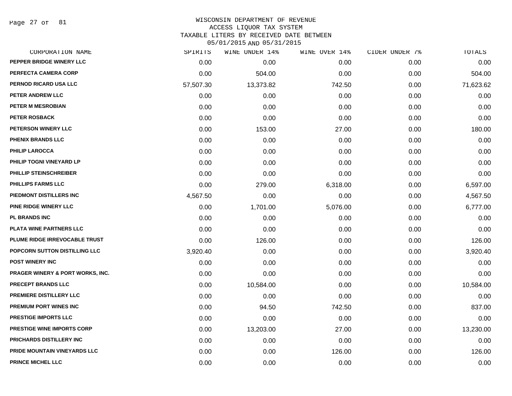Page 27 of 81

### WISCONSIN DEPARTMENT OF REVENUE ACCESS LIQUOR TAX SYSTEM TAXABLE LITERS BY RECEIVED DATE BETWEEN

| CORPORATION NAME                            | SPIRITS   | WINE UNDER 14% | WINE OVER 14% | CIDER UNDER 7% | TOTALS    |
|---------------------------------------------|-----------|----------------|---------------|----------------|-----------|
| PEPPER BRIDGE WINERY LLC                    | 0.00      | 0.00           | 0.00          | 0.00           | 0.00      |
| PERFECTA CAMERA CORP                        | 0.00      | 504.00         | 0.00          | 0.00           | 504.00    |
| PERNOD RICARD USA LLC                       | 57,507.30 | 13,373.82      | 742.50        | 0.00           | 71,623.62 |
| PETER ANDREW LLC                            | 0.00      | 0.00           | 0.00          | 0.00           | 0.00      |
| PETER M MESROBIAN                           | 0.00      | 0.00           | 0.00          | 0.00           | 0.00      |
| PETER ROSBACK                               | 0.00      | 0.00           | 0.00          | 0.00           | 0.00      |
| PETERSON WINERY LLC                         | 0.00      | 153.00         | 27.00         | 0.00           | 180.00    |
| PHENIX BRANDS LLC                           | 0.00      | 0.00           | 0.00          | 0.00           | 0.00      |
| <b>PHILIP LAROCCA</b>                       | 0.00      | 0.00           | 0.00          | 0.00           | 0.00      |
| PHILIP TOGNI VINEYARD LP                    | 0.00      | 0.00           | 0.00          | 0.00           | 0.00      |
| PHILLIP STEINSCHREIBER                      | 0.00      | 0.00           | 0.00          | 0.00           | 0.00      |
| PHILLIPS FARMS LLC                          | 0.00      | 279.00         | 6,318.00      | 0.00           | 6,597.00  |
| PIEDMONT DISTILLERS INC                     | 4,567.50  | 0.00           | 0.00          | 0.00           | 4,567.50  |
| <b>PINE RIDGE WINERY LLC</b>                | 0.00      | 1,701.00       | 5,076.00      | 0.00           | 6,777.00  |
| <b>PL BRANDS INC</b>                        | 0.00      | 0.00           | 0.00          | 0.00           | 0.00      |
| PLATA WINE PARTNERS LLC                     | 0.00      | 0.00           | 0.00          | 0.00           | 0.00      |
| PLUME RIDGE IRREVOCABLE TRUST               | 0.00      | 126.00         | 0.00          | 0.00           | 126.00    |
| POPCORN SUTTON DISTILLING LLC               | 3,920.40  | 0.00           | 0.00          | 0.00           | 3,920.40  |
| <b>POST WINERY INC</b>                      | 0.00      | 0.00           | 0.00          | 0.00           | 0.00      |
| <b>PRAGER WINERY &amp; PORT WORKS, INC.</b> | 0.00      | 0.00           | 0.00          | 0.00           | 0.00      |
| <b>PRECEPT BRANDS LLC</b>                   | 0.00      | 10,584.00      | 0.00          | 0.00           | 10,584.00 |
| PREMIERE DISTILLERY LLC                     | 0.00      | 0.00           | 0.00          | 0.00           | 0.00      |
| PREMIUM PORT WINES INC                      | 0.00      | 94.50          | 742.50        | 0.00           | 837.00    |
| PRESTIGE IMPORTS LLC                        | 0.00      | 0.00           | 0.00          | 0.00           | 0.00      |
| <b>PRESTIGE WINE IMPORTS CORP</b>           | 0.00      | 13,203.00      | 27.00         | 0.00           | 13,230.00 |
| <b>PRICHARDS DISTILLERY INC</b>             | 0.00      | 0.00           | 0.00          | 0.00           | 0.00      |
| PRIDE MOUNTAIN VINEYARDS LLC                | 0.00      | 0.00           | 126.00        | 0.00           | 126.00    |
| PRINCE MICHEL LLC                           | 0.00      | 0.00           | 0.00          | 0.00           | 0.00      |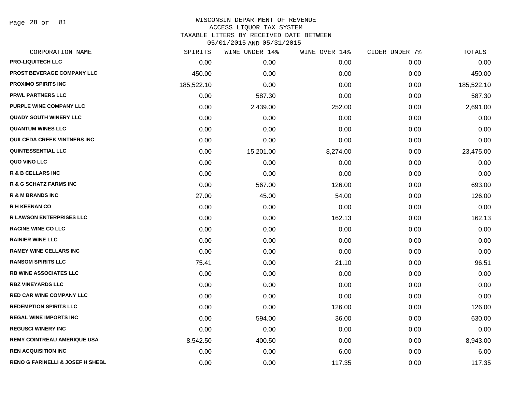Page 28 of 81

# WISCONSIN DEPARTMENT OF REVENUE ACCESS LIQUOR TAX SYSTEM TAXABLE LITERS BY RECEIVED DATE BETWEEN

| CORPORATION NAME                            | SPIRITS    | WINE UNDER 14% | WINE OVER 14% | CIDER UNDER 7% | TOTALS     |
|---------------------------------------------|------------|----------------|---------------|----------------|------------|
| <b>PRO-LIQUITECH LLC</b>                    | 0.00       | 0.00           | 0.00          | 0.00           | 0.00       |
| PROST BEVERAGE COMPANY LLC                  | 450.00     | 0.00           | 0.00          | 0.00           | 450.00     |
| <b>PROXIMO SPIRITS INC</b>                  | 185,522.10 | 0.00           | 0.00          | 0.00           | 185,522.10 |
| <b>PRWL PARTNERS LLC</b>                    | 0.00       | 587.30         | 0.00          | 0.00           | 587.30     |
| PURPLE WINE COMPANY LLC                     | 0.00       | 2,439.00       | 252.00        | 0.00           | 2,691.00   |
| <b>QUADY SOUTH WINERY LLC</b>               | 0.00       | 0.00           | 0.00          | 0.00           | 0.00       |
| <b>QUANTUM WINES LLC</b>                    | 0.00       | 0.00           | 0.00          | 0.00           | 0.00       |
| <b>QUILCEDA CREEK VINTNERS INC</b>          | 0.00       | 0.00           | 0.00          | 0.00           | 0.00       |
| <b>QUINTESSENTIAL LLC</b>                   | 0.00       | 15,201.00      | 8,274.00      | 0.00           | 23,475.00  |
| QUO VINO LLC                                | 0.00       | 0.00           | 0.00          | 0.00           | 0.00       |
| <b>R &amp; B CELLARS INC</b>                | 0.00       | 0.00           | 0.00          | 0.00           | 0.00       |
| <b>R &amp; G SCHATZ FARMS INC</b>           | 0.00       | 567.00         | 126.00        | 0.00           | 693.00     |
| <b>R &amp; M BRANDS INC</b>                 | 27.00      | 45.00          | 54.00         | 0.00           | 126.00     |
| <b>R H KEENAN CO</b>                        | 0.00       | 0.00           | 0.00          | 0.00           | 0.00       |
| <b>R LAWSON ENTERPRISES LLC</b>             | 0.00       | 0.00           | 162.13        | 0.00           | 162.13     |
| <b>RACINE WINE CO LLC</b>                   | 0.00       | 0.00           | 0.00          | 0.00           | 0.00       |
| <b>RAINIER WINE LLC</b>                     | 0.00       | 0.00           | 0.00          | 0.00           | 0.00       |
| <b>RAMEY WINE CELLARS INC</b>               | 0.00       | 0.00           | 0.00          | 0.00           | 0.00       |
| <b>RANSOM SPIRITS LLC</b>                   | 75.41      | 0.00           | 21.10         | 0.00           | 96.51      |
| <b>RB WINE ASSOCIATES LLC</b>               | 0.00       | 0.00           | 0.00          | 0.00           | 0.00       |
| <b>RBZ VINEYARDS LLC</b>                    | 0.00       | 0.00           | 0.00          | 0.00           | 0.00       |
| <b>RED CAR WINE COMPANY LLC</b>             | 0.00       | 0.00           | 0.00          | 0.00           | 0.00       |
| <b>REDEMPTION SPIRITS LLC</b>               | 0.00       | 0.00           | 126.00        | 0.00           | 126.00     |
| <b>REGAL WINE IMPORTS INC</b>               | 0.00       | 594.00         | 36.00         | 0.00           | 630.00     |
| <b>REGUSCI WINERY INC</b>                   | 0.00       | 0.00           | 0.00          | 0.00           | 0.00       |
| <b>REMY COINTREAU AMERIQUE USA</b>          | 8,542.50   | 400.50         | 0.00          | 0.00           | 8,943.00   |
| <b>REN ACQUISITION INC</b>                  | 0.00       | 0.00           | 6.00          | 0.00           | 6.00       |
| <b>RENO G FARINELLI &amp; JOSEF H SHEBL</b> | 0.00       | 0.00           | 117.35        | 0.00           | 117.35     |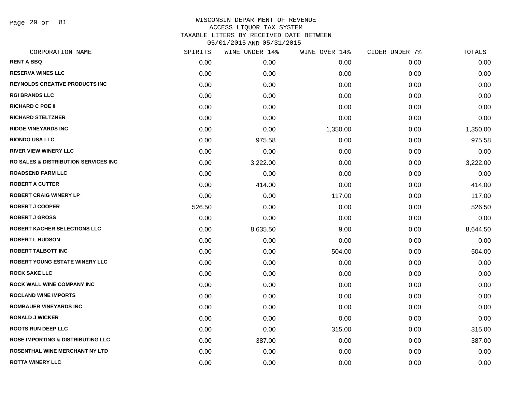Page 29 of 81

| CORPORATION NAME                                 | SPIRITS | WINE UNDER 14% | WINE OVER 14% | CIDER UNDER 7% | TOTALS   |
|--------------------------------------------------|---------|----------------|---------------|----------------|----------|
| <b>RENT A BBQ</b>                                | 0.00    | 0.00           | 0.00          | 0.00           | 0.00     |
| <b>RESERVA WINES LLC</b>                         | 0.00    | 0.00           | 0.00          | 0.00           | 0.00     |
| <b>REYNOLDS CREATIVE PRODUCTS INC</b>            | 0.00    | 0.00           | 0.00          | 0.00           | 0.00     |
| <b>RGI BRANDS LLC</b>                            | 0.00    | 0.00           | 0.00          | 0.00           | 0.00     |
| <b>RICHARD C POE II</b>                          | 0.00    | 0.00           | 0.00          | 0.00           | 0.00     |
| <b>RICHARD STELTZNER</b>                         | 0.00    | 0.00           | 0.00          | 0.00           | 0.00     |
| <b>RIDGE VINEYARDS INC</b>                       | 0.00    | 0.00           | 1,350.00      | 0.00           | 1,350.00 |
| <b>RIONDO USA LLC</b>                            | 0.00    | 975.58         | 0.00          | 0.00           | 975.58   |
| <b>RIVER VIEW WINERY LLC</b>                     | 0.00    | 0.00           | 0.00          | 0.00           | 0.00     |
| <b>RO SALES &amp; DISTRIBUTION SERVICES INC.</b> | 0.00    | 3,222.00       | 0.00          | 0.00           | 3,222.00 |
| <b>ROADSEND FARM LLC</b>                         | 0.00    | 0.00           | 0.00          | 0.00           | 0.00     |
| <b>ROBERT A CUTTER</b>                           | 0.00    | 414.00         | 0.00          | 0.00           | 414.00   |
| <b>ROBERT CRAIG WINERY LP</b>                    | 0.00    | 0.00           | 117.00        | 0.00           | 117.00   |
| <b>ROBERT J COOPER</b>                           | 526.50  | 0.00           | 0.00          | 0.00           | 526.50   |
| <b>ROBERT J GROSS</b>                            | 0.00    | 0.00           | 0.00          | 0.00           | 0.00     |
| ROBERT KACHER SELECTIONS LLC                     | 0.00    | 8,635.50       | 9.00          | 0.00           | 8,644.50 |
| <b>ROBERT L HUDSON</b>                           | 0.00    | 0.00           | 0.00          | 0.00           | 0.00     |
| <b>ROBERT TALBOTT INC</b>                        | 0.00    | 0.00           | 504.00        | 0.00           | 504.00   |
| ROBERT YOUNG ESTATE WINERY LLC                   | 0.00    | 0.00           | 0.00          | 0.00           | 0.00     |
| <b>ROCK SAKE LLC</b>                             | 0.00    | 0.00           | 0.00          | 0.00           | 0.00     |
| ROCK WALL WINE COMPANY INC                       | 0.00    | 0.00           | 0.00          | 0.00           | 0.00     |
| <b>ROCLAND WINE IMPORTS</b>                      | 0.00    | 0.00           | 0.00          | 0.00           | 0.00     |
| <b>ROMBAUER VINEYARDS INC</b>                    | 0.00    | 0.00           | 0.00          | 0.00           | 0.00     |
| <b>RONALD J WICKER</b>                           | 0.00    | 0.00           | 0.00          | 0.00           | 0.00     |
| <b>ROOTS RUN DEEP LLC</b>                        | 0.00    | 0.00           | 315.00        | 0.00           | 315.00   |
| <b>ROSE IMPORTING &amp; DISTRIBUTING LLC</b>     | 0.00    | 387.00         | 0.00          | 0.00           | 387.00   |
| ROSENTHAL WINE MERCHANT NY LTD                   | 0.00    | 0.00           | 0.00          | 0.00           | 0.00     |
| <b>ROTTA WINERY LLC</b>                          | 0.00    | 0.00           | 0.00          | 0.00           | 0.00     |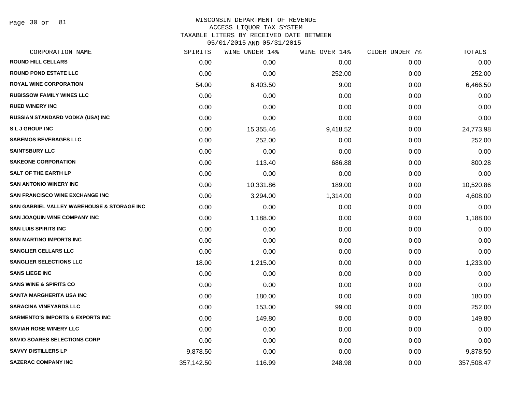Page 30 of 81

### WISCONSIN DEPARTMENT OF REVENUE ACCESS LIQUOR TAX SYSTEM

TAXABLE LITERS BY RECEIVED DATE BETWEEN

| CORPORATION NAME                            | SPIRITS    | WINE UNDER 14% | WINE OVER 14% | CIDER UNDER 7% | TOTALS     |
|---------------------------------------------|------------|----------------|---------------|----------------|------------|
| <b>ROUND HILL CELLARS</b>                   | 0.00       | 0.00           | 0.00          | 0.00           | 0.00       |
| <b>ROUND POND ESTATE LLC</b>                | 0.00       | 0.00           | 252.00        | 0.00           | 252.00     |
| <b>ROYAL WINE CORPORATION</b>               | 54.00      | 6,403.50       | 9.00          | 0.00           | 6,466.50   |
| <b>RUBISSOW FAMILY WINES LLC</b>            | 0.00       | 0.00           | 0.00          | 0.00           | 0.00       |
| <b>RUED WINERY INC</b>                      | 0.00       | 0.00           | 0.00          | 0.00           | 0.00       |
| RUSSIAN STANDARD VODKA (USA) INC            | 0.00       | 0.00           | 0.00          | 0.00           | 0.00       |
| <b>SLJGROUPINC</b>                          | 0.00       | 15,355.46      | 9,418.52      | 0.00           | 24,773.98  |
| <b>SABEMOS BEVERAGES LLC</b>                | 0.00       | 252.00         | 0.00          | 0.00           | 252.00     |
| <b>SAINTSBURY LLC</b>                       | 0.00       | 0.00           | 0.00          | 0.00           | 0.00       |
| <b>SAKEONE CORPORATION</b>                  | 0.00       | 113.40         | 686.88        | 0.00           | 800.28     |
| <b>SALT OF THE EARTH LP</b>                 | 0.00       | 0.00           | 0.00          | 0.00           | 0.00       |
| <b>SAN ANTONIO WINERY INC</b>               | 0.00       | 10,331.86      | 189.00        | 0.00           | 10,520.86  |
| <b>SAN FRANCISCO WINE EXCHANGE INC</b>      | 0.00       | 3,294.00       | 1,314.00      | 0.00           | 4,608.00   |
| SAN GABRIEL VALLEY WAREHOUSE & STORAGE INC  | 0.00       | 0.00           | 0.00          | 0.00           | 0.00       |
| <b>SAN JOAQUIN WINE COMPANY INC</b>         | 0.00       | 1,188.00       | 0.00          | 0.00           | 1,188.00   |
| <b>SAN LUIS SPIRITS INC</b>                 | 0.00       | 0.00           | 0.00          | 0.00           | 0.00       |
| <b>SAN MARTINO IMPORTS INC</b>              | 0.00       | 0.00           | 0.00          | 0.00           | 0.00       |
| <b>SANGLIER CELLARS LLC</b>                 | 0.00       | 0.00           | 0.00          | 0.00           | 0.00       |
| <b>SANGLIER SELECTIONS LLC</b>              | 18.00      | 1,215.00       | 0.00          | 0.00           | 1,233.00   |
| <b>SANS LIEGE INC</b>                       | 0.00       | 0.00           | 0.00          | 0.00           | 0.00       |
| <b>SANS WINE &amp; SPIRITS CO</b>           | 0.00       | 0.00           | 0.00          | 0.00           | 0.00       |
| SANTA MARGHERITA USA INC                    | 0.00       | 180.00         | 0.00          | 0.00           | 180.00     |
| <b>SARACINA VINEYARDS LLC</b>               | 0.00       | 153.00         | 99.00         | 0.00           | 252.00     |
| <b>SARMENTO'S IMPORTS &amp; EXPORTS INC</b> | 0.00       | 149.80         | 0.00          | 0.00           | 149.80     |
| <b>SAVIAH ROSE WINERY LLC</b>               | 0.00       | 0.00           | 0.00          | 0.00           | 0.00       |
| <b>SAVIO SOARES SELECTIONS CORP</b>         | 0.00       | 0.00           | 0.00          | 0.00           | 0.00       |
| <b>SAVVY DISTILLERS LP</b>                  | 9,878.50   | 0.00           | 0.00          | 0.00           | 9,878.50   |
| <b>SAZERAC COMPANY INC</b>                  | 357,142.50 | 116.99         | 248.98        | 0.00           | 357,508.47 |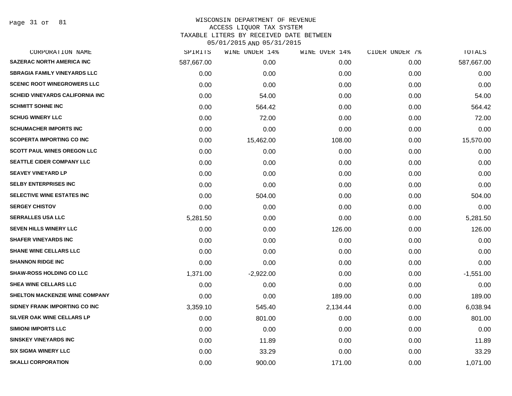Page 31 of 81

# WISCONSIN DEPARTMENT OF REVENUE ACCESS LIQUOR TAX SYSTEM

TAXABLE LITERS BY RECEIVED DATE BETWEEN

| CORPORATION NAME                       | SPIRITS    | WINE UNDER 14% | WINE OVER 14% | CIDER UNDER 7% | TOTALS      |
|----------------------------------------|------------|----------------|---------------|----------------|-------------|
| <b>SAZERAC NORTH AMERICA INC</b>       | 587,667.00 | 0.00           | 0.00          | 0.00           | 587,667.00  |
| <b>SBRAGIA FAMILY VINEYARDS LLC</b>    | 0.00       | 0.00           | 0.00          | 0.00           | 0.00        |
| <b>SCENIC ROOT WINEGROWERS LLC</b>     | 0.00       | 0.00           | 0.00          | 0.00           | 0.00        |
| <b>SCHEID VINEYARDS CALIFORNIA INC</b> | 0.00       | 54.00          | 0.00          | 0.00           | 54.00       |
| <b>SCHMITT SOHNE INC</b>               | 0.00       | 564.42         | 0.00          | 0.00           | 564.42      |
| <b>SCHUG WINERY LLC</b>                | 0.00       | 72.00          | 0.00          | 0.00           | 72.00       |
| <b>SCHUMACHER IMPORTS INC</b>          | 0.00       | 0.00           | 0.00          | 0.00           | 0.00        |
| <b>SCOPERTA IMPORTING CO INC</b>       | 0.00       | 15,462.00      | 108.00        | 0.00           | 15,570.00   |
| SCOTT PAUL WINES OREGON LLC            | 0.00       | 0.00           | 0.00          | 0.00           | 0.00        |
| <b>SEATTLE CIDER COMPANY LLC</b>       | 0.00       | 0.00           | 0.00          | 0.00           | 0.00        |
| <b>SEAVEY VINEYARD LP</b>              | 0.00       | 0.00           | 0.00          | 0.00           | 0.00        |
| <b>SELBY ENTERPRISES INC</b>           | 0.00       | 0.00           | 0.00          | 0.00           | 0.00        |
| SELECTIVE WINE ESTATES INC             | 0.00       | 504.00         | 0.00          | 0.00           | 504.00      |
| <b>SERGEY CHISTOV</b>                  | 0.00       | 0.00           | 0.00          | 0.00           | 0.00        |
| <b>SERRALLES USA LLC</b>               | 5,281.50   | 0.00           | 0.00          | 0.00           | 5,281.50    |
| SEVEN HILLS WINERY LLC                 | 0.00       | 0.00           | 126.00        | 0.00           | 126.00      |
| <b>SHAFER VINEYARDS INC</b>            | 0.00       | 0.00           | 0.00          | 0.00           | 0.00        |
| <b>SHANE WINE CELLARS LLC</b>          | 0.00       | 0.00           | 0.00          | 0.00           | 0.00        |
| <b>SHANNON RIDGE INC</b>               | 0.00       | 0.00           | 0.00          | 0.00           | 0.00        |
| <b>SHAW-ROSS HOLDING CO LLC</b>        | 1,371.00   | $-2,922.00$    | 0.00          | 0.00           | $-1,551.00$ |
| <b>SHEA WINE CELLARS LLC</b>           | 0.00       | 0.00           | 0.00          | 0.00           | 0.00        |
| SHELTON MACKENZIE WINE COMPANY         | 0.00       | 0.00           | 189.00        | 0.00           | 189.00      |
| SIDNEY FRANK IMPORTING CO INC          | 3,359.10   | 545.40         | 2,134.44      | 0.00           | 6,038.94    |
| SILVER OAK WINE CELLARS LP             | 0.00       | 801.00         | 0.00          | 0.00           | 801.00      |
| <b>SIMIONI IMPORTS LLC</b>             | 0.00       | 0.00           | 0.00          | 0.00           | 0.00        |
| <b>SINSKEY VINEYARDS INC</b>           | 0.00       | 11.89          | 0.00          | 0.00           | 11.89       |
| <b>SIX SIGMA WINERY LLC</b>            | 0.00       | 33.29          | 0.00          | 0.00           | 33.29       |
| <b>SKALLI CORPORATION</b>              | 0.00       | 900.00         | 171.00        | 0.00           | 1,071.00    |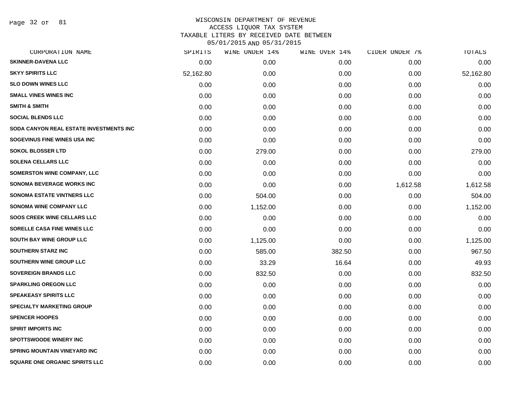Page 32 of 81

# WISCONSIN DEPARTMENT OF REVENUE ACCESS LIQUOR TAX SYSTEM

TAXABLE LITERS BY RECEIVED DATE BETWEEN

| CORPORATION NAME                        | SPIRITS   | WINE UNDER 14% | WINE OVER 14% | CIDER UNDER 7% | TOTALS    |
|-----------------------------------------|-----------|----------------|---------------|----------------|-----------|
| <b>SKINNER-DAVENA LLC</b>               | 0.00      | 0.00           | 0.00          | 0.00           | 0.00      |
| <b>SKYY SPIRITS LLC</b>                 | 52,162.80 | 0.00           | 0.00          | 0.00           | 52,162.80 |
| <b>SLO DOWN WINES LLC</b>               | 0.00      | 0.00           | 0.00          | 0.00           | 0.00      |
| <b>SMALL VINES WINES INC</b>            | 0.00      | 0.00           | 0.00          | 0.00           | 0.00      |
| <b>SMITH &amp; SMITH</b>                | 0.00      | 0.00           | 0.00          | 0.00           | 0.00      |
| <b>SOCIAL BLENDS LLC</b>                | 0.00      | 0.00           | 0.00          | 0.00           | 0.00      |
| SODA CANYON REAL ESTATE INVESTMENTS INC | 0.00      | 0.00           | 0.00          | 0.00           | 0.00      |
| SOGEVINUS FINE WINES USA INC            | 0.00      | 0.00           | 0.00          | 0.00           | 0.00      |
| <b>SOKOL BLOSSER LTD</b>                | 0.00      | 279.00         | 0.00          | 0.00           | 279.00    |
| <b>SOLENA CELLARS LLC</b>               | 0.00      | 0.00           | 0.00          | 0.00           | 0.00      |
| <b>SOMERSTON WINE COMPANY, LLC</b>      | 0.00      | 0.00           | 0.00          | 0.00           | 0.00      |
| SONOMA BEVERAGE WORKS INC               | 0.00      | 0.00           | 0.00          | 1,612.58       | 1,612.58  |
| <b>SONOMA ESTATE VINTNERS LLC</b>       | 0.00      | 504.00         | 0.00          | 0.00           | 504.00    |
| <b>SONOMA WINE COMPANY LLC</b>          | 0.00      | 1,152.00       | 0.00          | 0.00           | 1,152.00  |
| <b>SOOS CREEK WINE CELLARS LLC</b>      | 0.00      | 0.00           | 0.00          | 0.00           | 0.00      |
| SORELLE CASA FINE WINES LLC             | 0.00      | 0.00           | 0.00          | 0.00           | 0.00      |
| <b>SOUTH BAY WINE GROUP LLC</b>         | 0.00      | 1,125.00       | 0.00          | 0.00           | 1,125.00  |
| <b>SOUTHERN STARZ INC</b>               | 0.00      | 585.00         | 382.50        | 0.00           | 967.50    |
| SOUTHERN WINE GROUP LLC                 | 0.00      | 33.29          | 16.64         | 0.00           | 49.93     |
| <b>SOVEREIGN BRANDS LLC</b>             | 0.00      | 832.50         | 0.00          | 0.00           | 832.50    |
| <b>SPARKLING OREGON LLC</b>             | 0.00      | 0.00           | 0.00          | 0.00           | 0.00      |
| <b>SPEAKEASY SPIRITS LLC</b>            | 0.00      | 0.00           | 0.00          | 0.00           | 0.00      |
| <b>SPECIALTY MARKETING GROUP</b>        | 0.00      | 0.00           | 0.00          | 0.00           | 0.00      |
| <b>SPENCER HOOPES</b>                   | 0.00      | 0.00           | 0.00          | 0.00           | 0.00      |
| <b>SPIRIT IMPORTS INC</b>               | 0.00      | 0.00           | 0.00          | 0.00           | 0.00      |
| <b>SPOTTSWOODE WINERY INC</b>           | 0.00      | 0.00           | 0.00          | 0.00           | 0.00      |
| <b>SPRING MOUNTAIN VINEYARD INC</b>     | 0.00      | 0.00           | 0.00          | 0.00           | 0.00      |
| SQUARE ONE ORGANIC SPIRITS LLC          | 0.00      | 0.00           | 0.00          | 0.00           | 0.00      |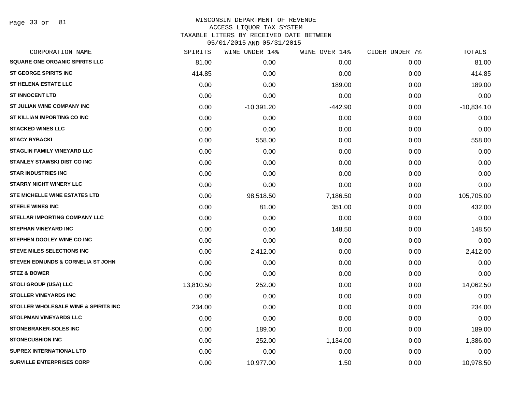Page 33 of 81

| CORPORATION NAME                      | SPIRITS   | WINE UNDER 14% | WINE OVER 14% | CIDER UNDER 7% | TOTALS       |
|---------------------------------------|-----------|----------------|---------------|----------------|--------------|
| <b>SQUARE ONE ORGANIC SPIRITS LLC</b> | 81.00     | 0.00           | 0.00          | 0.00           | 81.00        |
| <b>ST GEORGE SPIRITS INC</b>          | 414.85    | 0.00           | 0.00          | 0.00           | 414.85       |
| <b>ST HELENA ESTATE LLC</b>           | 0.00      | 0.00           | 189.00        | 0.00           | 189.00       |
| <b>ST INNOCENT LTD</b>                | 0.00      | 0.00           | 0.00          | 0.00           | 0.00         |
| ST JULIAN WINE COMPANY INC            | 0.00      | $-10,391.20$   | $-442.90$     | 0.00           | $-10,834.10$ |
| ST KILLIAN IMPORTING CO INC           | 0.00      | 0.00           | 0.00          | 0.00           | 0.00         |
| <b>STACKED WINES LLC</b>              | 0.00      | 0.00           | 0.00          | 0.00           | 0.00         |
| <b>STACY RYBACKI</b>                  | 0.00      | 558.00         | 0.00          | 0.00           | 558.00       |
| <b>STAGLIN FAMILY VINEYARD LLC</b>    | 0.00      | 0.00           | 0.00          | 0.00           | 0.00         |
| <b>STANLEY STAWSKI DIST CO INC</b>    | 0.00      | 0.00           | 0.00          | 0.00           | 0.00         |
| <b>STAR INDUSTRIES INC</b>            | 0.00      | 0.00           | 0.00          | 0.00           | 0.00         |
| <b>STARRY NIGHT WINERY LLC</b>        | 0.00      | 0.00           | 0.00          | 0.00           | 0.00         |
| STE MICHELLE WINE ESTATES LTD         | 0.00      | 98,518.50      | 7,186.50      | 0.00           | 105,705.00   |
| <b>STEELE WINES INC</b>               | 0.00      | 81.00          | 351.00        | 0.00           | 432.00       |
| <b>STELLAR IMPORTING COMPANY LLC</b>  | 0.00      | 0.00           | 0.00          | 0.00           | 0.00         |
| <b>STEPHAN VINEYARD INC</b>           | 0.00      | 0.00           | 148.50        | 0.00           | 148.50       |
| <b>STEPHEN DOOLEY WINE CO INC</b>     | 0.00      | 0.00           | 0.00          | 0.00           | 0.00         |
| <b>STEVE MILES SELECTIONS INC</b>     | 0.00      | 2,412.00       | 0.00          | 0.00           | 2,412.00     |
| STEVEN EDMUNDS & CORNELIA ST JOHN     | 0.00      | 0.00           | 0.00          | 0.00           | 0.00         |
| <b>STEZ &amp; BOWER</b>               | 0.00      | 0.00           | 0.00          | 0.00           | 0.00         |
| STOLI GROUP (USA) LLC                 | 13,810.50 | 252.00         | 0.00          | 0.00           | 14,062.50    |
| <b>STOLLER VINEYARDS INC</b>          | 0.00      | 0.00           | 0.00          | 0.00           | 0.00         |
| STOLLER WHOLESALE WINE & SPIRITS INC  | 234.00    | 0.00           | 0.00          | 0.00           | 234.00       |
| <b>STOLPMAN VINEYARDS LLC</b>         | 0.00      | 0.00           | 0.00          | 0.00           | 0.00         |
| <b>STONEBRAKER-SOLES INC</b>          | 0.00      | 189.00         | 0.00          | 0.00           | 189.00       |
| <b>STONECUSHION INC</b>               | 0.00      | 252.00         | 1,134.00      | 0.00           | 1,386.00     |
| <b>SUPREX INTERNATIONAL LTD</b>       | 0.00      | 0.00           | 0.00          | 0.00           | 0.00         |
| <b>SURVILLE ENTERPRISES CORP</b>      | 0.00      | 10,977.00      | 1.50          | 0.00           | 10,978.50    |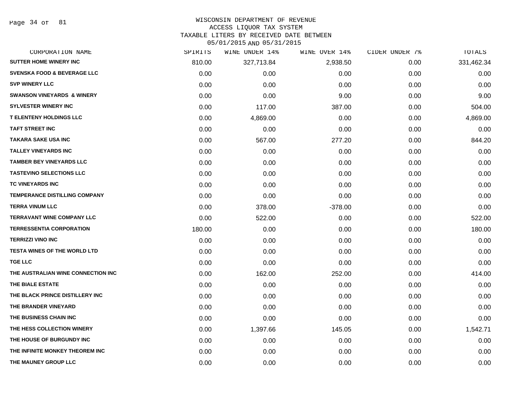Page 34 of 81

### WISCONSIN DEPARTMENT OF REVENUE

### ACCESS LIQUOR TAX SYSTEM

TAXABLE LITERS BY RECEIVED DATE BETWEEN

| CORPORATION NAME                       | SPIRITS | WINE UNDER 14% | WINE OVER 14% | CIDER UNDER 7% | TOTALS     |
|----------------------------------------|---------|----------------|---------------|----------------|------------|
| <b>SUTTER HOME WINERY INC</b>          | 810.00  | 327,713.84     | 2,938.50      | 0.00           | 331,462.34 |
| <b>SVENSKA FOOD &amp; BEVERAGE LLC</b> | 0.00    | 0.00           | 0.00          | 0.00           | 0.00       |
| <b>SVP WINERY LLC</b>                  | 0.00    | 0.00           | 0.00          | 0.00           | 0.00       |
| <b>SWANSON VINEYARDS &amp; WINERY</b>  | 0.00    | 0.00           | 9.00          | 0.00           | 9.00       |
| <b>SYLVESTER WINERY INC</b>            | 0.00    | 117.00         | 387.00        | 0.00           | 504.00     |
| <b>T ELENTENY HOLDINGS LLC</b>         | 0.00    | 4,869.00       | 0.00          | 0.00           | 4,869.00   |
| <b>TAFT STREET INC</b>                 | 0.00    | 0.00           | 0.00          | 0.00           | 0.00       |
| <b>TAKARA SAKE USA INC</b>             | 0.00    | 567.00         | 277.20        | 0.00           | 844.20     |
| <b>TALLEY VINEYARDS INC</b>            | 0.00    | 0.00           | 0.00          | 0.00           | 0.00       |
| <b>TAMBER BEY VINEYARDS LLC</b>        | 0.00    | 0.00           | 0.00          | 0.00           | 0.00       |
| <b>TASTEVINO SELECTIONS LLC</b>        | 0.00    | 0.00           | 0.00          | 0.00           | 0.00       |
| TC VINEYARDS INC                       | 0.00    | 0.00           | 0.00          | 0.00           | 0.00       |
| <b>TEMPERANCE DISTILLING COMPANY</b>   | 0.00    | 0.00           | 0.00          | 0.00           | 0.00       |
| <b>TERRA VINUM LLC</b>                 | 0.00    | 378.00         | $-378.00$     | 0.00           | 0.00       |
| <b>TERRAVANT WINE COMPANY LLC</b>      | 0.00    | 522.00         | 0.00          | 0.00           | 522.00     |
| <b>TERRESSENTIA CORPORATION</b>        | 180.00  | 0.00           | 0.00          | 0.00           | 180.00     |
| <b>TERRIZZI VINO INC</b>               | 0.00    | 0.00           | 0.00          | 0.00           | 0.00       |
| <b>TESTA WINES OF THE WORLD LTD</b>    | 0.00    | 0.00           | 0.00          | 0.00           | 0.00       |
| <b>TGE LLC</b>                         | 0.00    | 0.00           | 0.00          | 0.00           | 0.00       |
| THE AUSTRALIAN WINE CONNECTION INC     | 0.00    | 162.00         | 252.00        | 0.00           | 414.00     |
| THE BIALE ESTATE                       | 0.00    | 0.00           | 0.00          | 0.00           | 0.00       |
| THE BLACK PRINCE DISTILLERY INC        | 0.00    | 0.00           | 0.00          | 0.00           | 0.00       |
| THE BRANDER VINEYARD                   | 0.00    | 0.00           | 0.00          | 0.00           | 0.00       |
| THE BUSINESS CHAIN INC                 | 0.00    | 0.00           | 0.00          | 0.00           | 0.00       |
| THE HESS COLLECTION WINERY             | 0.00    | 1,397.66       | 145.05        | 0.00           | 1,542.71   |
| THE HOUSE OF BURGUNDY INC              | 0.00    | 0.00           | 0.00          | 0.00           | 0.00       |
| THE INFINITE MONKEY THEOREM INC        | 0.00    | 0.00           | 0.00          | 0.00           | 0.00       |
| THE MAUNEY GROUP LLC                   | 0.00    | 0.00           | 0.00          | 0.00           | 0.00       |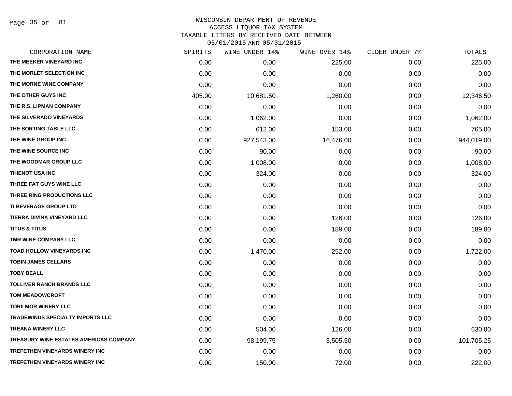Page 35 of 81

| CORPORATION NAME                        | SPIRITS | WINE UNDER 14% | WINE OVER 14% | CIDER UNDER 7% | TOTALS     |
|-----------------------------------------|---------|----------------|---------------|----------------|------------|
| THE MEEKER VINEYARD INC                 | 0.00    | 0.00           | 225.00        | 0.00           | 225.00     |
| THE MORLET SELECTION INC                | 0.00    | 0.00           | 0.00          | 0.00           | 0.00       |
| THE MORNE WINE COMPANY                  | 0.00    | 0.00           | 0.00          | 0.00           | 0.00       |
| THE OTHER GUYS INC                      | 405.00  | 10,681.50      | 1,260.00      | 0.00           | 12,346.50  |
| THE R.S. LIPMAN COMPANY                 | 0.00    | 0.00           | 0.00          | 0.00           | 0.00       |
| THE SILVERADO VINEYARDS                 | 0.00    | 1,062.00       | 0.00          | 0.00           | 1,062.00   |
| THE SORTING TABLE LLC                   | 0.00    | 612.00         | 153.00        | 0.00           | 765.00     |
| THE WINE GROUP INC                      | 0.00    | 927,543.00     | 16,476.00     | 0.00           | 944,019.00 |
| THE WINE SOURCE INC                     | 0.00    | 90.00          | 0.00          | 0.00           | 90.00      |
| THE WOODMAR GROUP LLC                   | 0.00    | 1,008.00       | 0.00          | 0.00           | 1,008.00   |
| <b>THIENOT USA INC</b>                  | 0.00    | 324.00         | 0.00          | 0.00           | 324.00     |
| THREE FAT GUYS WINE LLC                 | 0.00    | 0.00           | 0.00          | 0.00           | 0.00       |
| THREE RING PRODUCTIONS LLC              | 0.00    | 0.00           | 0.00          | 0.00           | 0.00       |
| <b>TI BEVERAGE GROUP LTD</b>            | 0.00    | 0.00           | 0.00          | 0.00           | 0.00       |
| TIERRA DIVINA VINEYARD LLC              | 0.00    | 0.00           | 126.00        | 0.00           | 126.00     |
| <b>TITUS &amp; TITUS</b>                | 0.00    | 0.00           | 189.00        | 0.00           | 189.00     |
| TMR WINE COMPANY LLC                    | 0.00    | 0.00           | 0.00          | 0.00           | 0.00       |
| TOAD HOLLOW VINEYARDS INC               | 0.00    | 1,470.00       | 252.00        | 0.00           | 1,722.00   |
| <b>TOBIN JAMES CELLARS</b>              | 0.00    | 0.00           | 0.00          | 0.00           | 0.00       |
| <b>TOBY BEALL</b>                       | 0.00    | 0.00           | 0.00          | 0.00           | 0.00       |
| <b>TOLLIVER RANCH BRANDS LLC</b>        | 0.00    | 0.00           | 0.00          | 0.00           | 0.00       |
| <b>TOM MEADOWCROFT</b>                  | 0.00    | 0.00           | 0.00          | 0.00           | 0.00       |
| <b>TORII MOR WINERY LLC</b>             | 0.00    | 0.00           | 0.00          | 0.00           | 0.00       |
| <b>TRADEWINDS SPECIALTY IMPORTS LLC</b> | 0.00    | 0.00           | 0.00          | 0.00           | 0.00       |
| <b>TREANA WINERY LLC</b>                | 0.00    | 504.00         | 126.00        | 0.00           | 630.00     |
| TREASURY WINE ESTATES AMERICAS COMPANY  | 0.00    | 98,199.75      | 3,505.50      | 0.00           | 101,705.25 |
| <b>TREFETHEN VINEYARDS WINERY INC</b>   | 0.00    | 0.00           | 0.00          | 0.00           | 0.00       |
| TREFETHEN VINEYARDS WINERY INC          | 0.00    | 150.00         | 72.00         | 0.00           | 222.00     |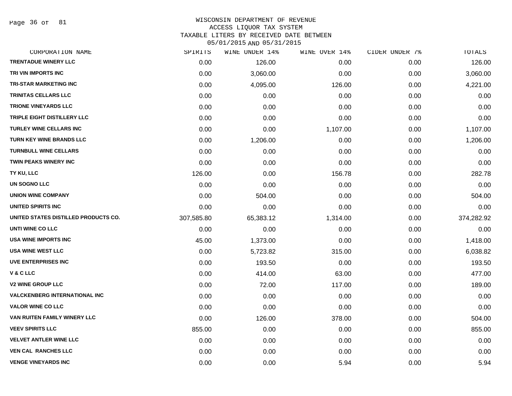Page 36 of 81

### WISCONSIN DEPARTMENT OF REVENUE ACCESS LIQUOR TAX SYSTEM TAXABLE LITERS BY RECEIVED DATE BETWEEN

| CORPORATION NAME                     | SPIRITS    | WINE UNDER 14% | WINE OVER 14% | CIDER UNDER 7% | <b>TOTALS</b> |
|--------------------------------------|------------|----------------|---------------|----------------|---------------|
| <b>TRENTADUE WINERY LLC</b>          | 0.00       | 126.00         | 0.00          | 0.00           | 126.00        |
| TRI VIN IMPORTS INC                  | 0.00       | 3,060.00       | 0.00          | 0.00           | 3,060.00      |
| <b>TRI-STAR MARKETING INC</b>        | 0.00       | 4,095.00       | 126.00        | 0.00           | 4,221.00      |
| <b>TRINITAS CELLARS LLC</b>          | 0.00       | 0.00           | 0.00          | 0.00           | 0.00          |
| <b>TRIONE VINEYARDS LLC</b>          | 0.00       | 0.00           | 0.00          | 0.00           | 0.00          |
| TRIPLE EIGHT DISTILLERY LLC          | 0.00       | 0.00           | 0.00          | 0.00           | 0.00          |
| <b>TURLEY WINE CELLARS INC</b>       | 0.00       | 0.00           | 1,107.00      | 0.00           | 1,107.00      |
| <b>TURN KEY WINE BRANDS LLC</b>      | 0.00       | 1,206.00       | 0.00          | 0.00           | 1,206.00      |
| <b>TURNBULL WINE CELLARS</b>         | 0.00       | 0.00           | 0.00          | 0.00           | 0.00          |
| <b>TWIN PEAKS WINERY INC</b>         | 0.00       | 0.00           | 0.00          | 0.00           | 0.00          |
| TY KU, LLC                           | 126.00     | 0.00           | 156.78        | 0.00           | 282.78        |
| UN SOGNO LLC                         | 0.00       | 0.00           | 0.00          | 0.00           | 0.00          |
| <b>UNION WINE COMPANY</b>            | 0.00       | 504.00         | 0.00          | 0.00           | 504.00        |
| UNITED SPIRITS INC                   | 0.00       | 0.00           | 0.00          | 0.00           | 0.00          |
| UNITED STATES DISTILLED PRODUCTS CO. | 307,585.80 | 65,383.12      | 1,314.00      | 0.00           | 374,282.92    |
| UNTI WINE CO LLC                     | 0.00       | 0.00           | 0.00          | 0.00           | 0.00          |
| USA WINE IMPORTS INC                 | 45.00      | 1,373.00       | 0.00          | 0.00           | 1,418.00      |
| <b>USA WINE WEST LLC</b>             | 0.00       | 5,723.82       | 315.00        | 0.00           | 6,038.82      |
| UVE ENTERPRISES INC                  | 0.00       | 193.50         | 0.00          | 0.00           | 193.50        |
| V & C LLC                            | 0.00       | 414.00         | 63.00         | 0.00           | 477.00        |
| <b>V2 WINE GROUP LLC</b>             | 0.00       | 72.00          | 117.00        | 0.00           | 189.00        |
| <b>VALCKENBERG INTERNATIONAL INC</b> | 0.00       | 0.00           | 0.00          | 0.00           | 0.00          |
| <b>VALOR WINE CO LLC</b>             | 0.00       | 0.00           | 0.00          | 0.00           | 0.00          |
| VAN RUITEN FAMILY WINERY LLC         | 0.00       | 126.00         | 378.00        | 0.00           | 504.00        |
| <b>VEEV SPIRITS LLC</b>              | 855.00     | 0.00           | 0.00          | 0.00           | 855.00        |
| <b>VELVET ANTLER WINE LLC</b>        | 0.00       | 0.00           | 0.00          | 0.00           | 0.00          |
| <b>VEN CAL RANCHES LLC</b>           | 0.00       | 0.00           | 0.00          | 0.00           | 0.00          |
| <b>VENGE VINEYARDS INC</b>           | 0.00       | 0.00           | 5.94          | 0.00           | 5.94          |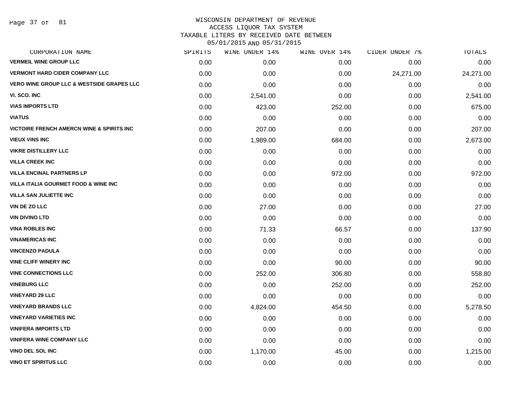Page 37 of 81

#### WISCONSIN DEPARTMENT OF REVENUE ACCESS LIQUOR TAX SYSTEM

TAXABLE LITERS BY RECEIVED DATE BETWEEN

| CORPORATION NAME                                     | SPIRITS | WINE UNDER 14% | WINE OVER 14% | CIDER UNDER 7% | TOTALS    |
|------------------------------------------------------|---------|----------------|---------------|----------------|-----------|
| <b>VERMEIL WINE GROUP LLC</b>                        | 0.00    | 0.00           | 0.00          | 0.00           | 0.00      |
| <b>VERMONT HARD CIDER COMPANY LLC</b>                | 0.00    | 0.00           | 0.00          | 24,271.00      | 24,271.00 |
| <b>VERO WINE GROUP LLC &amp; WESTSIDE GRAPES LLC</b> | 0.00    | 0.00           | 0.00          | 0.00           | 0.00      |
| VI. SCO. INC                                         | 0.00    | 2,541.00       | 0.00          | 0.00           | 2,541.00  |
| <b>VIAS IMPORTS LTD</b>                              | 0.00    | 423.00         | 252.00        | 0.00           | 675.00    |
| <b>VIATUS</b>                                        | 0.00    | 0.00           | 0.00          | 0.00           | 0.00      |
| VICTOIRE FRENCH AMERCN WINE & SPIRITS INC            | 0.00    | 207.00         | 0.00          | 0.00           | 207.00    |
| <b>VIEUX VINS INC</b>                                | 0.00    | 1,989.00       | 684.00        | 0.00           | 2,673.00  |
| <b>VIKRE DISTILLERY LLC</b>                          | 0.00    | 0.00           | 0.00          | 0.00           | 0.00      |
| <b>VILLA CREEK INC</b>                               | 0.00    | 0.00           | 0.00          | 0.00           | 0.00      |
| <b>VILLA ENCINAL PARTNERS LP</b>                     | 0.00    | 0.00           | 972.00        | 0.00           | 972.00    |
| VILLA ITALIA GOURMET FOOD & WINE INC                 | 0.00    | 0.00           | 0.00          | 0.00           | 0.00      |
| <b>VILLA SAN JULIETTE INC</b>                        | 0.00    | 0.00           | 0.00          | 0.00           | 0.00      |
| VIN DE ZO LLC                                        | 0.00    | 27.00          | 0.00          | 0.00           | 27.00     |
| <b>VIN DIVINO LTD</b>                                | 0.00    | 0.00           | 0.00          | 0.00           | 0.00      |
| <b>VINA ROBLES INC</b>                               | 0.00    | 71.33          | 66.57         | 0.00           | 137.90    |
| <b>VINAMERICAS INC</b>                               | 0.00    | 0.00           | 0.00          | 0.00           | 0.00      |
| <b>VINCENZO PADULA</b>                               | 0.00    | 0.00           | 0.00          | 0.00           | 0.00      |
| <b>VINE CLIFF WINERY INC</b>                         | 0.00    | 0.00           | 90.00         | 0.00           | 90.00     |
| <b>VINE CONNECTIONS LLC</b>                          | 0.00    | 252.00         | 306.80        | 0.00           | 558.80    |
| <b>VINEBURG LLC</b>                                  | 0.00    | 0.00           | 252.00        | 0.00           | 252.00    |
| <b>VINEYARD 29 LLC</b>                               | 0.00    | 0.00           | 0.00          | 0.00           | 0.00      |
| <b>VINEYARD BRANDS LLC</b>                           | 0.00    | 4,824.00       | 454.50        | 0.00           | 5,278.50  |
| <b>VINEYARD VARIETIES INC</b>                        | 0.00    | 0.00           | 0.00          | 0.00           | 0.00      |
| <b>VINIFERA IMPORTS LTD</b>                          | 0.00    | 0.00           | 0.00          | 0.00           | 0.00      |
| <b>VINIFERA WINE COMPANY LLC</b>                     | 0.00    | 0.00           | 0.00          | 0.00           | 0.00      |
| <b>VINO DEL SOL INC</b>                              | 0.00    | 1,170.00       | 45.00         | 0.00           | 1,215.00  |
| <b>VINO ET SPIRITUS LLC</b>                          | 0.00    | 0.00           | 0.00          | 0.00           | 0.00      |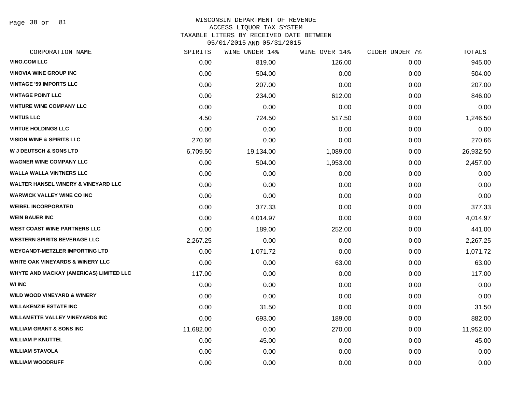Page 38 of 81

#### WISCONSIN DEPARTMENT OF REVENUE ACCESS LIQUOR TAX SYSTEM

TAXABLE LITERS BY RECEIVED DATE BETWEEN

| CORPORATION NAME                               | SPIRITS   | WINE UNDER 14% | WINE OVER 14% | CIDER UNDER 7% | TOTALS    |
|------------------------------------------------|-----------|----------------|---------------|----------------|-----------|
| <b>VINO.COM LLC</b>                            | 0.00      | 819.00         | 126.00        | 0.00           | 945.00    |
| <b>VINOVIA WINE GROUP INC</b>                  | 0.00      | 504.00         | 0.00          | 0.00           | 504.00    |
| <b>VINTAGE '59 IMPORTS LLC</b>                 | 0.00      | 207.00         | 0.00          | 0.00           | 207.00    |
| <b>VINTAGE POINT LLC</b>                       | 0.00      | 234.00         | 612.00        | 0.00           | 846.00    |
| <b>VINTURE WINE COMPANY LLC</b>                | 0.00      | 0.00           | 0.00          | 0.00           | 0.00      |
| <b>VINTUS LLC</b>                              | 4.50      | 724.50         | 517.50        | 0.00           | 1,246.50  |
| <b>VIRTUE HOLDINGS LLC</b>                     | 0.00      | 0.00           | 0.00          | 0.00           | 0.00      |
| <b>VISION WINE &amp; SPIRITS LLC</b>           | 270.66    | 0.00           | 0.00          | 0.00           | 270.66    |
| <b>W J DEUTSCH &amp; SONS LTD</b>              | 6,709.50  | 19,134.00      | 1,089.00      | 0.00           | 26,932.50 |
| <b>WAGNER WINE COMPANY LLC</b>                 | 0.00      | 504.00         | 1,953.00      | 0.00           | 2,457.00  |
| <b>WALLA WALLA VINTNERS LLC</b>                | 0.00      | 0.00           | 0.00          | 0.00           | 0.00      |
| <b>WALTER HANSEL WINERY &amp; VINEYARD LLC</b> | 0.00      | 0.00           | 0.00          | 0.00           | 0.00      |
| <b>WARWICK VALLEY WINE CO INC</b>              | 0.00      | 0.00           | 0.00          | 0.00           | 0.00      |
| <b>WEIBEL INCORPORATED</b>                     | 0.00      | 377.33         | 0.00          | 0.00           | 377.33    |
| <b>WEIN BAUER INC</b>                          | 0.00      | 4,014.97       | 0.00          | 0.00           | 4,014.97  |
| <b>WEST COAST WINE PARTNERS LLC</b>            | 0.00      | 189.00         | 252.00        | 0.00           | 441.00    |
| <b>WESTERN SPIRITS BEVERAGE LLC</b>            | 2,267.25  | 0.00           | 0.00          | 0.00           | 2,267.25  |
| <b>WEYGANDT-METZLER IMPORTING LTD</b>          | 0.00      | 1,071.72       | 0.00          | 0.00           | 1,071.72  |
| <b>WHITE OAK VINEYARDS &amp; WINERY LLC</b>    | 0.00      | 0.00           | 63.00         | 0.00           | 63.00     |
| WHYTE AND MACKAY (AMERICAS) LIMITED LLC        | 117.00    | 0.00           | 0.00          | 0.00           | 117.00    |
| <b>WI INC</b>                                  | 0.00      | 0.00           | 0.00          | 0.00           | 0.00      |
| <b>WILD WOOD VINEYARD &amp; WINERY</b>         | 0.00      | 0.00           | 0.00          | 0.00           | 0.00      |
| <b>WILLAKENZIE ESTATE INC</b>                  | 0.00      | 31.50          | 0.00          | 0.00           | 31.50     |
| <b>WILLAMETTE VALLEY VINEYARDS INC</b>         | 0.00      | 693.00         | 189.00        | 0.00           | 882.00    |
| <b>WILLIAM GRANT &amp; SONS INC</b>            | 11,682.00 | 0.00           | 270.00        | 0.00           | 11,952.00 |
| <b>WILLIAM P KNUTTEL</b>                       | 0.00      | 45.00          | 0.00          | 0.00           | 45.00     |
| <b>WILLIAM STAVOLA</b>                         | 0.00      | 0.00           | 0.00          | 0.00           | 0.00      |
| <b>WILLIAM WOODRUFF</b>                        | 0.00      | 0.00           | 0.00          | 0.00           | 0.00      |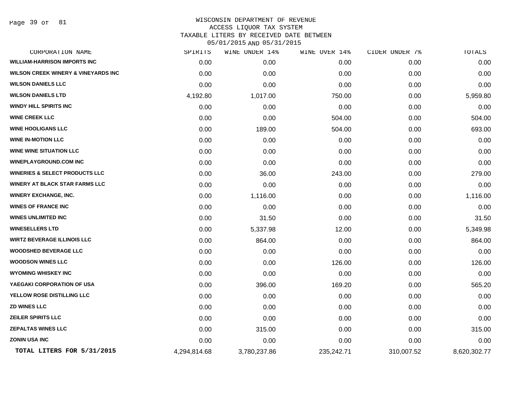Page 39 of 81

## WISCONSIN DEPARTMENT OF REVENUE ACCESS LIQUOR TAX SYSTEM TAXABLE LITERS BY RECEIVED DATE BETWEEN

| CORPORATION NAME                               | SPIRITS      | WINE UNDER 14% | WINE OVER 14% | CIDER UNDER 7% | TOTALS       |
|------------------------------------------------|--------------|----------------|---------------|----------------|--------------|
| <b>WILLIAM-HARRISON IMPORTS INC</b>            | 0.00         | 0.00           | 0.00          | 0.00           | 0.00         |
| <b>WILSON CREEK WINERY &amp; VINEYARDS INC</b> | 0.00         | 0.00           | 0.00          | 0.00           | 0.00         |
| <b>WILSON DANIELS LLC</b>                      | 0.00         | 0.00           | 0.00          | 0.00           | 0.00         |
| <b>WILSON DANIELS LTD</b>                      | 4,192.80     | 1,017.00       | 750.00        | 0.00           | 5,959.80     |
| <b>WINDY HILL SPIRITS INC</b>                  | 0.00         | 0.00           | 0.00          | 0.00           | 0.00         |
| <b>WINE CREEK LLC</b>                          | 0.00         | 0.00           | 504.00        | 0.00           | 504.00       |
| <b>WINE HOOLIGANS LLC</b>                      | 0.00         | 189.00         | 504.00        | 0.00           | 693.00       |
| <b>WINE IN-MOTION LLC</b>                      | 0.00         | 0.00           | 0.00          | 0.00           | 0.00         |
| <b>WINE WINE SITUATION LLC</b>                 | 0.00         | 0.00           | 0.00          | 0.00           | 0.00         |
| <b>WINEPLAYGROUND.COM INC</b>                  | 0.00         | 0.00           | 0.00          | 0.00           | 0.00         |
| <b>WINERIES &amp; SELECT PRODUCTS LLC</b>      | 0.00         | 36.00          | 243.00        | 0.00           | 279.00       |
| <b>WINERY AT BLACK STAR FARMS LLC</b>          | 0.00         | 0.00           | 0.00          | 0.00           | 0.00         |
| <b>WINERY EXCHANGE, INC.</b>                   | 0.00         | 1,116.00       | 0.00          | 0.00           | 1,116.00     |
| <b>WINES OF FRANCE INC</b>                     | 0.00         | 0.00           | 0.00          | 0.00           | 0.00         |
| <b>WINES UNLIMITED INC</b>                     | 0.00         | 31.50          | 0.00          | 0.00           | 31.50        |
| <b>WINESELLERS LTD</b>                         | 0.00         | 5,337.98       | 12.00         | 0.00           | 5,349.98     |
| <b>WIRTZ BEVERAGE ILLINOIS LLC</b>             | 0.00         | 864.00         | 0.00          | 0.00           | 864.00       |
| <b>WOODSHED BEVERAGE LLC</b>                   | 0.00         | 0.00           | 0.00          | 0.00           | 0.00         |
| <b>WOODSON WINES LLC</b>                       | 0.00         | 0.00           | 126.00        | 0.00           | 126.00       |
| <b>WYOMING WHISKEY INC</b>                     | 0.00         | 0.00           | 0.00          | 0.00           | 0.00         |
| YAEGAKI CORPORATION OF USA                     | 0.00         | 396.00         | 169.20        | 0.00           | 565.20       |
| YELLOW ROSE DISTILLING LLC                     | 0.00         | 0.00           | 0.00          | 0.00           | 0.00         |
| <b>ZD WINES LLC</b>                            | 0.00         | 0.00           | 0.00          | 0.00           | 0.00         |
| <b>ZEILER SPIRITS LLC</b>                      | 0.00         | 0.00           | 0.00          | 0.00           | 0.00         |
| <b>ZEPALTAS WINES LLC</b>                      | 0.00         | 315.00         | 0.00          | 0.00           | 315.00       |
| <b>ZONIN USA INC</b>                           | 0.00         | 0.00           | 0.00          | 0.00           | 0.00         |
| TOTAL LITERS FOR 5/31/2015                     | 4,294,814.68 | 3,780,237.86   | 235,242.71    | 310,007.52     | 8,620,302.77 |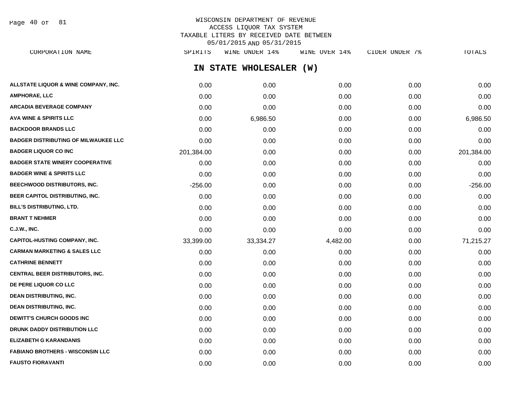Page 40 of 81

## WISCONSIN DEPARTMENT OF REVENUE ACCESS LIQUOR TAX SYSTEM TAXABLE LITERS BY RECEIVED DATE BETWEEN 05/01/2015 AND 05/31/2015

| CORPORATION NAME                        | SPIRITS    | WINE UNDER 14%          | WINE OVER 14% | CIDER UNDER 7% | <b>TOTALS</b> |
|-----------------------------------------|------------|-------------------------|---------------|----------------|---------------|
|                                         |            | IN STATE WHOLESALER (W) |               |                |               |
| ALLSTATE LIQUOR & WINE COMPANY, INC.    | 0.00       | 0.00                    | 0.00          | 0.00           | 0.00          |
| AMPHORAE, LLC                           | 0.00       | 0.00                    | 0.00          | 0.00           | 0.00          |
| <b>ARCADIA BEVERAGE COMPANY</b>         | 0.00       | 0.00                    | 0.00          | 0.00           | 0.00          |
| <b>AVA WINE &amp; SPIRITS LLC</b>       | 0.00       | 6,986.50                | 0.00          | 0.00           | 6,986.50      |
| <b>BACKDOOR BRANDS LLC</b>              | 0.00       | 0.00                    | 0.00          | 0.00           | 0.00          |
| BADGER DISTRIBUTING OF MILWAUKEE LLC    | 0.00       | 0.00                    | 0.00          | 0.00           | 0.00          |
| <b>BADGER LIQUOR CO INC</b>             | 201,384.00 | 0.00                    | 0.00          | 0.00           | 201,384.00    |
| <b>BADGER STATE WINERY COOPERATIVE</b>  | 0.00       | 0.00                    | 0.00          | 0.00           | 0.00          |
| <b>BADGER WINE &amp; SPIRITS LLC</b>    | 0.00       | 0.00                    | 0.00          | 0.00           | 0.00          |
| <b>BEECHWOOD DISTRIBUTORS, INC.</b>     | $-256.00$  | 0.00                    | 0.00          | 0.00           | $-256.00$     |
| BEER CAPITOL DISTRIBUTING, INC.         | 0.00       | 0.00                    | 0.00          | 0.00           | 0.00          |
| <b>BILL'S DISTRIBUTING, LTD.</b>        | 0.00       | 0.00                    | 0.00          | 0.00           | 0.00          |
| <b>BRANT T NEHMER</b>                   | 0.00       | 0.00                    | 0.00          | 0.00           | 0.00          |
| C.J.W., INC.                            | 0.00       | 0.00                    | 0.00          | 0.00           | 0.00          |
| CAPITOL-HUSTING COMPANY, INC.           | 33,399.00  | 33,334.27               | 4,482.00      | 0.00           | 71,215.27     |
| <b>CARMAN MARKETING &amp; SALES LLC</b> | 0.00       | 0.00                    | 0.00          | 0.00           | 0.00          |
| <b>CATHRINE BENNETT</b>                 | 0.00       | 0.00                    | 0.00          | 0.00           | 0.00          |
| CENTRAL BEER DISTRIBUTORS, INC.         | 0.00       | 0.00                    | 0.00          | 0.00           | 0.00          |
| <b>DE PERE LIQUOR CO LLC</b>            | 0.00       | 0.00                    | 0.00          | 0.00           | 0.00          |
| <b>DEAN DISTRIBUTING, INC.</b>          | 0.00       | 0.00                    | 0.00          | 0.00           | 0.00          |
| <b>DEAN DISTRIBUTING, INC.</b>          | 0.00       | 0.00                    | 0.00          | 0.00           | 0.00          |
| <b>DEWITT'S CHURCH GOODS INC</b>        | 0.00       | 0.00                    | 0.00          | 0.00           | 0.00          |
| <b>DRUNK DADDY DISTRIBUTION LLC</b>     | 0.00       | 0.00                    | 0.00          | 0.00           | 0.00          |
| ELIZABETH G KARANDANIS                  | 0.00       | 0.00                    | 0.00          | 0.00           | 0.00          |
| <b>FABIANO BROTHERS - WISCONSIN LLC</b> | 0.00       | 0.00                    | 0.00          | 0.00           | 0.00          |

**FAUSTO FIORAVANTI** 0.00 0.00 0.00 0.00 0.00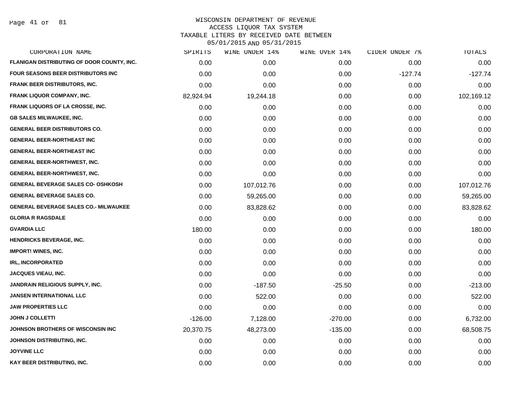Page 41 of 81

| CORPORATION NAME                             | SPIRITS   | WINE UNDER 14% | WINE OVER 14% | CIDER UNDER 7% | TOTALS     |
|----------------------------------------------|-----------|----------------|---------------|----------------|------------|
| FLANIGAN DISTRIBUTING OF DOOR COUNTY, INC.   | 0.00      | 0.00           | 0.00          | 0.00           | 0.00       |
| FOUR SEASONS BEER DISTRIBUTORS INC           | 0.00      | 0.00           | 0.00          | $-127.74$      | $-127.74$  |
| <b>FRANK BEER DISTRIBUTORS, INC.</b>         | 0.00      | 0.00           | 0.00          | 0.00           | 0.00       |
| <b>FRANK LIQUOR COMPANY, INC.</b>            | 82,924.94 | 19,244.18      | 0.00          | 0.00           | 102,169.12 |
| <b>FRANK LIQUORS OF LA CROSSE, INC.</b>      | 0.00      | 0.00           | 0.00          | 0.00           | 0.00       |
| <b>GB SALES MILWAUKEE, INC.</b>              | 0.00      | 0.00           | 0.00          | 0.00           | 0.00       |
| <b>GENERAL BEER DISTRIBUTORS CO.</b>         | 0.00      | 0.00           | 0.00          | 0.00           | 0.00       |
| <b>GENERAL BEER-NORTHEAST INC</b>            | 0.00      | 0.00           | 0.00          | 0.00           | 0.00       |
| <b>GENERAL BEER-NORTHEAST INC</b>            | 0.00      | 0.00           | 0.00          | 0.00           | 0.00       |
| <b>GENERAL BEER-NORTHWEST, INC.</b>          | 0.00      | 0.00           | 0.00          | 0.00           | 0.00       |
| <b>GENERAL BEER-NORTHWEST, INC.</b>          | 0.00      | 0.00           | 0.00          | 0.00           | 0.00       |
| <b>GENERAL BEVERAGE SALES CO- OSHKOSH</b>    | 0.00      | 107,012.76     | 0.00          | 0.00           | 107,012.76 |
| <b>GENERAL BEVERAGE SALES CO.</b>            | 0.00      | 59,265.00      | 0.00          | 0.00           | 59,265.00  |
| <b>GENERAL BEVERAGE SALES CO.- MILWAUKEE</b> | 0.00      | 83,828.62      | 0.00          | 0.00           | 83,828.62  |
| <b>GLORIA R RAGSDALE</b>                     | 0.00      | 0.00           | 0.00          | 0.00           | 0.00       |
| <b>GVARDIA LLC</b>                           | 180.00    | 0.00           | 0.00          | 0.00           | 180.00     |
| <b>HENDRICKS BEVERAGE, INC.</b>              | 0.00      | 0.00           | 0.00          | 0.00           | 0.00       |
| <b>IMPORT! WINES, INC.</b>                   | 0.00      | 0.00           | 0.00          | 0.00           | 0.00       |
| <b>IRL, INCORPORATED</b>                     | 0.00      | 0.00           | 0.00          | 0.00           | 0.00       |
| <b>JACQUES VIEAU, INC.</b>                   | 0.00      | 0.00           | 0.00          | 0.00           | 0.00       |
| JANDRAIN RELIGIOUS SUPPLY, INC.              | 0.00      | $-187.50$      | $-25.50$      | 0.00           | $-213.00$  |
| <b>JANSEN INTERNATIONAL LLC</b>              | 0.00      | 522.00         | 0.00          | 0.00           | 522.00     |
| <b>JAW PROPERTIES LLC</b>                    | 0.00      | 0.00           | 0.00          | 0.00           | 0.00       |
| <b>JOHN J COLLETTI</b>                       | $-126.00$ | 7,128.00       | $-270.00$     | 0.00           | 6,732.00   |
| <b>JOHNSON BROTHERS OF WISCONSIN INC</b>     | 20,370.75 | 48,273.00      | $-135.00$     | 0.00           | 68,508.75  |
| JOHNSON DISTRIBUTING, INC.                   | 0.00      | 0.00           | 0.00          | 0.00           | 0.00       |
| <b>JOYVINE LLC</b>                           | 0.00      | 0.00           | 0.00          | 0.00           | 0.00       |
| KAY BEER DISTRIBUTING, INC.                  | 0.00      | 0.00           | 0.00          | 0.00           | 0.00       |
|                                              |           |                |               |                |            |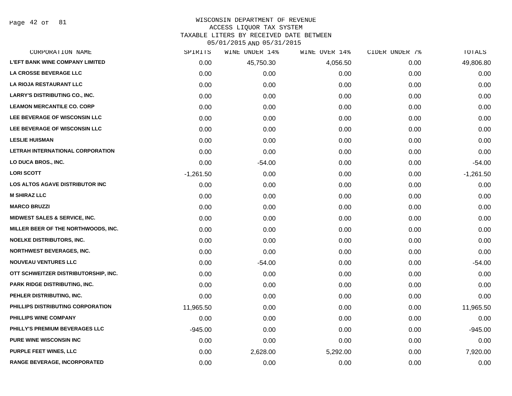Page 42 of 81

#### WISCONSIN DEPARTMENT OF REVENUE ACCESS LIQUOR TAX SYSTEM

TAXABLE LITERS BY RECEIVED DATE BETWEEN

| CORPORATION NAME                         | SPIRITS     | WINE UNDER 14% | WINE OVER 14% | CIDER UNDER 7% | TOTALS      |
|------------------------------------------|-------------|----------------|---------------|----------------|-------------|
| <b>L'EFT BANK WINE COMPANY LIMITED</b>   | 0.00        | 45,750.30      | 4,056.50      | 0.00           | 49,806.80   |
| LA CROSSE BEVERAGE LLC                   | 0.00        | 0.00           | 0.00          | 0.00           | 0.00        |
| <b>LA RIOJA RESTAURANT LLC</b>           | 0.00        | 0.00           | 0.00          | 0.00           | 0.00        |
| <b>LARRY'S DISTRIBUTING CO., INC.</b>    | 0.00        | 0.00           | 0.00          | 0.00           | 0.00        |
| <b>LEAMON MERCANTILE CO. CORP</b>        | 0.00        | 0.00           | 0.00          | 0.00           | 0.00        |
| LEE BEVERAGE OF WISCONSIN LLC            | 0.00        | 0.00           | 0.00          | 0.00           | 0.00        |
| LEE BEVERAGE OF WISCONSIN LLC            | 0.00        | 0.00           | 0.00          | 0.00           | 0.00        |
| <b>LESLIE HUISMAN</b>                    | 0.00        | 0.00           | 0.00          | 0.00           | 0.00        |
| LETRAH INTERNATIONAL CORPORATION         | 0.00        | 0.00           | 0.00          | 0.00           | 0.00        |
| LO DUCA BROS., INC.                      | 0.00        | $-54.00$       | 0.00          | 0.00           | $-54.00$    |
| <b>LORI SCOTT</b>                        | $-1,261.50$ | 0.00           | 0.00          | 0.00           | $-1,261.50$ |
| <b>LOS ALTOS AGAVE DISTRIBUTOR INC</b>   | 0.00        | 0.00           | 0.00          | 0.00           | 0.00        |
| <b>M SHIRAZ LLC</b>                      | 0.00        | 0.00           | 0.00          | 0.00           | 0.00        |
| <b>MARCO BRUZZI</b>                      | 0.00        | 0.00           | 0.00          | 0.00           | 0.00        |
| <b>MIDWEST SALES &amp; SERVICE, INC.</b> | 0.00        | 0.00           | 0.00          | 0.00           | 0.00        |
| MILLER BEER OF THE NORTHWOODS, INC.      | 0.00        | 0.00           | 0.00          | 0.00           | 0.00        |
| <b>NOELKE DISTRIBUTORS, INC.</b>         | 0.00        | 0.00           | 0.00          | 0.00           | 0.00        |
| <b>NORTHWEST BEVERAGES, INC.</b>         | 0.00        | 0.00           | 0.00          | 0.00           | 0.00        |
| <b>NOUVEAU VENTURES LLC</b>              | 0.00        | $-54.00$       | 0.00          | 0.00           | $-54.00$    |
| OTT SCHWEITZER DISTRIBUTORSHIP, INC.     | 0.00        | 0.00           | 0.00          | 0.00           | 0.00        |
| PARK RIDGE DISTRIBUTING, INC.            | 0.00        | 0.00           | 0.00          | 0.00           | 0.00        |
| PEHLER DISTRIBUTING, INC.                | 0.00        | 0.00           | 0.00          | 0.00           | 0.00        |
| PHILLIPS DISTRIBUTING CORPORATION        | 11,965.50   | 0.00           | 0.00          | 0.00           | 11,965.50   |
| PHILLIPS WINE COMPANY                    | 0.00        | 0.00           | 0.00          | 0.00           | 0.00        |
| PHILLY'S PREMIUM BEVERAGES LLC           | $-945.00$   | 0.00           | 0.00          | 0.00           | $-945.00$   |
| <b>PURE WINE WISCONSIN INC</b>           | 0.00        | 0.00           | 0.00          | 0.00           | 0.00        |
| <b>PURPLE FEET WINES, LLC</b>            | 0.00        | 2,628.00       | 5,292.00      | 0.00           | 7,920.00    |
| <b>RANGE BEVERAGE, INCORPORATED</b>      | 0.00        | 0.00           | 0.00          | 0.00           | 0.00        |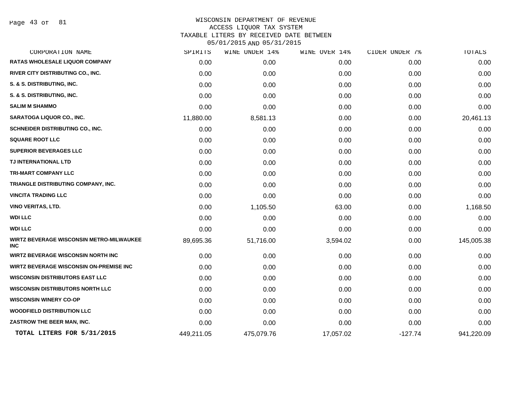Page 43 of 81

| CORPORATION NAME                                              | SPIRITS    | WINE UNDER 14% | WINE OVER 14% | CIDER UNDER 7% | <b>TOTALS</b> |
|---------------------------------------------------------------|------------|----------------|---------------|----------------|---------------|
| <b>RATAS WHOLESALE LIQUOR COMPANY</b>                         | 0.00       | 0.00           | 0.00          | 0.00           | 0.00          |
| RIVER CITY DISTRIBUTING CO., INC.                             | 0.00       | 0.00           | 0.00          | 0.00           | 0.00          |
| S. & S. DISTRIBUTING, INC.                                    | 0.00       | 0.00           | 0.00          | 0.00           | 0.00          |
| S. & S. DISTRIBUTING, INC.                                    | 0.00       | 0.00           | 0.00          | 0.00           | 0.00          |
| <b>SALIM M SHAMMO</b>                                         | 0.00       | 0.00           | 0.00          | 0.00           | 0.00          |
| <b>SARATOGA LIQUOR CO., INC.</b>                              | 11,880.00  | 8,581.13       | 0.00          | 0.00           | 20,461.13     |
| SCHNEIDER DISTRIBUTING CO., INC.                              | 0.00       | 0.00           | 0.00          | 0.00           | 0.00          |
| <b>SQUARE ROOT LLC</b>                                        | 0.00       | 0.00           | 0.00          | 0.00           | 0.00          |
| <b>SUPERIOR BEVERAGES LLC</b>                                 | 0.00       | 0.00           | 0.00          | 0.00           | 0.00          |
| TJ INTERNATIONAL LTD                                          | 0.00       | 0.00           | 0.00          | 0.00           | 0.00          |
| TRI-MART COMPANY LLC                                          | 0.00       | 0.00           | 0.00          | 0.00           | 0.00          |
| TRIANGLE DISTRIBUTING COMPANY, INC.                           | 0.00       | 0.00           | 0.00          | 0.00           | 0.00          |
| <b>VINCITA TRADING LLC</b>                                    | 0.00       | 0.00           | 0.00          | 0.00           | 0.00          |
| <b>VINO VERITAS, LTD.</b>                                     | 0.00       | 1,105.50       | 63.00         | 0.00           | 1,168.50      |
| <b>WDI LLC</b>                                                | 0.00       | 0.00           | 0.00          | 0.00           | 0.00          |
| <b>WDI LLC</b>                                                | 0.00       | 0.00           | 0.00          | 0.00           | 0.00          |
| <b>WIRTZ BEVERAGE WISCONSIN METRO-MILWAUKEE</b><br><b>INC</b> | 89,695.36  | 51,716.00      | 3,594.02      | 0.00           | 145,005.38    |
| <b>WIRTZ BEVERAGE WISCONSIN NORTH INC</b>                     | 0.00       | 0.00           | 0.00          | 0.00           | 0.00          |
| <b>WIRTZ BEVERAGE WISCONSIN ON-PREMISE INC</b>                | 0.00       | 0.00           | 0.00          | 0.00           | 0.00          |
| <b>WISCONSIN DISTRIBUTORS EAST LLC</b>                        | 0.00       | 0.00           | 0.00          | 0.00           | 0.00          |
| <b>WISCONSIN DISTRIBUTORS NORTH LLC</b>                       | 0.00       | 0.00           | 0.00          | 0.00           | 0.00          |
| <b>WISCONSIN WINERY CO-OP</b>                                 | 0.00       | 0.00           | 0.00          | 0.00           | 0.00          |
| <b>WOODFIELD DISTRIBUTION LLC</b>                             | 0.00       | 0.00           | 0.00          | 0.00           | 0.00          |
| ZASTROW THE BEER MAN, INC.                                    | 0.00       | 0.00           | 0.00          | 0.00           | 0.00          |
| TOTAL LITERS FOR 5/31/2015                                    | 449,211.05 | 475,079.76     | 17,057.02     | $-127.74$      | 941,220.09    |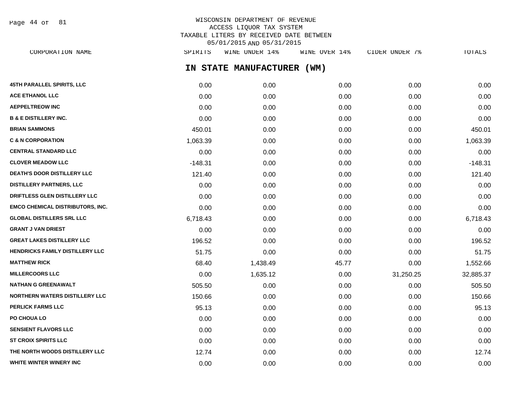WISCONSIN DEPARTMENT OF REVENUE ACCESS LIQUOR TAX SYSTEM TAXABLE LITERS BY RECEIVED DATE BETWEEN 05/01/2015 AND 05/31/2015 Page 44 of 81

**IN STATE MANUFACTURER (WM) 45TH PARALLEL SPIRITS, LLC** 0.00 0.00 0.00 0.00 0.00 **ACE ETHANOL LLC** 0.00 0.00 0.00 0.00 0.00 **AEPPELTREOW INC** 0.00 0.00 0.00 0.00 0.00 **B & E DISTILLERY INC.** 0.00 0.00 0.00 0.00 0.00 **BRIAN SAMMONS** 450.01 0.00 0.00 0.00 450.01 **C & N CORPORATION** 1,063.39 0.00 0.00 0.00 1,063.39 **CENTRAL STANDARD LLC** 0.00 0.00 0.00 0.00 0.00 **CLOVER MEADOW LLC** -148.31 0.00 0.00 0.00 -148.31 **DEATH'S DOOR DISTILLERY LLC** 121.40 0.00 0.00 0.00 121.40 **DISTILLERY PARTNERS, LLC** 0.00 0.00 0.00 0.00 0.00 **DRIFTLESS GLEN DISTILLERY LLC** 0.00 0.00 0.00 0.00 0.00 **EMCO CHEMICAL DISTRIBUTORS, INC.** 0.00 0.00 0.00 0.00 0.00 **GLOBAL DISTILLERS SRL LLC** 6,718.43 0.00 0.00 0.00 6,718.43 **GRANT J VAN DRIEST** 0.00 0.00 0.00 0.00 0.00 **GREAT LAKES DISTILLERY LLC** 196.52 0.00 0.00 0.00 196.52 **HENDRICKS FAMILY DISTILLERY LLC** 51.75 0.00 0.00 0.00 51.75 **MATTHEW RICK** 68.40 1,438.49 45.77 0.00 1,552.66 **MILLERCOORS LLC** 0.00 1,635.12 0.00 31,250.25 32,885.37 **NATHAN G GREENAWALT** 505.50 0.00 0.00 0.00 505.50 **NORTHERN WATERS DISTILLERY LLC** 150.66 0.00 0.00 0.00 150.66 **PERLICK FARMS LLC** 95.13 0.00 0.00 0.00 95.13 **PO CHOUA LO** 0.00 0.00 0.00 0.00 0.00 **SENSIENT FLAVORS LLC** 0.00 0.00 0.00 0.00 0.00 **ST CROIX SPIRITS LLC** 0.00 0.00 0.00 0.00 0.00 **THE NORTH WOODS DISTILLERY LLC** 12.74 0.00 0.00 0.00 0.00 0.00 0.00 0.00 12.74

CORPORATION NAME SPIRITS WINE UNDER 14% WINE OVER 14% CIDER UNDER 7% TOTALS

**WHITE WINTER WINERY INC** 0.00 0.00 0.00 0.00 0.00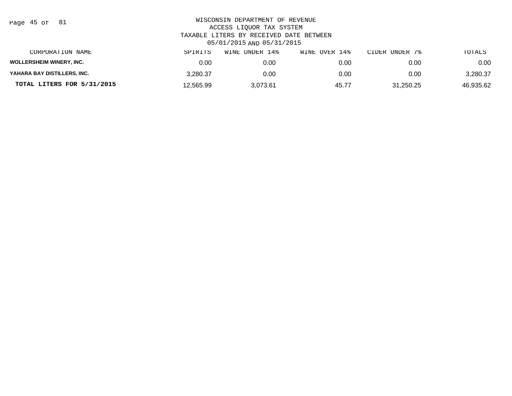| Page | . 45 of |  | 81 |
|------|---------|--|----|
|------|---------|--|----|

| CORPORATION NAME                | SPIRITS   | UNDER 14%<br>WINE | WINE OVER 14% | CIDER UNDER 7% | TOTALS    |
|---------------------------------|-----------|-------------------|---------------|----------------|-----------|
| <b>WOLLERSHEIM WINERY, INC.</b> | 0.00      | 0.00              | 0.00          | 0.00           | 0.00      |
| YAHARA BAY DISTILLERS, INC.     | 3.280.37  | 0.00              | 0.00          | 0.00           | 3,280.37  |
| TOTAL LITERS FOR 5/31/2015      | 12.565.99 | 3.073.61          | 45.77         | 31,250.25      | 46.935.62 |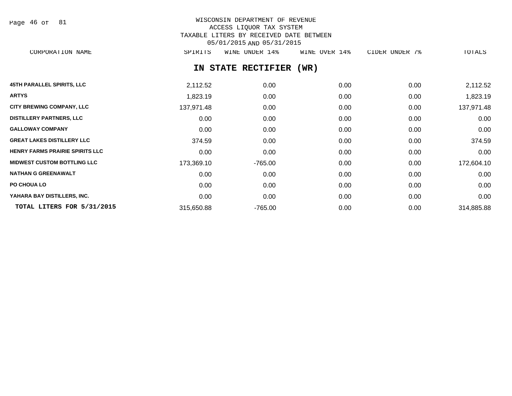| Page 46 of |  |  | 81 |
|------------|--|--|----|
|------------|--|--|----|

# WISCONSIN DEPARTMENT OF REVENUE ACCESS LIQUOR TAX SYSTEM TAXABLE LITERS BY RECEIVED DATE BETWEEN 05/01/2015 AND 05/31/2015

CORPORATION NAME SPIRITS WINE UNDER 14% WINE OVER 14% CIDER UNDER 7% TOTALS

# **IN STATE RECTIFIER (WR)**

| <b>45TH PARALLEL SPIRITS, LLC</b>      | 2,112.52   | 0.00      | 0.00 | 0.00 | 2,112.52   |
|----------------------------------------|------------|-----------|------|------|------------|
| <b>ARTYS</b>                           | 1,823.19   | 0.00      | 0.00 | 0.00 | 1,823.19   |
| <b>CITY BREWING COMPANY, LLC</b>       | 137,971.48 | 0.00      | 0.00 | 0.00 | 137,971.48 |
| <b>DISTILLERY PARTNERS, LLC</b>        | 0.00       | 0.00      | 0.00 | 0.00 | 0.00       |
| <b>GALLOWAY COMPANY</b>                | 0.00       | 0.00      | 0.00 | 0.00 | 0.00       |
| <b>GREAT LAKES DISTILLERY LLC</b>      | 374.59     | 0.00      | 0.00 | 0.00 | 374.59     |
| <b>HENRY FARMS PRAIRIE SPIRITS LLC</b> | 0.00       | 0.00      | 0.00 | 0.00 | 0.00       |
| <b>MIDWEST CUSTOM BOTTLING LLC</b>     | 173,369.10 | $-765.00$ | 0.00 | 0.00 | 172,604.10 |
| <b>NATHAN G GREENAWALT</b>             | 0.00       | 0.00      | 0.00 | 0.00 | 0.00       |
| <b>PO CHOUA LO</b>                     | 0.00       | 0.00      | 0.00 | 0.00 | 0.00       |
| YAHARA BAY DISTILLERS, INC.            | 0.00       | 0.00      | 0.00 | 0.00 | 0.00       |
| TOTAL LITERS FOR 5/31/2015             | 315,650.88 | $-765.00$ | 0.00 | 0.00 | 314,885.88 |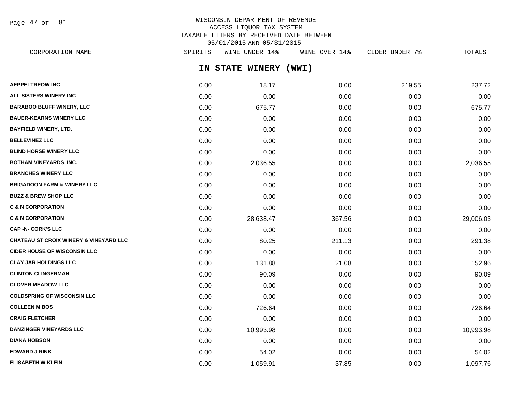Page 47 of 81

## WISCONSIN DEPARTMENT OF REVENUE ACCESS LIQUOR TAX SYSTEM TAXABLE LITERS BY RECEIVED DATE BETWEEN 05/01/2015 AND 05/31/2015

**IN STATE WINERY (WWI) AEPPELTREOW INC** 0.00 18.17 0.00 219.55 237.72 **ALL SISTERS WINERY INC** 0.00 0.00 0.00 0.00 0.00 **BARABOO BLUFF WINERY, LLC** 675.77 0.00 675.77 **BAUER-KEARNS WINERY LLC** 0.00 0.00 0.00 0.00 0.00 **BAYFIELD WINERY, LTD.** 0.00 0.00 0.00 0.00 0.00 **BELLEVINEZ LLC** 0.00 0.00 0.00 0.00 0.00 **BLIND HORSE WINERY LLC** 0.00 0.00 0.00 0.00 0.00 **BOTHAM VINEYARDS, INC.** 2,036.55 0.00 0.00 0.00 2,036.55 0.00 0.00 0.00 0.00 0.00 0.00 2,036.55 **BRANCHES WINERY LLC** 0.00 0.00 0.00 0.00 0.00 **BRIGADOON FARM & WINERY LLC** 0.00 0.00 0.00 0.00 0.00 **BUZZ & BREW SHOP LLC** 0.00 0.00 0.00 0.00 0.00 **C & N CORPORATION** 0.00 0.00 0.00 0.00 0.00 **C & N CORPORATION** 0.00 28,638.47 367.56 0.00 29,006.03 **CAP -N- CORK'S LLC** 0.00 0.00 0.00 0.00 0.00 **CHATEAU ST CROIX WINERY & VINEYARD LLC** 0.00 80.25 211.13 0.00 291.38 **CIDER HOUSE OF WISCONSIN LLC** 0.00 0.00 0.00 0.00 0.00 **CLAY JAR HOLDINGS LLC** 0.00 131.88 21.08 0.00 152.96 **CLINTON CLINGERMAN** 0.00 90.09 0.00 0.00 90.09 **CLOVER MEADOW LLC** 0.00 0.00 0.00 0.00 0.00 **COLDSPRING OF WISCONSIN LLC** 0.00 0.00 0.00 0.00 0.00 **COLLEEN M BOS** 64 **126.64 0.00 126.64 0.00 126.64 0.00 0.00 0.00 126.64 CRAIG FLETCHER** 0.00 0.00 0.00 0.00 0.00 **DANZINGER VINEYARDS LLC** 0.00 10,993.98 0.00 0.00 10,993.98 **DIANA HOBSON** 0.00 0.00 0.00 0.00 0.00 **EDWARD J RINK** 0.00 54.02 0.00 0.00 54.02 CORPORATION NAME SPIRITS WINE UNDER 14% WINE OVER 14% CIDER UNDER 7% TOTALS

**ELISABETH W KLEIN** 0.00 1,059.91 37.85 0.00 1,097.76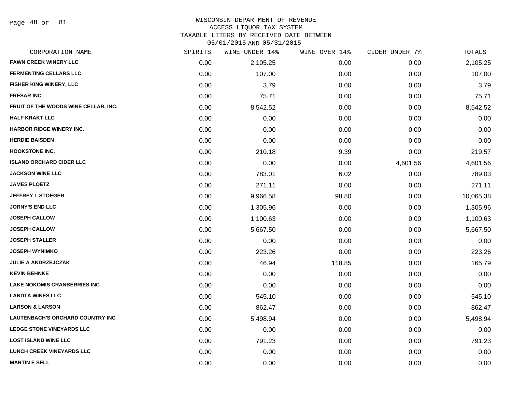Page 48 of 81

#### WISCONSIN DEPARTMENT OF REVENUE

#### ACCESS LIQUOR TAX SYSTEM

TAXABLE LITERS BY RECEIVED DATE BETWEEN

| CORPORATION NAME                        | SPIRITS | WINE UNDER 14% | WINE OVER 14% | CIDER UNDER 7% | TOTALS    |
|-----------------------------------------|---------|----------------|---------------|----------------|-----------|
| <b>FAWN CREEK WINERY LLC</b>            | 0.00    | 2,105.25       | 0.00          | 0.00           | 2,105.25  |
| <b>FERMENTING CELLARS LLC</b>           | 0.00    | 107.00         | 0.00          | 0.00           | 107.00    |
| FISHER KING WINERY, LLC                 | 0.00    | 3.79           | 0.00          | 0.00           | 3.79      |
| <b>FRESAR INC</b>                       | 0.00    | 75.71          | 0.00          | 0.00           | 75.71     |
| FRUIT OF THE WOODS WINE CELLAR, INC.    | 0.00    | 8,542.52       | 0.00          | 0.00           | 8,542.52  |
| <b>HALF KRAKT LLC</b>                   | 0.00    | 0.00           | 0.00          | 0.00           | 0.00      |
| HARBOR RIDGE WINERY INC.                | 0.00    | 0.00           | 0.00          | 0.00           | 0.00      |
| <b>HERDIE BAISDEN</b>                   | 0.00    | 0.00           | 0.00          | 0.00           | 0.00      |
| <b>HOOKSTONE INC.</b>                   | 0.00    | 210.18         | 9.39          | 0.00           | 219.57    |
| <b>ISLAND ORCHARD CIDER LLC</b>         | 0.00    | 0.00           | 0.00          | 4,601.56       | 4,601.56  |
| <b>JACKSON WINE LLC</b>                 | 0.00    | 783.01         | 6.02          | 0.00           | 789.03    |
| <b>JAMES PLOETZ</b>                     | 0.00    | 271.11         | 0.00          | 0.00           | 271.11    |
| <b>JEFFREY L STOEGER</b>                | 0.00    | 9,966.58       | 98.80         | 0.00           | 10,065.38 |
| <b>JORNY'S END LLC</b>                  | 0.00    | 1,305.96       | 0.00          | 0.00           | 1,305.96  |
| <b>JOSEPH CALLOW</b>                    | 0.00    | 1,100.63       | 0.00          | 0.00           | 1,100.63  |
| <b>JOSEPH CALLOW</b>                    | 0.00    | 5,667.50       | 0.00          | 0.00           | 5,667.50  |
| <b>JOSEPH STALLER</b>                   | 0.00    | 0.00           | 0.00          | 0.00           | 0.00      |
| <b>JOSEPH WYNIMKO</b>                   | 0.00    | 223.26         | 0.00          | 0.00           | 223.26    |
| <b>JULIE A ANDRZEJCZAK</b>              | 0.00    | 46.94          | 118.85        | 0.00           | 165.79    |
| <b>KEVIN BEHNKE</b>                     | 0.00    | 0.00           | 0.00          | 0.00           | 0.00      |
| <b>LAKE NOKOMIS CRANBERRIES INC</b>     | 0.00    | 0.00           | 0.00          | 0.00           | 0.00      |
| <b>LANDTA WINES LLC</b>                 | 0.00    | 545.10         | 0.00          | 0.00           | 545.10    |
| <b>LARSON &amp; LARSON</b>              | 0.00    | 862.47         | 0.00          | 0.00           | 862.47    |
| <b>LAUTENBACH'S ORCHARD COUNTRY INC</b> | 0.00    | 5,498.94       | 0.00          | 0.00           | 5,498.94  |
| <b>LEDGE STONE VINEYARDS LLC</b>        | 0.00    | 0.00           | 0.00          | 0.00           | 0.00      |
| <b>LOST ISLAND WINE LLC</b>             | 0.00    | 791.23         | 0.00          | 0.00           | 791.23    |
| <b>LUNCH CREEK VINEYARDS LLC</b>        | 0.00    | 0.00           | 0.00          | 0.00           | 0.00      |
| <b>MARTIN E SELL</b>                    | 0.00    | 0.00           | 0.00          | 0.00           | 0.00      |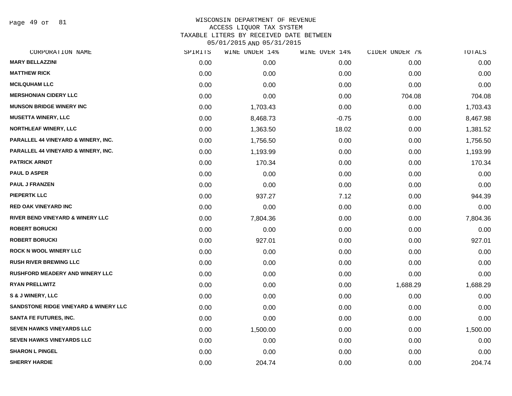Page 49 of 81

| CORPORATION NAME                                 | SPIRITS | WINE UNDER 14% | WINE OVER 14% | CIDER UNDER 7% | TOTALS   |
|--------------------------------------------------|---------|----------------|---------------|----------------|----------|
| <b>MARY BELLAZZINI</b>                           | 0.00    | 0.00           | 0.00          | 0.00           | 0.00     |
| <b>MATTHEW RICK</b>                              | 0.00    | 0.00           | 0.00          | 0.00           | 0.00     |
| <b>MCILQUHAM LLC</b>                             | 0.00    | 0.00           | 0.00          | 0.00           | 0.00     |
| <b>MERSHONIAN CIDERY LLC</b>                     | 0.00    | 0.00           | 0.00          | 704.08         | 704.08   |
| <b>MUNSON BRIDGE WINERY INC</b>                  | 0.00    | 1,703.43       | 0.00          | 0.00           | 1,703.43 |
| <b>MUSETTA WINERY, LLC</b>                       | 0.00    | 8,468.73       | $-0.75$       | 0.00           | 8,467.98 |
| <b>NORTHLEAF WINERY, LLC</b>                     | 0.00    | 1,363.50       | 18.02         | 0.00           | 1,381.52 |
| <b>PARALLEL 44 VINEYARD &amp; WINERY, INC.</b>   | 0.00    | 1,756.50       | 0.00          | 0.00           | 1,756.50 |
| <b>PARALLEL 44 VINEYARD &amp; WINERY, INC.</b>   | 0.00    | 1,193.99       | 0.00          | 0.00           | 1,193.99 |
| <b>PATRICK ARNDT</b>                             | 0.00    | 170.34         | 0.00          | 0.00           | 170.34   |
| <b>PAUL D ASPER</b>                              | 0.00    | 0.00           | 0.00          | 0.00           | 0.00     |
| <b>PAUL J FRANZEN</b>                            | 0.00    | 0.00           | 0.00          | 0.00           | 0.00     |
| <b>PIEPERTK LLC</b>                              | 0.00    | 937.27         | 7.12          | 0.00           | 944.39   |
| <b>RED OAK VINEYARD INC</b>                      | 0.00    | 0.00           | 0.00          | 0.00           | 0.00     |
| RIVER BEND VINEYARD & WINERY LLC                 | 0.00    | 7,804.36       | 0.00          | 0.00           | 7,804.36 |
| <b>ROBERT BORUCKI</b>                            | 0.00    | 0.00           | 0.00          | 0.00           | 0.00     |
| <b>ROBERT BORUCKI</b>                            | 0.00    | 927.01         | 0.00          | 0.00           | 927.01   |
| <b>ROCK N WOOL WINERY LLC</b>                    | 0.00    | 0.00           | 0.00          | 0.00           | 0.00     |
| <b>RUSH RIVER BREWING LLC</b>                    | 0.00    | 0.00           | 0.00          | 0.00           | 0.00     |
| <b>RUSHFORD MEADERY AND WINERY LLC</b>           | 0.00    | 0.00           | 0.00          | 0.00           | 0.00     |
| <b>RYAN PRELLWITZ</b>                            | 0.00    | 0.00           | 0.00          | 1,688.29       | 1,688.29 |
| <b>S &amp; J WINERY, LLC</b>                     | 0.00    | 0.00           | 0.00          | 0.00           | 0.00     |
| <b>SANDSTONE RIDGE VINEYARD &amp; WINERY LLC</b> | 0.00    | 0.00           | 0.00          | 0.00           | 0.00     |
| <b>SANTA FE FUTURES, INC.</b>                    | 0.00    | 0.00           | 0.00          | 0.00           | 0.00     |
| <b>SEVEN HAWKS VINEYARDS LLC</b>                 | 0.00    | 1,500.00       | 0.00          | 0.00           | 1,500.00 |
| <b>SEVEN HAWKS VINEYARDS LLC</b>                 | 0.00    | 0.00           | 0.00          | 0.00           | 0.00     |
| <b>SHARON L PINGEL</b>                           | 0.00    | 0.00           | 0.00          | 0.00           | 0.00     |
| <b>SHERRY HARDIE</b>                             | 0.00    | 204.74         | 0.00          | 0.00           | 204.74   |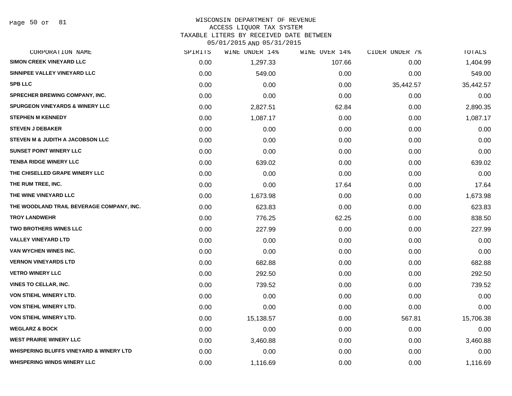Page 50 of 81

## WISCONSIN DEPARTMENT OF REVENUE

#### ACCESS LIQUOR TAX SYSTEM

TAXABLE LITERS BY RECEIVED DATE BETWEEN

| CORPORATION NAME                                   | SPIRITS | WINE UNDER 14% | WINE OVER 14% | CIDER UNDER 7% | TOTALS    |
|----------------------------------------------------|---------|----------------|---------------|----------------|-----------|
| SIMON CREEK VINEYARD LLC                           | 0.00    | 1,297.33       | 107.66        | 0.00           | 1,404.99  |
| SINNIPEE VALLEY VINEYARD LLC                       | 0.00    | 549.00         | 0.00          | 0.00           | 549.00    |
| <b>SPB LLC</b>                                     | 0.00    | 0.00           | 0.00          | 35,442.57      | 35,442.57 |
| SPRECHER BREWING COMPANY, INC.                     | 0.00    | 0.00           | 0.00          | 0.00           | 0.00      |
| <b>SPURGEON VINEYARDS &amp; WINERY LLC</b>         | 0.00    | 2,827.51       | 62.84         | 0.00           | 2,890.35  |
| <b>STEPHEN M KENNEDY</b>                           | 0.00    | 1,087.17       | 0.00          | 0.00           | 1,087.17  |
| <b>STEVEN J DEBAKER</b>                            | 0.00    | 0.00           | 0.00          | 0.00           | 0.00      |
| STEVEN M & JUDITH A JACOBSON LLC                   | 0.00    | 0.00           | 0.00          | 0.00           | 0.00      |
| <b>SUNSET POINT WINERY LLC</b>                     | 0.00    | 0.00           | 0.00          | 0.00           | 0.00      |
| <b>TENBA RIDGE WINERY LLC</b>                      | 0.00    | 639.02         | 0.00          | 0.00           | 639.02    |
| THE CHISELLED GRAPE WINERY LLC                     | 0.00    | 0.00           | 0.00          | 0.00           | 0.00      |
| THE RUM TREE, INC.                                 | 0.00    | 0.00           | 17.64         | 0.00           | 17.64     |
| THE WINE VINEYARD LLC                              | 0.00    | 1,673.98       | 0.00          | 0.00           | 1,673.98  |
| THE WOODLAND TRAIL BEVERAGE COMPANY, INC.          | 0.00    | 623.83         | 0.00          | 0.00           | 623.83    |
| <b>TROY LANDWEHR</b>                               | 0.00    | 776.25         | 62.25         | 0.00           | 838.50    |
| TWO BROTHERS WINES LLC                             | 0.00    | 227.99         | 0.00          | 0.00           | 227.99    |
| <b>VALLEY VINEYARD LTD</b>                         | 0.00    | 0.00           | 0.00          | 0.00           | 0.00      |
| VAN WYCHEN WINES INC.                              | 0.00    | 0.00           | 0.00          | 0.00           | 0.00      |
| <b>VERNON VINEYARDS LTD</b>                        | 0.00    | 682.88         | 0.00          | 0.00           | 682.88    |
| <b>VETRO WINERY LLC</b>                            | 0.00    | 292.50         | 0.00          | 0.00           | 292.50    |
| VINES TO CELLAR, INC.                              | 0.00    | 739.52         | 0.00          | 0.00           | 739.52    |
| VON STIEHL WINERY LTD.                             | 0.00    | 0.00           | 0.00          | 0.00           | 0.00      |
| VON STIEHL WINERY LTD.                             | 0.00    | 0.00           | 0.00          | 0.00           | 0.00      |
| VON STIEHL WINERY LTD.                             | 0.00    | 15,138.57      | 0.00          | 567.81         | 15,706.38 |
| <b>WEGLARZ &amp; BOCK</b>                          | 0.00    | 0.00           | 0.00          | 0.00           | 0.00      |
| <b>WEST PRAIRIE WINERY LLC</b>                     | 0.00    | 3,460.88       | 0.00          | 0.00           | 3,460.88  |
| <b>WHISPERING BLUFFS VINEYARD &amp; WINERY LTD</b> | 0.00    | 0.00           | 0.00          | 0.00           | 0.00      |
| <b>WHISPERING WINDS WINERY LLC</b>                 | 0.00    | 1,116.69       | 0.00          | 0.00           | 1,116.69  |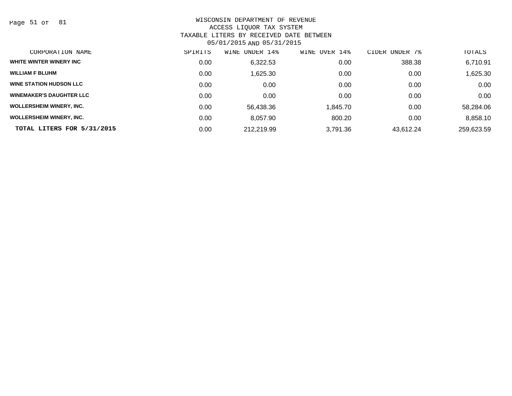Page 51 of 81

| CORPORATION NAME                | SPIRITS | WINE UNDER 14% | OVER 14%<br>WINE | CIDER UNDER 7% | TOTALS     |
|---------------------------------|---------|----------------|------------------|----------------|------------|
| WHITE WINTER WINERY INC         | 0.00    | 6,322.53       | 0.00             | 388.38         | 6,710.91   |
| <b>WILLIAM F BLUHM</b>          | 0.00    | 1,625.30       | 0.00             | 0.00           | 1,625.30   |
| <b>WINE STATION HUDSON LLC</b>  | 0.00    | 0.00           | 0.00             | 0.00           | 0.00       |
| <b>WINEMAKER'S DAUGHTER LLC</b> | 0.00    | 0.00           | 0.00             | 0.00           | 0.00       |
| <b>WOLLERSHEIM WINERY, INC.</b> | 0.00    | 56,438.36      | 1,845.70         | 0.00           | 58,284.06  |
| <b>WOLLERSHEIM WINERY, INC.</b> | 0.00    | 8,057.90       | 800.20           | 0.00           | 8,858.10   |
| TOTAL LITERS FOR 5/31/2015      | 0.00    | 212,219.99     | 3.791.36         | 43.612.24      | 259,623.59 |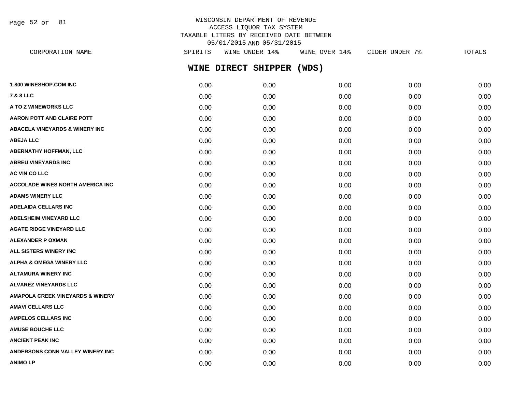Page 52 of 81

#### WISCONSIN DEPARTMENT OF REVENUE ACCESS LIQUOR TAX SYSTEM TAXABLE LITERS BY RECEIVED DATE BETWEEN 05/01/2015 AND 05/31/2015 CORPORATION NAME SPIRITS WITH UNDER 19 ACTOURD 14% CIDER UNITS UP .<br>CIDER UNDER UNDER UNDER UNDER UNDER UNDER UNDER THE SPIRITS OF SPIRITS UP .

| CORPORATION NAME                            | SPIKTTS | MINE UNDEK 14%      |       | CIDER UNDER 18 | TOTALS |
|---------------------------------------------|---------|---------------------|-------|----------------|--------|
|                                             |         | WINE DIRECT SHIPPER | (WDS) |                |        |
| 1-800 WINESHOP.COM INC                      | 0.00    | 0.00                | 0.00  | 0.00           | 0.00   |
| <b>7 &amp; 8 LLC</b>                        | 0.00    | 0.00                | 0.00  | 0.00           | 0.00   |
| A TO Z WINEWORKS LLC                        | 0.00    | 0.00                | 0.00  | 0.00           | 0.00   |
| <b>AARON POTT AND CLAIRE POTT</b>           | 0.00    | 0.00                | 0.00  | 0.00           | 0.00   |
| <b>ABACELA VINEYARDS &amp; WINERY INC</b>   | 0.00    | 0.00                | 0.00  | 0.00           | 0.00   |
| <b>ABEJA LLC</b>                            | 0.00    | 0.00                | 0.00  | 0.00           | 0.00   |
| <b>ABERNATHY HOFFMAN, LLC</b>               | 0.00    | 0.00                | 0.00  | 0.00           | 0.00   |
| <b>ABREU VINEYARDS INC</b>                  | 0.00    | 0.00                | 0.00  | 0.00           | 0.00   |
| AC VIN CO LLC                               | 0.00    | 0.00                | 0.00  | 0.00           | 0.00   |
| <b>ACCOLADE WINES NORTH AMERICA INC</b>     | 0.00    | 0.00                | 0.00  | 0.00           | 0.00   |
| <b>ADAMS WINERY LLC</b>                     | 0.00    | 0.00                | 0.00  | 0.00           | 0.00   |
| <b>ADELAIDA CELLARS INC</b>                 | 0.00    | 0.00                | 0.00  | 0.00           | 0.00   |
| <b>ADELSHEIM VINEYARD LLC</b>               | 0.00    | 0.00                | 0.00  | 0.00           | 0.00   |
| <b>AGATE RIDGE VINEYARD LLC</b>             | 0.00    | 0.00                | 0.00  | 0.00           | 0.00   |
| <b>ALEXANDER P OXMAN</b>                    | 0.00    | 0.00                | 0.00  | 0.00           | 0.00   |
| ALL SISTERS WINERY INC                      | 0.00    | 0.00                | 0.00  | 0.00           | 0.00   |
| <b>ALPHA &amp; OMEGA WINERY LLC</b>         | 0.00    | 0.00                | 0.00  | 0.00           | 0.00   |
| <b>ALTAMURA WINERY INC</b>                  | 0.00    | 0.00                | 0.00  | 0.00           | 0.00   |
| <b>ALVAREZ VINEYARDS LLC</b>                | 0.00    | 0.00                | 0.00  | 0.00           | 0.00   |
| <b>AMAPOLA CREEK VINEYARDS &amp; WINERY</b> | 0.00    | 0.00                | 0.00  | 0.00           | 0.00   |
| <b>AMAVI CELLARS LLC</b>                    | 0.00    | 0.00                | 0.00  | 0.00           | 0.00   |
| <b>AMPELOS CELLARS INC</b>                  | 0.00    | 0.00                | 0.00  | 0.00           | 0.00   |
| <b>AMUSE BOUCHE LLC</b>                     | 0.00    | 0.00                | 0.00  | 0.00           | 0.00   |
| <b>ANCIENT PEAK INC</b>                     | 0.00    | 0.00                | 0.00  | 0.00           | 0.00   |
| ANDERSONS CONN VALLEY WINERY INC            | 0.00    | 0.00                | 0.00  | 0.00           | 0.00   |

**ANIMO LP** 0.00 0.00 0.00 0.00 0.00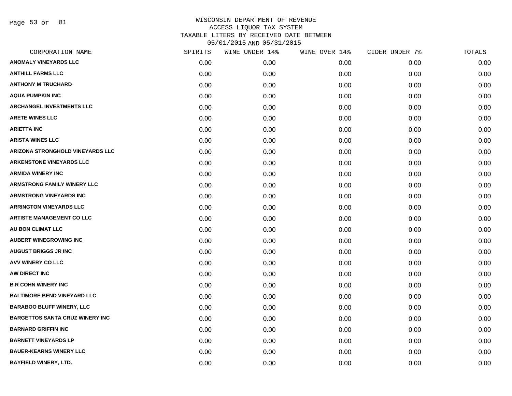Page 53 of 81

| CORPORATION NAME                        | SPIRITS | WINE UNDER 14% | WINE OVER 14% | CIDER UNDER 7% | TOTALS |
|-----------------------------------------|---------|----------------|---------------|----------------|--------|
| <b>ANOMALY VINEYARDS LLC</b>            | 0.00    | 0.00           | 0.00          | 0.00           | 0.00   |
| <b>ANTHILL FARMS LLC</b>                | 0.00    | 0.00           | 0.00          | 0.00           | 0.00   |
| <b>ANTHONY M TRUCHARD</b>               | 0.00    | 0.00           | 0.00          | 0.00           | 0.00   |
| <b>AQUA PUMPKIN INC</b>                 | 0.00    | 0.00           | 0.00          | 0.00           | 0.00   |
| <b>ARCHANGEL INVESTMENTS LLC</b>        | 0.00    | 0.00           | 0.00          | 0.00           | 0.00   |
| <b>ARETE WINES LLC</b>                  | 0.00    | 0.00           | 0.00          | 0.00           | 0.00   |
| <b>ARIETTA INC</b>                      | 0.00    | 0.00           | 0.00          | 0.00           | 0.00   |
| <b>ARISTA WINES LLC</b>                 | 0.00    | 0.00           | 0.00          | 0.00           | 0.00   |
| <b>ARIZONA STRONGHOLD VINEYARDS LLC</b> | 0.00    | 0.00           | 0.00          | 0.00           | 0.00   |
| <b>ARKENSTONE VINEYARDS LLC</b>         | 0.00    | 0.00           | 0.00          | 0.00           | 0.00   |
| <b>ARMIDA WINERY INC</b>                | 0.00    | 0.00           | 0.00          | 0.00           | 0.00   |
| <b>ARMSTRONG FAMILY WINERY LLC</b>      | 0.00    | 0.00           | 0.00          | 0.00           | 0.00   |
| <b>ARMSTRONG VINEYARDS INC</b>          | 0.00    | 0.00           | 0.00          | 0.00           | 0.00   |
| <b>ARRINGTON VINEYARDS LLC</b>          | 0.00    | 0.00           | 0.00          | 0.00           | 0.00   |
| <b>ARTISTE MANAGEMENT CO LLC</b>        | 0.00    | 0.00           | 0.00          | 0.00           | 0.00   |
| AU BON CLIMAT LLC                       | 0.00    | 0.00           | 0.00          | 0.00           | 0.00   |
| <b>AUBERT WINEGROWING INC</b>           | 0.00    | 0.00           | 0.00          | 0.00           | 0.00   |
| <b>AUGUST BRIGGS JR INC</b>             | 0.00    | 0.00           | 0.00          | 0.00           | 0.00   |
| AVV WINERY CO LLC                       | 0.00    | 0.00           | 0.00          | 0.00           | 0.00   |
| AW DIRECT INC                           | 0.00    | 0.00           | 0.00          | 0.00           | 0.00   |
| <b>B R COHN WINERY INC</b>              | 0.00    | 0.00           | 0.00          | 0.00           | 0.00   |
| <b>BALTIMORE BEND VINEYARD LLC</b>      | 0.00    | 0.00           | 0.00          | 0.00           | 0.00   |
| <b>BARABOO BLUFF WINERY, LLC</b>        | 0.00    | 0.00           | 0.00          | 0.00           | 0.00   |
| <b>BARGETTOS SANTA CRUZ WINERY INC</b>  | 0.00    | 0.00           | 0.00          | 0.00           | 0.00   |
| <b>BARNARD GRIFFIN INC</b>              | 0.00    | 0.00           | 0.00          | 0.00           | 0.00   |
| <b>BARNETT VINEYARDS LP</b>             | 0.00    | 0.00           | 0.00          | 0.00           | 0.00   |
| <b>BAUER-KEARNS WINERY LLC</b>          | 0.00    | 0.00           | 0.00          | 0.00           | 0.00   |
| <b>BAYFIELD WINERY, LTD.</b>            | 0.00    | 0.00           | 0.00          | 0.00           | 0.00   |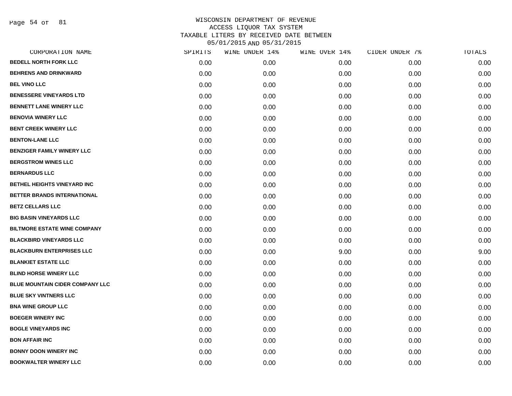Page 54 of 81

| CORPORATION NAME                       | SPIRITS | WINE UNDER 14% | WINE OVER 14% | CIDER UNDER 7% | TOTALS |
|----------------------------------------|---------|----------------|---------------|----------------|--------|
| <b>BEDELL NORTH FORK LLC</b>           | 0.00    | 0.00           | 0.00          | 0.00           | 0.00   |
| <b>BEHRENS AND DRINKWARD</b>           | 0.00    | 0.00           | 0.00          | 0.00           | 0.00   |
| <b>BEL VINO LLC</b>                    | 0.00    | 0.00           | 0.00          | 0.00           | 0.00   |
| <b>BENESSERE VINEYARDS LTD</b>         | 0.00    | 0.00           | 0.00          | 0.00           | 0.00   |
| <b>BENNETT LANE WINERY LLC</b>         | 0.00    | 0.00           | 0.00          | 0.00           | 0.00   |
| <b>BENOVIA WINERY LLC</b>              | 0.00    | 0.00           | 0.00          | 0.00           | 0.00   |
| <b>BENT CREEK WINERY LLC</b>           | 0.00    | 0.00           | 0.00          | 0.00           | 0.00   |
| <b>BENTON-LANE LLC</b>                 | 0.00    | 0.00           | 0.00          | 0.00           | 0.00   |
| <b>BENZIGER FAMILY WINERY LLC</b>      | 0.00    | 0.00           | 0.00          | 0.00           | 0.00   |
| <b>BERGSTROM WINES LLC</b>             | 0.00    | 0.00           | 0.00          | 0.00           | 0.00   |
| <b>BERNARDUS LLC</b>                   | 0.00    | 0.00           | 0.00          | 0.00           | 0.00   |
| BETHEL HEIGHTS VINEYARD INC            | 0.00    | 0.00           | 0.00          | 0.00           | 0.00   |
| BETTER BRANDS INTERNATIONAL            | 0.00    | 0.00           | 0.00          | 0.00           | 0.00   |
| <b>BETZ CELLARS LLC</b>                | 0.00    | 0.00           | 0.00          | 0.00           | 0.00   |
| <b>BIG BASIN VINEYARDS LLC</b>         | 0.00    | 0.00           | 0.00          | 0.00           | 0.00   |
| <b>BILTMORE ESTATE WINE COMPANY</b>    | 0.00    | 0.00           | 0.00          | 0.00           | 0.00   |
| <b>BLACKBIRD VINEYARDS LLC</b>         | 0.00    | 0.00           | 0.00          | 0.00           | 0.00   |
| <b>BLACKBURN ENTERPRISES LLC</b>       | 0.00    | 0.00           | 9.00          | 0.00           | 9.00   |
| <b>BLANKIET ESTATE LLC</b>             | 0.00    | 0.00           | 0.00          | 0.00           | 0.00   |
| <b>BLIND HORSE WINERY LLC</b>          | 0.00    | 0.00           | 0.00          | 0.00           | 0.00   |
| <b>BLUE MOUNTAIN CIDER COMPANY LLC</b> | 0.00    | 0.00           | 0.00          | 0.00           | 0.00   |
| <b>BLUE SKY VINTNERS LLC</b>           | 0.00    | 0.00           | 0.00          | 0.00           | 0.00   |
| <b>BNA WINE GROUP LLC</b>              | 0.00    | 0.00           | 0.00          | 0.00           | 0.00   |
| <b>BOEGER WINERY INC</b>               | 0.00    | 0.00           | 0.00          | 0.00           | 0.00   |
| <b>BOGLE VINEYARDS INC</b>             | 0.00    | 0.00           | 0.00          | 0.00           | 0.00   |
| <b>BON AFFAIR INC</b>                  | 0.00    | 0.00           | 0.00          | 0.00           | 0.00   |
| <b>BONNY DOON WINERY INC</b>           | 0.00    | 0.00           | 0.00          | 0.00           | 0.00   |
| <b>BOOKWALTER WINERY LLC</b>           | 0.00    | 0.00           | 0.00          | 0.00           | 0.00   |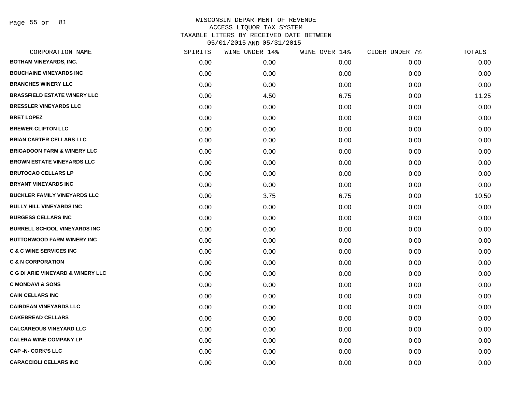Page 55 of 81

| CORPORATION NAME                       | SPIRITS | WINE UNDER 14% | WINE OVER 14% | CIDER UNDER 7% | TOTALS |
|----------------------------------------|---------|----------------|---------------|----------------|--------|
| <b>BOTHAM VINEYARDS, INC.</b>          | 0.00    | 0.00           | 0.00          | 0.00           | 0.00   |
| <b>BOUCHAINE VINEYARDS INC</b>         | 0.00    | 0.00           | 0.00          | 0.00           | 0.00   |
| <b>BRANCHES WINERY LLC</b>             | 0.00    | 0.00           | 0.00          | 0.00           | 0.00   |
| <b>BRASSFIELD ESTATE WINERY LLC</b>    | 0.00    | 4.50           | 6.75          | 0.00           | 11.25  |
| <b>BRESSLER VINEYARDS LLC</b>          | 0.00    | 0.00           | 0.00          | 0.00           | 0.00   |
| <b>BRET LOPEZ</b>                      | 0.00    | 0.00           | 0.00          | 0.00           | 0.00   |
| <b>BREWER-CLIFTON LLC</b>              | 0.00    | 0.00           | 0.00          | 0.00           | 0.00   |
| <b>BRIAN CARTER CELLARS LLC</b>        | 0.00    | 0.00           | 0.00          | 0.00           | 0.00   |
| <b>BRIGADOON FARM &amp; WINERY LLC</b> | 0.00    | 0.00           | 0.00          | 0.00           | 0.00   |
| <b>BROWN ESTATE VINEYARDS LLC</b>      | 0.00    | 0.00           | 0.00          | 0.00           | 0.00   |
| <b>BRUTOCAO CELLARS LP</b>             | 0.00    | 0.00           | 0.00          | 0.00           | 0.00   |
| <b>BRYANT VINEYARDS INC</b>            | 0.00    | 0.00           | 0.00          | 0.00           | 0.00   |
| <b>BUCKLER FAMILY VINEYARDS LLC</b>    | 0.00    | 3.75           | 6.75          | 0.00           | 10.50  |
| <b>BULLY HILL VINEYARDS INC</b>        | 0.00    | 0.00           | 0.00          | 0.00           | 0.00   |
| <b>BURGESS CELLARS INC</b>             | 0.00    | 0.00           | 0.00          | 0.00           | 0.00   |
| <b>BURRELL SCHOOL VINEYARDS INC</b>    | 0.00    | 0.00           | 0.00          | 0.00           | 0.00   |
| <b>BUTTONWOOD FARM WINERY INC</b>      | 0.00    | 0.00           | 0.00          | 0.00           | 0.00   |
| <b>C &amp; C WINE SERVICES INC</b>     | 0.00    | 0.00           | 0.00          | 0.00           | 0.00   |
| <b>C &amp; N CORPORATION</b>           | 0.00    | 0.00           | 0.00          | 0.00           | 0.00   |
| C G DI ARIE VINEYARD & WINERY LLC      | 0.00    | 0.00           | 0.00          | 0.00           | 0.00   |
| <b>C MONDAVI &amp; SONS</b>            | 0.00    | 0.00           | 0.00          | 0.00           | 0.00   |
| <b>CAIN CELLARS INC</b>                | 0.00    | 0.00           | 0.00          | 0.00           | 0.00   |
| <b>CAIRDEAN VINEYARDS LLC</b>          | 0.00    | 0.00           | 0.00          | 0.00           | 0.00   |
| <b>CAKEBREAD CELLARS</b>               | 0.00    | 0.00           | 0.00          | 0.00           | 0.00   |
| <b>CALCAREOUS VINEYARD LLC</b>         | 0.00    | 0.00           | 0.00          | 0.00           | 0.00   |
| <b>CALERA WINE COMPANY LP</b>          | 0.00    | 0.00           | 0.00          | 0.00           | 0.00   |
| <b>CAP -N- CORK'S LLC</b>              | 0.00    | 0.00           | 0.00          | 0.00           | 0.00   |
| <b>CARACCIOLI CELLARS INC</b>          | 0.00    | 0.00           | 0.00          | 0.00           | 0.00   |
|                                        |         |                |               |                |        |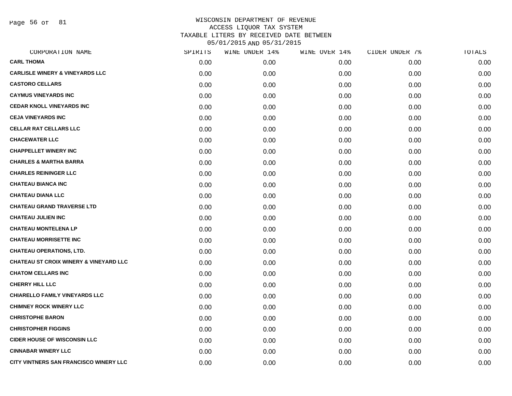Page 56 of 81

| CORPORATION NAME                                  | SPIRITS | WINE UNDER 14% | WINE OVER 14% | CIDER UNDER 7% | TOTALS |
|---------------------------------------------------|---------|----------------|---------------|----------------|--------|
| <b>CARL THOMA</b>                                 | 0.00    | 0.00           | 0.00          | 0.00           | 0.00   |
| <b>CARLISLE WINERY &amp; VINEYARDS LLC</b>        | 0.00    | 0.00           | 0.00          | 0.00           | 0.00   |
| <b>CASTORO CELLARS</b>                            | 0.00    | 0.00           | 0.00          | 0.00           | 0.00   |
| <b>CAYMUS VINEYARDS INC</b>                       | 0.00    | 0.00           | 0.00          | 0.00           | 0.00   |
| <b>CEDAR KNOLL VINEYARDS INC</b>                  | 0.00    | 0.00           | 0.00          | 0.00           | 0.00   |
| <b>CEJA VINEYARDS INC</b>                         | 0.00    | 0.00           | 0.00          | 0.00           | 0.00   |
| <b>CELLAR RAT CELLARS LLC</b>                     | 0.00    | 0.00           | 0.00          | 0.00           | 0.00   |
| <b>CHACEWATER LLC</b>                             | 0.00    | 0.00           | 0.00          | 0.00           | 0.00   |
| <b>CHAPPELLET WINERY INC</b>                      | 0.00    | 0.00           | 0.00          | 0.00           | 0.00   |
| <b>CHARLES &amp; MARTHA BARRA</b>                 | 0.00    | 0.00           | 0.00          | 0.00           | 0.00   |
| <b>CHARLES REININGER LLC</b>                      | 0.00    | 0.00           | 0.00          | 0.00           | 0.00   |
| <b>CHATEAU BIANCA INC</b>                         | 0.00    | 0.00           | 0.00          | 0.00           | 0.00   |
| <b>CHATEAU DIANA LLC</b>                          | 0.00    | 0.00           | 0.00          | 0.00           | 0.00   |
| <b>CHATEAU GRAND TRAVERSE LTD</b>                 | 0.00    | 0.00           | 0.00          | 0.00           | 0.00   |
| <b>CHATEAU JULIEN INC</b>                         | 0.00    | 0.00           | 0.00          | 0.00           | 0.00   |
| <b>CHATEAU MONTELENA LP</b>                       | 0.00    | 0.00           | 0.00          | 0.00           | 0.00   |
| <b>CHATEAU MORRISETTE INC</b>                     | 0.00    | 0.00           | 0.00          | 0.00           | 0.00   |
| <b>CHATEAU OPERATIONS, LTD.</b>                   | 0.00    | 0.00           | 0.00          | 0.00           | 0.00   |
| <b>CHATEAU ST CROIX WINERY &amp; VINEYARD LLC</b> | 0.00    | 0.00           | 0.00          | 0.00           | 0.00   |
| <b>CHATOM CELLARS INC</b>                         | 0.00    | 0.00           | 0.00          | 0.00           | 0.00   |
| <b>CHERRY HILL LLC</b>                            | 0.00    | 0.00           | 0.00          | 0.00           | 0.00   |
| <b>CHIARELLO FAMILY VINEYARDS LLC</b>             | 0.00    | 0.00           | 0.00          | 0.00           | 0.00   |
| <b>CHIMNEY ROCK WINERY LLC</b>                    | 0.00    | 0.00           | 0.00          | 0.00           | 0.00   |
| <b>CHRISTOPHE BARON</b>                           | 0.00    | 0.00           | 0.00          | 0.00           | 0.00   |
| <b>CHRISTOPHER FIGGINS</b>                        | 0.00    | 0.00           | 0.00          | 0.00           | 0.00   |
| <b>CIDER HOUSE OF WISCONSIN LLC</b>               | 0.00    | 0.00           | 0.00          | 0.00           | 0.00   |
| <b>CINNABAR WINERY LLC</b>                        | 0.00    | 0.00           | 0.00          | 0.00           | 0.00   |
| CITY VINTNERS SAN FRANCISCO WINERY LLC            | 0.00    | 0.00           | 0.00          | 0.00           | 0.00   |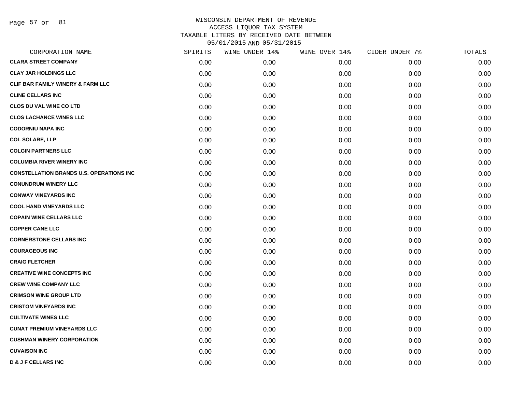Page 57 of 81

| CORPORATION NAME                                | SPIRITS | WINE UNDER 14% | WINE OVER 14% | CIDER UNDER 7% | TOTALS |
|-------------------------------------------------|---------|----------------|---------------|----------------|--------|
| <b>CLARA STREET COMPANY</b>                     | 0.00    | 0.00           | 0.00          | 0.00           | 0.00   |
| <b>CLAY JAR HOLDINGS LLC</b>                    | 0.00    | 0.00           | 0.00          | 0.00           | 0.00   |
| <b>CLIF BAR FAMILY WINERY &amp; FARM LLC</b>    | 0.00    | 0.00           | 0.00          | 0.00           | 0.00   |
| <b>CLINE CELLARS INC</b>                        | 0.00    | 0.00           | 0.00          | 0.00           | 0.00   |
| <b>CLOS DU VAL WINE CO LTD</b>                  | 0.00    | 0.00           | 0.00          | 0.00           | 0.00   |
| <b>CLOS LACHANCE WINES LLC</b>                  | 0.00    | 0.00           | 0.00          | 0.00           | 0.00   |
| <b>CODORNIU NAPA INC</b>                        | 0.00    | 0.00           | 0.00          | 0.00           | 0.00   |
| <b>COL SOLARE, LLP</b>                          | 0.00    | 0.00           | 0.00          | 0.00           | 0.00   |
| <b>COLGIN PARTNERS LLC</b>                      | 0.00    | 0.00           | 0.00          | 0.00           | 0.00   |
| <b>COLUMBIA RIVER WINERY INC</b>                | 0.00    | 0.00           | 0.00          | 0.00           | 0.00   |
| <b>CONSTELLATION BRANDS U.S. OPERATIONS INC</b> | 0.00    | 0.00           | 0.00          | 0.00           | 0.00   |
| <b>CONUNDRUM WINERY LLC</b>                     | 0.00    | 0.00           | 0.00          | 0.00           | 0.00   |
| <b>CONWAY VINEYARDS INC</b>                     | 0.00    | 0.00           | 0.00          | 0.00           | 0.00   |
| <b>COOL HAND VINEYARDS LLC</b>                  | 0.00    | 0.00           | 0.00          | 0.00           | 0.00   |
| <b>COPAIN WINE CELLARS LLC</b>                  | 0.00    | 0.00           | 0.00          | 0.00           | 0.00   |
| <b>COPPER CANE LLC</b>                          | 0.00    | 0.00           | 0.00          | 0.00           | 0.00   |
| <b>CORNERSTONE CELLARS INC</b>                  | 0.00    | 0.00           | 0.00          | 0.00           | 0.00   |
| <b>COURAGEOUS INC</b>                           | 0.00    | 0.00           | 0.00          | 0.00           | 0.00   |
| <b>CRAIG FLETCHER</b>                           | 0.00    | 0.00           | 0.00          | 0.00           | 0.00   |
| <b>CREATIVE WINE CONCEPTS INC</b>               | 0.00    | 0.00           | 0.00          | 0.00           | 0.00   |
| <b>CREW WINE COMPANY LLC</b>                    | 0.00    | 0.00           | 0.00          | 0.00           | 0.00   |
| <b>CRIMSON WINE GROUP LTD</b>                   | 0.00    | 0.00           | 0.00          | 0.00           | 0.00   |
| <b>CRISTOM VINEYARDS INC</b>                    | 0.00    | 0.00           | 0.00          | 0.00           | 0.00   |
| <b>CULTIVATE WINES LLC</b>                      | 0.00    | 0.00           | 0.00          | 0.00           | 0.00   |
| <b>CUNAT PREMIUM VINEYARDS LLC</b>              | 0.00    | 0.00           | 0.00          | 0.00           | 0.00   |
| <b>CUSHMAN WINERY CORPORATION</b>               | 0.00    | 0.00           | 0.00          | 0.00           | 0.00   |
| <b>CUVAISON INC</b>                             | 0.00    | 0.00           | 0.00          | 0.00           | 0.00   |
| <b>D &amp; J F CELLARS INC</b>                  | 0.00    | 0.00           | 0.00          | 0.00           | 0.00   |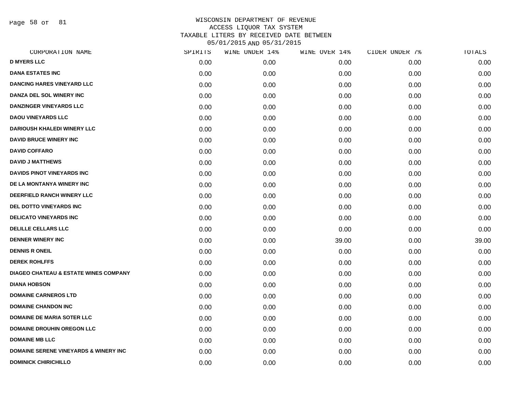Page 58 of 81

| CORPORATION NAME                                 | SPIRITS | WINE UNDER 14% | WINE OVER 14% | CIDER UNDER 7% | TOTALS |
|--------------------------------------------------|---------|----------------|---------------|----------------|--------|
| <b>D MYERS LLC</b>                               | 0.00    | 0.00           | 0.00          | 0.00           | 0.00   |
| <b>DANA ESTATES INC</b>                          | 0.00    | 0.00           | 0.00          | 0.00           | 0.00   |
| <b>DANCING HARES VINEYARD LLC</b>                | 0.00    | 0.00           | 0.00          | 0.00           | 0.00   |
| DANZA DEL SOL WINERY INC                         | 0.00    | 0.00           | 0.00          | 0.00           | 0.00   |
| DANZINGER VINEYARDS LLC                          | 0.00    | 0.00           | 0.00          | 0.00           | 0.00   |
| <b>DAOU VINEYARDS LLC</b>                        | 0.00    | 0.00           | 0.00          | 0.00           | 0.00   |
| <b>DARIOUSH KHALEDI WINERY LLC</b>               | 0.00    | 0.00           | 0.00          | 0.00           | 0.00   |
| <b>DAVID BRUCE WINERY INC</b>                    | 0.00    | 0.00           | 0.00          | 0.00           | 0.00   |
| <b>DAVID COFFARO</b>                             | 0.00    | 0.00           | 0.00          | 0.00           | 0.00   |
| <b>DAVID J MATTHEWS</b>                          | 0.00    | 0.00           | 0.00          | 0.00           | 0.00   |
| DAVIDS PINOT VINEYARDS INC                       | 0.00    | 0.00           | 0.00          | 0.00           | 0.00   |
| DE LA MONTANYA WINERY INC                        | 0.00    | 0.00           | 0.00          | 0.00           | 0.00   |
| DEERFIELD RANCH WINERY LLC                       | 0.00    | 0.00           | 0.00          | 0.00           | 0.00   |
| DEL DOTTO VINEYARDS INC                          | 0.00    | 0.00           | 0.00          | 0.00           | 0.00   |
| <b>DELICATO VINEYARDS INC</b>                    | 0.00    | 0.00           | 0.00          | 0.00           | 0.00   |
| <b>DELILLE CELLARS LLC</b>                       | 0.00    | 0.00           | 0.00          | 0.00           | 0.00   |
| <b>DENNER WINERY INC</b>                         | 0.00    | 0.00           | 39.00         | 0.00           | 39.00  |
| <b>DENNIS R ONEIL</b>                            | 0.00    | 0.00           | 0.00          | 0.00           | 0.00   |
| <b>DEREK ROHLFFS</b>                             | 0.00    | 0.00           | 0.00          | 0.00           | 0.00   |
| <b>DIAGEO CHATEAU &amp; ESTATE WINES COMPANY</b> | 0.00    | 0.00           | 0.00          | 0.00           | 0.00   |
| <b>DIANA HOBSON</b>                              | 0.00    | 0.00           | 0.00          | 0.00           | 0.00   |
| <b>DOMAINE CARNEROS LTD</b>                      | 0.00    | 0.00           | 0.00          | 0.00           | 0.00   |
| <b>DOMAINE CHANDON INC</b>                       | 0.00    | 0.00           | 0.00          | 0.00           | 0.00   |
| <b>DOMAINE DE MARIA SOTER LLC</b>                | 0.00    | 0.00           | 0.00          | 0.00           | 0.00   |
| <b>DOMAINE DROUHIN OREGON LLC</b>                | 0.00    | 0.00           | 0.00          | 0.00           | 0.00   |
| <b>DOMAINE MB LLC</b>                            | 0.00    | 0.00           | 0.00          | 0.00           | 0.00   |
| <b>DOMAINE SERENE VINEYARDS &amp; WINERY INC</b> | 0.00    | 0.00           | 0.00          | 0.00           | 0.00   |
| <b>DOMINICK CHIRICHILLO</b>                      | 0.00    | 0.00           | 0.00          | 0.00           | 0.00   |
|                                                  |         |                |               |                |        |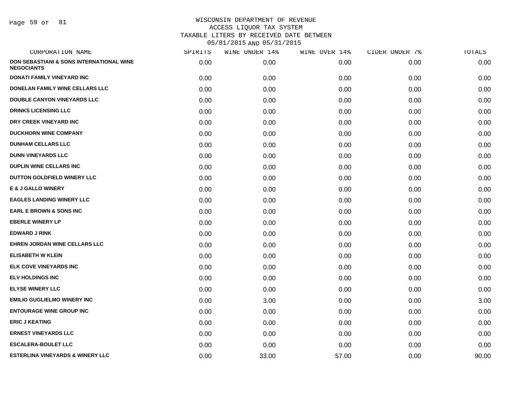Page 59 of 81

| CORPORATION NAME                                                         | SPIRITS | WINE UNDER 14% | WINE OVER 14% | CIDER UNDER 7% | TOTALS |
|--------------------------------------------------------------------------|---------|----------------|---------------|----------------|--------|
| <b>DON SEBASTIANI &amp; SONS INTERNATIONAL WINE</b><br><b>NEGOCIANTS</b> | 0.00    | 0.00           | 0.00          | 0.00           | 0.00   |
| <b>DONATI FAMILY VINEYARD INC</b>                                        | 0.00    | 0.00           | 0.00          | 0.00           | 0.00   |
| DONELAN FAMILY WINE CELLARS LLC                                          | 0.00    | 0.00           | 0.00          | 0.00           | 0.00   |
| <b>DOUBLE CANYON VINEYARDS LLC</b>                                       | 0.00    | 0.00           | 0.00          | 0.00           | 0.00   |
| <b>DRINKS LICENSING LLC</b>                                              | 0.00    | 0.00           | 0.00          | 0.00           | 0.00   |
| DRY CREEK VINEYARD INC                                                   | 0.00    | 0.00           | 0.00          | 0.00           | 0.00   |
| <b>DUCKHORN WINE COMPANY</b>                                             | 0.00    | 0.00           | 0.00          | 0.00           | 0.00   |
| <b>DUNHAM CELLARS LLC</b>                                                | 0.00    | 0.00           | 0.00          | 0.00           | 0.00   |
| <b>DUNN VINEYARDS LLC</b>                                                | 0.00    | 0.00           | 0.00          | 0.00           | 0.00   |
| <b>DUPLIN WINE CELLARS INC</b>                                           | 0.00    | 0.00           | 0.00          | 0.00           | 0.00   |
| DUTTON GOLDFIELD WINERY LLC                                              | 0.00    | 0.00           | 0.00          | 0.00           | 0.00   |
| <b>E &amp; J GALLO WINERY</b>                                            | 0.00    | 0.00           | 0.00          | 0.00           | 0.00   |
| <b>EAGLES LANDING WINERY LLC</b>                                         | 0.00    | 0.00           | 0.00          | 0.00           | 0.00   |
| <b>EARL E BROWN &amp; SONS INC</b>                                       | 0.00    | 0.00           | 0.00          | 0.00           | 0.00   |
| <b>EBERLE WINERY LP</b>                                                  | 0.00    | 0.00           | 0.00          | 0.00           | 0.00   |
| <b>EDWARD J RINK</b>                                                     | 0.00    | 0.00           | 0.00          | 0.00           | 0.00   |
| EHREN JORDAN WINE CELLARS LLC                                            | 0.00    | 0.00           | 0.00          | 0.00           | 0.00   |
| <b>ELISABETH W KLEIN</b>                                                 | 0.00    | 0.00           | 0.00          | 0.00           | 0.00   |
| ELK COVE VINEYARDS INC                                                   | 0.00    | 0.00           | 0.00          | 0.00           | 0.00   |
| <b>ELV HOLDINGS INC</b>                                                  | 0.00    | 0.00           | 0.00          | 0.00           | 0.00   |
| <b>ELYSE WINERY LLC</b>                                                  | 0.00    | 0.00           | 0.00          | 0.00           | 0.00   |
| <b>EMILIO GUGLIELMO WINERY INC</b>                                       | 0.00    | 3.00           | 0.00          | 0.00           | 3.00   |
| <b>ENTOURAGE WINE GROUP INC</b>                                          | 0.00    | 0.00           | 0.00          | 0.00           | 0.00   |
| <b>ERIC J KEATING</b>                                                    | 0.00    | 0.00           | 0.00          | 0.00           | 0.00   |
| <b>ERNEST VINEYARDS LLC</b>                                              | 0.00    | 0.00           | 0.00          | 0.00           | 0.00   |
| <b>ESCALERA-BOULET LLC</b>                                               | 0.00    | 0.00           | 0.00          | 0.00           | 0.00   |
| <b>ESTERLINA VINEYARDS &amp; WINERY LLC</b>                              | 0.00    | 33.00          | 57.00         | 0.00           | 90.00  |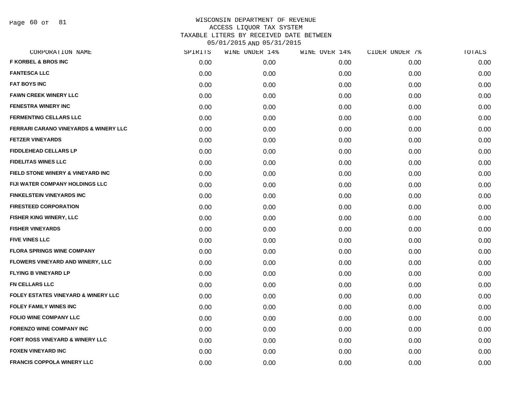Page 60 of 81

| CORPORATION NAME                                 | SPIRITS | WINE UNDER 14% | WINE OVER 14% | CIDER UNDER 7% | TOTALS |
|--------------------------------------------------|---------|----------------|---------------|----------------|--------|
| <b>F KORBEL &amp; BROS INC</b>                   | 0.00    | 0.00           | 0.00          | 0.00           | 0.00   |
| <b>FANTESCA LLC</b>                              | 0.00    | 0.00           | 0.00          | 0.00           | 0.00   |
| <b>FAT BOYS INC</b>                              | 0.00    | 0.00           | 0.00          | 0.00           | 0.00   |
| <b>FAWN CREEK WINERY LLC</b>                     | 0.00    | 0.00           | 0.00          | 0.00           | 0.00   |
| <b>FENESTRA WINERY INC</b>                       | 0.00    | 0.00           | 0.00          | 0.00           | 0.00   |
| <b>FERMENTING CELLARS LLC</b>                    | 0.00    | 0.00           | 0.00          | 0.00           | 0.00   |
| <b>FERRARI CARANO VINEYARDS &amp; WINERY LLC</b> | 0.00    | 0.00           | 0.00          | 0.00           | 0.00   |
| <b>FETZER VINEYARDS</b>                          | 0.00    | 0.00           | 0.00          | 0.00           | 0.00   |
| <b>FIDDLEHEAD CELLARS LP</b>                     | 0.00    | 0.00           | 0.00          | 0.00           | 0.00   |
| <b>FIDELITAS WINES LLC</b>                       | 0.00    | 0.00           | 0.00          | 0.00           | 0.00   |
| FIELD STONE WINERY & VINEYARD INC                | 0.00    | 0.00           | 0.00          | 0.00           | 0.00   |
| FIJI WATER COMPANY HOLDINGS LLC                  | 0.00    | 0.00           | 0.00          | 0.00           | 0.00   |
| <b>FINKELSTEIN VINEYARDS INC</b>                 | 0.00    | 0.00           | 0.00          | 0.00           | 0.00   |
| <b>FIRESTEED CORPORATION</b>                     | 0.00    | 0.00           | 0.00          | 0.00           | 0.00   |
| FISHER KING WINERY, LLC                          | 0.00    | 0.00           | 0.00          | 0.00           | 0.00   |
| <b>FISHER VINEYARDS</b>                          | 0.00    | 0.00           | 0.00          | 0.00           | 0.00   |
| <b>FIVE VINES LLC</b>                            | 0.00    | 0.00           | 0.00          | 0.00           | 0.00   |
| <b>FLORA SPRINGS WINE COMPANY</b>                | 0.00    | 0.00           | 0.00          | 0.00           | 0.00   |
| FLOWERS VINEYARD AND WINERY, LLC                 | 0.00    | 0.00           | 0.00          | 0.00           | 0.00   |
| <b>FLYING B VINEYARD LP</b>                      | 0.00    | 0.00           | 0.00          | 0.00           | 0.00   |
| <b>FN CELLARS LLC</b>                            | 0.00    | 0.00           | 0.00          | 0.00           | 0.00   |
| <b>FOLEY ESTATES VINEYARD &amp; WINERY LLC</b>   | 0.00    | 0.00           | 0.00          | 0.00           | 0.00   |
| <b>FOLEY FAMILY WINES INC</b>                    | 0.00    | 0.00           | 0.00          | 0.00           | 0.00   |
| <b>FOLIO WINE COMPANY LLC</b>                    | 0.00    | 0.00           | 0.00          | 0.00           | 0.00   |
| <b>FORENZO WINE COMPANY INC</b>                  | 0.00    | 0.00           | 0.00          | 0.00           | 0.00   |
| FORT ROSS VINEYARD & WINERY LLC                  | 0.00    | 0.00           | 0.00          | 0.00           | 0.00   |
| <b>FOXEN VINEYARD INC</b>                        | 0.00    | 0.00           | 0.00          | 0.00           | 0.00   |
| FRANCIS COPPOLA WINERY LLC                       | 0.00    | 0.00           | 0.00          | 0.00           | 0.00   |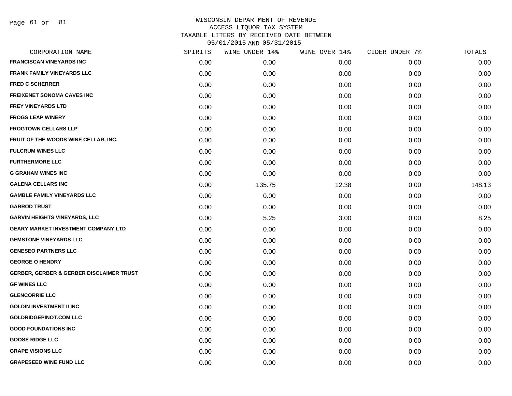Page 61 of 81

| CORPORATION NAME                                    | SPIRITS | WINE UNDER 14% | WINE OVER 14% | CIDER UNDER 7% | TOTALS |
|-----------------------------------------------------|---------|----------------|---------------|----------------|--------|
| <b>FRANCISCAN VINEYARDS INC</b>                     | 0.00    | 0.00           | 0.00          | 0.00           | 0.00   |
| <b>FRANK FAMILY VINEYARDS LLC</b>                   | 0.00    | 0.00           | 0.00          | 0.00           | 0.00   |
| <b>FRED C SCHERRER</b>                              | 0.00    | 0.00           | 0.00          | 0.00           | 0.00   |
| <b>FREIXENET SONOMA CAVES INC</b>                   | 0.00    | 0.00           | 0.00          | 0.00           | 0.00   |
| <b>FREY VINEYARDS LTD</b>                           | 0.00    | 0.00           | 0.00          | 0.00           | 0.00   |
| <b>FROGS LEAP WINERY</b>                            | 0.00    | 0.00           | 0.00          | 0.00           | 0.00   |
| <b>FROGTOWN CELLARS LLP</b>                         | 0.00    | 0.00           | 0.00          | 0.00           | 0.00   |
| FRUIT OF THE WOODS WINE CELLAR, INC.                | 0.00    | 0.00           | 0.00          | 0.00           | 0.00   |
| <b>FULCRUM WINES LLC</b>                            | 0.00    | 0.00           | 0.00          | 0.00           | 0.00   |
| <b>FURTHERMORE LLC</b>                              | 0.00    | 0.00           | 0.00          | 0.00           | 0.00   |
| <b>G GRAHAM WINES INC</b>                           | 0.00    | 0.00           | 0.00          | 0.00           | 0.00   |
| <b>GALENA CELLARS INC</b>                           | 0.00    | 135.75         | 12.38         | 0.00           | 148.13 |
| <b>GAMBLE FAMILY VINEYARDS LLC</b>                  | 0.00    | 0.00           | 0.00          | 0.00           | 0.00   |
| <b>GARROD TRUST</b>                                 | 0.00    | 0.00           | 0.00          | 0.00           | 0.00   |
| <b>GARVIN HEIGHTS VINEYARDS, LLC</b>                | 0.00    | 5.25           | 3.00          | 0.00           | 8.25   |
| <b>GEARY MARKET INVESTMENT COMPANY LTD</b>          | 0.00    | 0.00           | 0.00          | 0.00           | 0.00   |
| <b>GEMSTONE VINEYARDS LLC</b>                       | 0.00    | 0.00           | 0.00          | 0.00           | 0.00   |
| <b>GENESEO PARTNERS LLC</b>                         | 0.00    | 0.00           | 0.00          | 0.00           | 0.00   |
| <b>GEORGE O HENDRY</b>                              | 0.00    | 0.00           | 0.00          | 0.00           | 0.00   |
| <b>GERBER, GERBER &amp; GERBER DISCLAIMER TRUST</b> | 0.00    | 0.00           | 0.00          | 0.00           | 0.00   |
| <b>GF WINES LLC</b>                                 | 0.00    | 0.00           | 0.00          | 0.00           | 0.00   |
| <b>GLENCORRIE LLC</b>                               | 0.00    | 0.00           | 0.00          | 0.00           | 0.00   |
| <b>GOLDIN INVESTMENT II INC</b>                     | 0.00    | 0.00           | 0.00          | 0.00           | 0.00   |
| <b>GOLDRIDGEPINOT.COM LLC</b>                       | 0.00    | 0.00           | 0.00          | 0.00           | 0.00   |
| <b>GOOD FOUNDATIONS INC</b>                         | 0.00    | 0.00           | 0.00          | 0.00           | 0.00   |
| <b>GOOSE RIDGE LLC</b>                              | 0.00    | 0.00           | 0.00          | 0.00           | 0.00   |
| <b>GRAPE VISIONS LLC</b>                            | 0.00    | 0.00           | 0.00          | 0.00           | 0.00   |
| <b>GRAPESEED WINE FUND LLC</b>                      | 0.00    | 0.00           | 0.00          | 0.00           | 0.00   |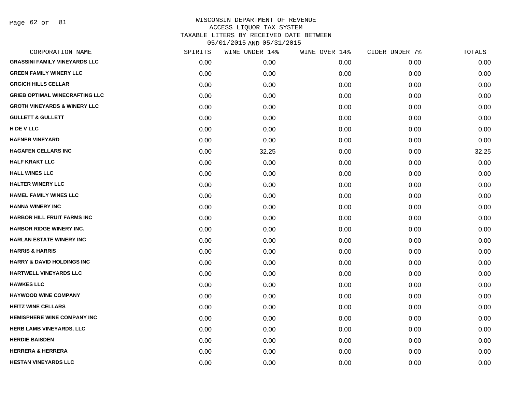Page 62 of 81

| CORPORATION NAME                        | SPIRITS | WINE UNDER 14% | WINE OVER 14% | CIDER UNDER 7% | TOTALS |
|-----------------------------------------|---------|----------------|---------------|----------------|--------|
| <b>GRASSINI FAMILY VINEYARDS LLC</b>    | 0.00    | 0.00           | 0.00          | 0.00           | 0.00   |
| <b>GREEN FAMILY WINERY LLC</b>          | 0.00    | 0.00           | 0.00          | 0.00           | 0.00   |
| <b>GRGICH HILLS CELLAR</b>              | 0.00    | 0.00           | 0.00          | 0.00           | 0.00   |
| <b>GRIEB OPTIMAL WINECRAFTING LLC</b>   | 0.00    | 0.00           | 0.00          | 0.00           | 0.00   |
| <b>GROTH VINEYARDS &amp; WINERY LLC</b> | 0.00    | 0.00           | 0.00          | 0.00           | 0.00   |
| <b>GULLETT &amp; GULLETT</b>            | 0.00    | 0.00           | 0.00          | 0.00           | 0.00   |
| H DE V LLC                              | 0.00    | 0.00           | 0.00          | 0.00           | 0.00   |
| <b>HAFNER VINEYARD</b>                  | 0.00    | 0.00           | 0.00          | 0.00           | 0.00   |
| <b>HAGAFEN CELLARS INC</b>              | 0.00    | 32.25          | 0.00          | 0.00           | 32.25  |
| <b>HALF KRAKT LLC</b>                   | 0.00    | 0.00           | 0.00          | 0.00           | 0.00   |
| <b>HALL WINES LLC</b>                   | 0.00    | 0.00           | 0.00          | 0.00           | 0.00   |
| <b>HALTER WINERY LLC</b>                | 0.00    | 0.00           | 0.00          | 0.00           | 0.00   |
| <b>HAMEL FAMILY WINES LLC</b>           | 0.00    | 0.00           | 0.00          | 0.00           | 0.00   |
| <b>HANNA WINERY INC</b>                 | 0.00    | 0.00           | 0.00          | 0.00           | 0.00   |
| <b>HARBOR HILL FRUIT FARMS INC</b>      | 0.00    | 0.00           | 0.00          | 0.00           | 0.00   |
| HARBOR RIDGE WINERY INC.                | 0.00    | 0.00           | 0.00          | 0.00           | 0.00   |
| <b>HARLAN ESTATE WINERY INC</b>         | 0.00    | 0.00           | 0.00          | 0.00           | 0.00   |
| <b>HARRIS &amp; HARRIS</b>              | 0.00    | 0.00           | 0.00          | 0.00           | 0.00   |
| <b>HARRY &amp; DAVID HOLDINGS INC</b>   | 0.00    | 0.00           | 0.00          | 0.00           | 0.00   |
| HARTWELL VINEYARDS LLC                  | 0.00    | 0.00           | 0.00          | 0.00           | 0.00   |
| <b>HAWKES LLC</b>                       | 0.00    | 0.00           | 0.00          | 0.00           | 0.00   |
| <b>HAYWOOD WINE COMPANY</b>             | 0.00    | 0.00           | 0.00          | 0.00           | 0.00   |
| <b>HEITZ WINE CELLARS</b>               | 0.00    | 0.00           | 0.00          | 0.00           | 0.00   |
| <b>HEMISPHERE WINE COMPANY INC</b>      | 0.00    | 0.00           | 0.00          | 0.00           | 0.00   |
| <b>HERB LAMB VINEYARDS, LLC</b>         | 0.00    | 0.00           | 0.00          | 0.00           | 0.00   |
| <b>HERDIE BAISDEN</b>                   | 0.00    | 0.00           | 0.00          | 0.00           | 0.00   |
| <b>HERRERA &amp; HERRERA</b>            | 0.00    | 0.00           | 0.00          | 0.00           | 0.00   |
| <b>HESTAN VINEYARDS LLC</b>             | 0.00    | 0.00           | 0.00          | 0.00           | 0.00   |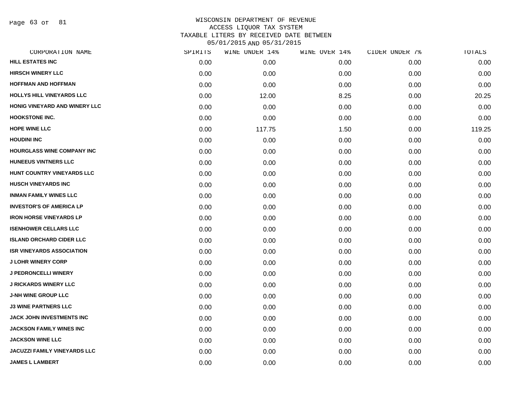Page 63 of 81

|      | WINE UNDER 14% |      |               | TOTALS         |
|------|----------------|------|---------------|----------------|
| 0.00 | 0.00           | 0.00 | 0.00          | 0.00           |
| 0.00 | 0.00           | 0.00 | 0.00          | 0.00           |
| 0.00 | 0.00           | 0.00 | 0.00          | 0.00           |
| 0.00 | 12.00          | 8.25 | 0.00          | 20.25          |
| 0.00 | 0.00           | 0.00 | 0.00          | 0.00           |
| 0.00 | 0.00           | 0.00 | 0.00          | 0.00           |
| 0.00 | 117.75         | 1.50 | 0.00          | 119.25         |
| 0.00 | 0.00           | 0.00 | 0.00          | 0.00           |
| 0.00 | 0.00           | 0.00 | 0.00          | 0.00           |
| 0.00 | 0.00           | 0.00 | 0.00          | 0.00           |
| 0.00 | 0.00           | 0.00 | 0.00          | 0.00           |
| 0.00 | 0.00           | 0.00 | 0.00          | 0.00           |
| 0.00 | 0.00           | 0.00 | 0.00          | 0.00           |
| 0.00 | 0.00           | 0.00 | 0.00          | 0.00           |
| 0.00 | 0.00           | 0.00 | 0.00          | 0.00           |
| 0.00 | 0.00           | 0.00 | 0.00          | 0.00           |
| 0.00 | 0.00           | 0.00 | 0.00          | 0.00           |
| 0.00 | 0.00           | 0.00 | 0.00          | 0.00           |
| 0.00 | 0.00           | 0.00 | 0.00          | 0.00           |
| 0.00 | 0.00           | 0.00 | 0.00          | 0.00           |
| 0.00 | 0.00           | 0.00 | 0.00          | 0.00           |
| 0.00 | 0.00           | 0.00 | 0.00          | 0.00           |
| 0.00 | 0.00           | 0.00 | 0.00          | 0.00           |
| 0.00 | 0.00           | 0.00 | 0.00          | 0.00           |
| 0.00 | 0.00           | 0.00 | 0.00          | 0.00           |
| 0.00 | 0.00           | 0.00 | 0.00          | 0.00           |
| 0.00 | 0.00           | 0.00 | 0.00          | 0.00           |
| 0.00 | 0.00           | 0.00 | 0.00          | 0.00           |
|      | SPIRITS        |      | WINE OVER 14% | CIDER UNDER 7% |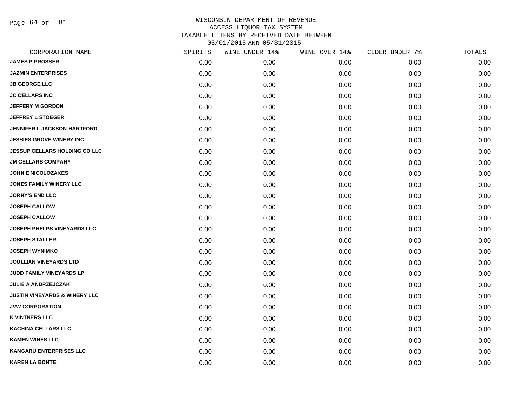Page 64 of 81

| CORPORATION NAME                         | SPIRITS | WINE UNDER 14% | WINE OVER 14% | CIDER UNDER 7% | TOTALS |
|------------------------------------------|---------|----------------|---------------|----------------|--------|
| <b>JAMES P PROSSER</b>                   | 0.00    | 0.00           | 0.00          | 0.00           | 0.00   |
| <b>JAZMIN ENTERPRISES</b>                | 0.00    | 0.00           | 0.00          | 0.00           | 0.00   |
| <b>JB GEORGE LLC</b>                     | 0.00    | 0.00           | 0.00          | 0.00           | 0.00   |
| <b>JC CELLARS INC</b>                    | 0.00    | 0.00           | 0.00          | 0.00           | 0.00   |
| <b>JEFFERY M GORDON</b>                  | 0.00    | 0.00           | 0.00          | 0.00           | 0.00   |
| <b>JEFFREY L STOEGER</b>                 | 0.00    | 0.00           | 0.00          | 0.00           | 0.00   |
| <b>JENNIFER L JACKSON-HARTFORD</b>       | 0.00    | 0.00           | 0.00          | 0.00           | 0.00   |
| <b>JESSIES GROVE WINERY INC</b>          | 0.00    | 0.00           | 0.00          | 0.00           | 0.00   |
| <b>JESSUP CELLARS HOLDING CO LLC</b>     | 0.00    | 0.00           | 0.00          | 0.00           | 0.00   |
| <b>JM CELLARS COMPANY</b>                | 0.00    | 0.00           | 0.00          | 0.00           | 0.00   |
| <b>JOHN E NICOLOZAKES</b>                | 0.00    | 0.00           | 0.00          | 0.00           | 0.00   |
| <b>JONES FAMILY WINERY LLC</b>           | 0.00    | 0.00           | 0.00          | 0.00           | 0.00   |
| <b>JORNY'S END LLC</b>                   | 0.00    | 0.00           | 0.00          | 0.00           | 0.00   |
| <b>JOSEPH CALLOW</b>                     | 0.00    | 0.00           | 0.00          | 0.00           | 0.00   |
| <b>JOSEPH CALLOW</b>                     | 0.00    | 0.00           | 0.00          | 0.00           | 0.00   |
| <b>JOSEPH PHELPS VINEYARDS LLC</b>       | 0.00    | 0.00           | 0.00          | 0.00           | 0.00   |
| <b>JOSEPH STALLER</b>                    | 0.00    | 0.00           | 0.00          | 0.00           | 0.00   |
| <b>JOSEPH WYNIMKO</b>                    | 0.00    | 0.00           | 0.00          | 0.00           | 0.00   |
| <b>JOULLIAN VINEYARDS LTD</b>            | 0.00    | 0.00           | 0.00          | 0.00           | 0.00   |
| JUDD FAMILY VINEYARDS LP                 | 0.00    | 0.00           | 0.00          | 0.00           | 0.00   |
| <b>JULIE A ANDRZEJCZAK</b>               | 0.00    | 0.00           | 0.00          | 0.00           | 0.00   |
| <b>JUSTIN VINEYARDS &amp; WINERY LLC</b> | 0.00    | 0.00           | 0.00          | 0.00           | 0.00   |
| <b>JVW CORPORATION</b>                   | 0.00    | 0.00           | 0.00          | 0.00           | 0.00   |
| <b>K VINTNERS LLC</b>                    | 0.00    | 0.00           | 0.00          | 0.00           | 0.00   |
| <b>KACHINA CELLARS LLC</b>               | 0.00    | 0.00           | 0.00          | 0.00           | 0.00   |
| <b>KAMEN WINES LLC</b>                   | 0.00    | 0.00           | 0.00          | 0.00           | 0.00   |
| <b>KANGARU ENTERPRISES LLC</b>           | 0.00    | 0.00           | 0.00          | 0.00           | 0.00   |
| <b>KAREN LA BONTE</b>                    | 0.00    | 0.00           | 0.00          | 0.00           | 0.00   |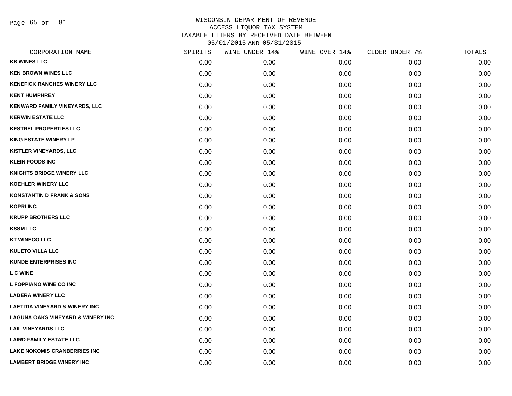Page 65 of 81

| CORPORATION NAME                             | SPIRITS | WINE UNDER 14% | WINE OVER 14% | CIDER UNDER 7% | TOTALS |
|----------------------------------------------|---------|----------------|---------------|----------------|--------|
| <b>KB WINES LLC</b>                          | 0.00    | 0.00           | 0.00          | 0.00           | 0.00   |
| <b>KEN BROWN WINES LLC</b>                   | 0.00    | 0.00           | 0.00          | 0.00           | 0.00   |
| <b>KENEFICK RANCHES WINERY LLC</b>           | 0.00    | 0.00           | 0.00          | 0.00           | 0.00   |
| <b>KENT HUMPHREY</b>                         | 0.00    | 0.00           | 0.00          | 0.00           | 0.00   |
| <b>KENWARD FAMILY VINEYARDS, LLC</b>         | 0.00    | 0.00           | 0.00          | 0.00           | 0.00   |
| <b>KERWIN ESTATE LLC</b>                     | 0.00    | 0.00           | 0.00          | 0.00           | 0.00   |
| <b>KESTREL PROPERTIES LLC</b>                | 0.00    | 0.00           | 0.00          | 0.00           | 0.00   |
| <b>KING ESTATE WINERY LP</b>                 | 0.00    | 0.00           | 0.00          | 0.00           | 0.00   |
| <b>KISTLER VINEYARDS, LLC</b>                | 0.00    | 0.00           | 0.00          | 0.00           | 0.00   |
| <b>KLEIN FOODS INC</b>                       | 0.00    | 0.00           | 0.00          | 0.00           | 0.00   |
| <b>KNIGHTS BRIDGE WINERY LLC</b>             | 0.00    | 0.00           | 0.00          | 0.00           | 0.00   |
| <b>KOEHLER WINERY LLC</b>                    | 0.00    | 0.00           | 0.00          | 0.00           | 0.00   |
| <b>KONSTANTIN D FRANK &amp; SONS</b>         | 0.00    | 0.00           | 0.00          | 0.00           | 0.00   |
| <b>KOPRI INC</b>                             | 0.00    | 0.00           | 0.00          | 0.00           | 0.00   |
| <b>KRUPP BROTHERS LLC</b>                    | 0.00    | 0.00           | 0.00          | 0.00           | 0.00   |
| <b>KSSM LLC</b>                              | 0.00    | 0.00           | 0.00          | 0.00           | 0.00   |
| <b>KT WINECO LLC</b>                         | 0.00    | 0.00           | 0.00          | 0.00           | 0.00   |
| <b>KULETO VILLA LLC</b>                      | 0.00    | 0.00           | 0.00          | 0.00           | 0.00   |
| <b>KUNDE ENTERPRISES INC</b>                 | 0.00    | 0.00           | 0.00          | 0.00           | 0.00   |
| <b>L C WINE</b>                              | 0.00    | 0.00           | 0.00          | 0.00           | 0.00   |
| L FOPPIANO WINE CO INC                       | 0.00    | 0.00           | 0.00          | 0.00           | 0.00   |
| <b>LADERA WINERY LLC</b>                     | 0.00    | 0.00           | 0.00          | 0.00           | 0.00   |
| <b>LAETITIA VINEYARD &amp; WINERY INC</b>    | 0.00    | 0.00           | 0.00          | 0.00           | 0.00   |
| <b>LAGUNA OAKS VINEYARD &amp; WINERY INC</b> | 0.00    | 0.00           | 0.00          | 0.00           | 0.00   |
| <b>LAIL VINEYARDS LLC</b>                    | 0.00    | 0.00           | 0.00          | 0.00           | 0.00   |
| <b>LAIRD FAMILY ESTATE LLC</b>               | 0.00    | 0.00           | 0.00          | 0.00           | 0.00   |
| <b>LAKE NOKOMIS CRANBERRIES INC</b>          | 0.00    | 0.00           | 0.00          | 0.00           | 0.00   |
| <b>LAMBERT BRIDGE WINERY INC</b>             | 0.00    | 0.00           | 0.00          | 0.00           | 0.00   |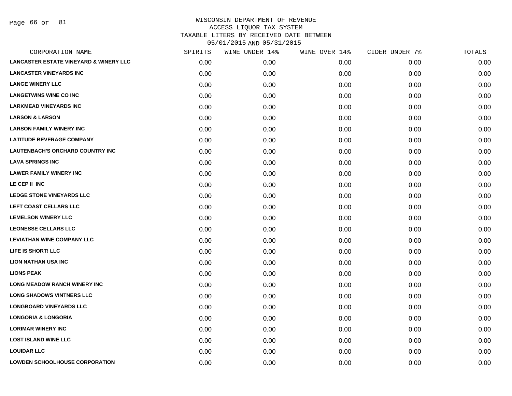Page 66 of 81

| CORPORATION NAME                                  | SPIRITS | WINE UNDER 14% | WINE OVER 14% | CIDER UNDER 7% | TOTALS |
|---------------------------------------------------|---------|----------------|---------------|----------------|--------|
| <b>LANCASTER ESTATE VINEYARD &amp; WINERY LLC</b> | 0.00    | 0.00           | 0.00          | 0.00           | 0.00   |
| <b>LANCASTER VINEYARDS INC</b>                    | 0.00    | 0.00           | 0.00          | 0.00           | 0.00   |
| <b>LANGE WINERY LLC</b>                           | 0.00    | 0.00           | 0.00          | 0.00           | 0.00   |
| <b>LANGETWINS WINE CO INC</b>                     | 0.00    | 0.00           | 0.00          | 0.00           | 0.00   |
| <b>LARKMEAD VINEYARDS INC</b>                     | 0.00    | 0.00           | 0.00          | 0.00           | 0.00   |
| <b>LARSON &amp; LARSON</b>                        | 0.00    | 0.00           | 0.00          | 0.00           | 0.00   |
| <b>LARSON FAMILY WINERY INC</b>                   | 0.00    | 0.00           | 0.00          | 0.00           | 0.00   |
| <b>LATITUDE BEVERAGE COMPANY</b>                  | 0.00    | 0.00           | 0.00          | 0.00           | 0.00   |
| <b>LAUTENBACH'S ORCHARD COUNTRY INC</b>           | 0.00    | 0.00           | 0.00          | 0.00           | 0.00   |
| <b>LAVA SPRINGS INC</b>                           | 0.00    | 0.00           | 0.00          | 0.00           | 0.00   |
| <b>LAWER FAMILY WINERY INC</b>                    | 0.00    | 0.00           | 0.00          | 0.00           | 0.00   |
| LE CEP II INC                                     | 0.00    | 0.00           | 0.00          | 0.00           | 0.00   |
| LEDGE STONE VINEYARDS LLC                         | 0.00    | 0.00           | 0.00          | 0.00           | 0.00   |
| LEFT COAST CELLARS LLC                            | 0.00    | 0.00           | 0.00          | 0.00           | 0.00   |
| <b>LEMELSON WINERY LLC</b>                        | 0.00    | 0.00           | 0.00          | 0.00           | 0.00   |
| <b>LEONESSE CELLARS LLC</b>                       | 0.00    | 0.00           | 0.00          | 0.00           | 0.00   |
| <b>LEVIATHAN WINE COMPANY LLC</b>                 | 0.00    | 0.00           | 0.00          | 0.00           | 0.00   |
| LIFE IS SHORT! LLC                                | 0.00    | 0.00           | 0.00          | 0.00           | 0.00   |
| <b>LION NATHAN USA INC</b>                        | 0.00    | 0.00           | 0.00          | 0.00           | 0.00   |
| <b>LIONS PEAK</b>                                 | 0.00    | 0.00           | 0.00          | 0.00           | 0.00   |
| <b>LONG MEADOW RANCH WINERY INC</b>               | 0.00    | 0.00           | 0.00          | 0.00           | 0.00   |
| <b>LONG SHADOWS VINTNERS LLC</b>                  | 0.00    | 0.00           | 0.00          | 0.00           | 0.00   |
| <b>LONGBOARD VINEYARDS LLC</b>                    | 0.00    | 0.00           | 0.00          | 0.00           | 0.00   |
| <b>LONGORIA &amp; LONGORIA</b>                    | 0.00    | 0.00           | 0.00          | 0.00           | 0.00   |
| <b>LORIMAR WINERY INC</b>                         | 0.00    | 0.00           | 0.00          | 0.00           | 0.00   |
| <b>LOST ISLAND WINE LLC</b>                       | 0.00    | 0.00           | 0.00          | 0.00           | 0.00   |
| <b>LOUIDAR LLC</b>                                | 0.00    | 0.00           | 0.00          | 0.00           | 0.00   |
| <b>LOWDEN SCHOOLHOUSE CORPORATION</b>             | 0.00    | 0.00           | 0.00          | 0.00           | 0.00   |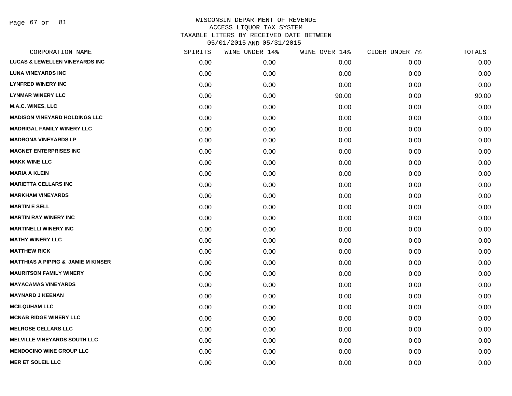Page 67 of 81

| CORPORATION NAME                              | SPIRITS | WINE UNDER 14% | WINE OVER 14% | CIDER UNDER 7% | TOTALS |
|-----------------------------------------------|---------|----------------|---------------|----------------|--------|
| <b>LUCAS &amp; LEWELLEN VINEYARDS INC</b>     | 0.00    | 0.00           | 0.00          | 0.00           | 0.00   |
| <b>LUNA VINEYARDS INC</b>                     | 0.00    | 0.00           | 0.00          | 0.00           | 0.00   |
| <b>LYNFRED WINERY INC</b>                     | 0.00    | 0.00           | 0.00          | 0.00           | 0.00   |
| <b>LYNMAR WINERY LLC</b>                      | 0.00    | 0.00           | 90.00         | 0.00           | 90.00  |
| <b>M.A.C. WINES, LLC</b>                      | 0.00    | 0.00           | 0.00          | 0.00           | 0.00   |
| <b>MADISON VINEYARD HOLDINGS LLC</b>          | 0.00    | 0.00           | 0.00          | 0.00           | 0.00   |
| <b>MADRIGAL FAMILY WINERY LLC</b>             | 0.00    | 0.00           | 0.00          | 0.00           | 0.00   |
| <b>MADRONA VINEYARDS LP</b>                   | 0.00    | 0.00           | 0.00          | 0.00           | 0.00   |
| <b>MAGNET ENTERPRISES INC</b>                 | 0.00    | 0.00           | 0.00          | 0.00           | 0.00   |
| <b>MAKK WINE LLC</b>                          | 0.00    | 0.00           | 0.00          | 0.00           | 0.00   |
| <b>MARIA A KLEIN</b>                          | 0.00    | 0.00           | 0.00          | 0.00           | 0.00   |
| <b>MARIETTA CELLARS INC</b>                   | 0.00    | 0.00           | 0.00          | 0.00           | 0.00   |
| <b>MARKHAM VINEYARDS</b>                      | 0.00    | 0.00           | 0.00          | 0.00           | 0.00   |
| <b>MARTIN E SELL</b>                          | 0.00    | 0.00           | 0.00          | 0.00           | 0.00   |
| <b>MARTIN RAY WINERY INC</b>                  | 0.00    | 0.00           | 0.00          | 0.00           | 0.00   |
| <b>MARTINELLI WINERY INC</b>                  | 0.00    | 0.00           | 0.00          | 0.00           | 0.00   |
| <b>MATHY WINERY LLC</b>                       | 0.00    | 0.00           | 0.00          | 0.00           | 0.00   |
| <b>MATTHEW RICK</b>                           | 0.00    | 0.00           | 0.00          | 0.00           | 0.00   |
| <b>MATTHIAS A PIPPIG &amp; JAMIE M KINSER</b> | 0.00    | 0.00           | 0.00          | 0.00           | 0.00   |
| <b>MAURITSON FAMILY WINERY</b>                | 0.00    | 0.00           | 0.00          | 0.00           | 0.00   |
| <b>MAYACAMAS VINEYARDS</b>                    | 0.00    | 0.00           | 0.00          | 0.00           | 0.00   |
| <b>MAYNARD J KEENAN</b>                       | 0.00    | 0.00           | 0.00          | 0.00           | 0.00   |
| <b>MCILQUHAM LLC</b>                          | 0.00    | 0.00           | 0.00          | 0.00           | 0.00   |
| <b>MCNAB RIDGE WINERY LLC</b>                 | 0.00    | 0.00           | 0.00          | 0.00           | 0.00   |
| <b>MELROSE CELLARS LLC</b>                    | 0.00    | 0.00           | 0.00          | 0.00           | 0.00   |
| <b>MELVILLE VINEYARDS SOUTH LLC</b>           | 0.00    | 0.00           | 0.00          | 0.00           | 0.00   |
| <b>MENDOCINO WINE GROUP LLC</b>               | 0.00    | 0.00           | 0.00          | 0.00           | 0.00   |
| <b>MER ET SOLEIL LLC</b>                      | 0.00    | 0.00           | 0.00          | 0.00           | 0.00   |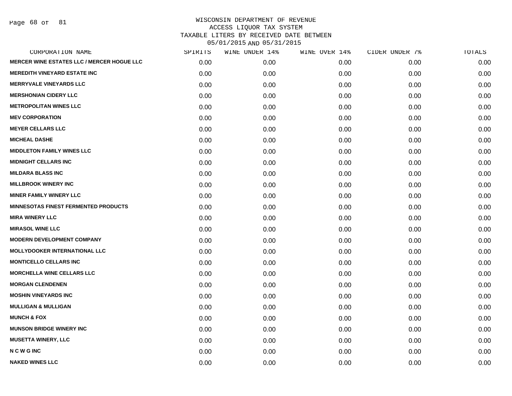Page 68 of 81

| CORPORATION NAME                                  | SPIRITS | WINE UNDER 14% | WINE OVER 14% | CIDER UNDER 7% | TOTALS |
|---------------------------------------------------|---------|----------------|---------------|----------------|--------|
| <b>MERCER WINE ESTATES LLC / MERCER HOGUE LLC</b> | 0.00    | 0.00           | 0.00          | 0.00           | 0.00   |
| <b>MEREDITH VINEYARD ESTATE INC</b>               | 0.00    | 0.00           | 0.00          | 0.00           | 0.00   |
| <b>MERRYVALE VINEYARDS LLC</b>                    | 0.00    | 0.00           | 0.00          | 0.00           | 0.00   |
| <b>MERSHONIAN CIDERY LLC</b>                      | 0.00    | 0.00           | 0.00          | 0.00           | 0.00   |
| <b>METROPOLITAN WINES LLC</b>                     | 0.00    | 0.00           | 0.00          | 0.00           | 0.00   |
| <b>MEV CORPORATION</b>                            | 0.00    | 0.00           | 0.00          | 0.00           | 0.00   |
| <b>MEYER CELLARS LLC</b>                          | 0.00    | 0.00           | 0.00          | 0.00           | 0.00   |
| <b>MICHEAL DASHE</b>                              | 0.00    | 0.00           | 0.00          | 0.00           | 0.00   |
| <b>MIDDLETON FAMILY WINES LLC</b>                 | 0.00    | 0.00           | 0.00          | 0.00           | 0.00   |
| <b>MIDNIGHT CELLARS INC</b>                       | 0.00    | 0.00           | 0.00          | 0.00           | 0.00   |
| <b>MILDARA BLASS INC</b>                          | 0.00    | 0.00           | 0.00          | 0.00           | 0.00   |
| <b>MILLBROOK WINERY INC</b>                       | 0.00    | 0.00           | 0.00          | 0.00           | 0.00   |
| <b>MINER FAMILY WINERY LLC</b>                    | 0.00    | 0.00           | 0.00          | 0.00           | 0.00   |
| <b>MINNESOTAS FINEST FERMENTED PRODUCTS</b>       | 0.00    | 0.00           | 0.00          | 0.00           | 0.00   |
| <b>MIRA WINERY LLC</b>                            | 0.00    | 0.00           | 0.00          | 0.00           | 0.00   |
| <b>MIRASOL WINE LLC</b>                           | 0.00    | 0.00           | 0.00          | 0.00           | 0.00   |
| <b>MODERN DEVELOPMENT COMPANY</b>                 | 0.00    | 0.00           | 0.00          | 0.00           | 0.00   |
| <b>MOLLYDOOKER INTERNATIONAL LLC</b>              | 0.00    | 0.00           | 0.00          | 0.00           | 0.00   |
| <b>MONTICELLO CELLARS INC</b>                     | 0.00    | 0.00           | 0.00          | 0.00           | 0.00   |
| <b>MORCHELLA WINE CELLARS LLC</b>                 | 0.00    | 0.00           | 0.00          | 0.00           | 0.00   |
| <b>MORGAN CLENDENEN</b>                           | 0.00    | 0.00           | 0.00          | 0.00           | 0.00   |
| <b>MOSHIN VINEYARDS INC</b>                       | 0.00    | 0.00           | 0.00          | 0.00           | 0.00   |
| <b>MULLIGAN &amp; MULLIGAN</b>                    | 0.00    | 0.00           | 0.00          | 0.00           | 0.00   |
| <b>MUNCH &amp; FOX</b>                            | 0.00    | 0.00           | 0.00          | 0.00           | 0.00   |
| <b>MUNSON BRIDGE WINERY INC</b>                   | 0.00    | 0.00           | 0.00          | 0.00           | 0.00   |
| <b>MUSETTA WINERY, LLC</b>                        | 0.00    | 0.00           | 0.00          | 0.00           | 0.00   |
| <b>NCWGINC</b>                                    | 0.00    | 0.00           | 0.00          | 0.00           | 0.00   |
| <b>NAKED WINES LLC</b>                            | 0.00    | 0.00           | 0.00          | 0.00           | 0.00   |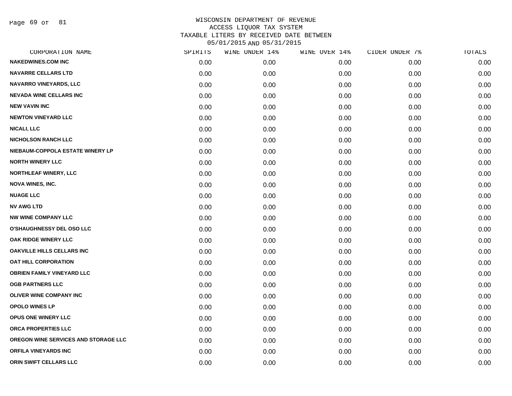Page 69 of 81

| CORPORATION NAME                     | SPIRITS | WINE UNDER 14% | WINE OVER 14% | CIDER UNDER 7% | TOTALS |
|--------------------------------------|---------|----------------|---------------|----------------|--------|
| <b>NAKEDWINES.COM INC</b>            | 0.00    | 0.00           | 0.00          | 0.00           | 0.00   |
| <b>NAVARRE CELLARS LTD</b>           | 0.00    | 0.00           | 0.00          | 0.00           | 0.00   |
| NAVARRO VINEYARDS, LLC               | 0.00    | 0.00           | 0.00          | 0.00           | 0.00   |
| <b>NEVADA WINE CELLARS INC</b>       | 0.00    | 0.00           | 0.00          | 0.00           | 0.00   |
| <b>NEW VAVIN INC</b>                 | 0.00    | 0.00           | 0.00          | 0.00           | 0.00   |
| <b>NEWTON VINEYARD LLC</b>           | 0.00    | 0.00           | 0.00          | 0.00           | 0.00   |
| <b>NICALI, LLC</b>                   | 0.00    | 0.00           | 0.00          | 0.00           | 0.00   |
| <b>NICHOLSON RANCH LLC</b>           | 0.00    | 0.00           | 0.00          | 0.00           | 0.00   |
| NIEBAUM-COPPOLA ESTATE WINERY LP     | 0.00    | 0.00           | 0.00          | 0.00           | 0.00   |
| <b>NORTH WINERY LLC</b>              | 0.00    | 0.00           | 0.00          | 0.00           | 0.00   |
| <b>NORTHLEAF WINERY, LLC</b>         | 0.00    | 0.00           | 0.00          | 0.00           | 0.00   |
| <b>NOVA WINES, INC.</b>              | 0.00    | 0.00           | 0.00          | 0.00           | 0.00   |
| <b>NUAGE LLC</b>                     | 0.00    | 0.00           | 0.00          | 0.00           | 0.00   |
| <b>NV AWG LTD</b>                    | 0.00    | 0.00           | 0.00          | 0.00           | 0.00   |
| <b>NW WINE COMPANY LLC</b>           | 0.00    | 0.00           | 0.00          | 0.00           | 0.00   |
| <b>O'SHAUGHNESSY DEL OSO LLC</b>     | 0.00    | 0.00           | 0.00          | 0.00           | 0.00   |
| OAK RIDGE WINERY LLC                 | 0.00    | 0.00           | 0.00          | 0.00           | 0.00   |
| <b>OAKVILLE HILLS CELLARS INC</b>    | 0.00    | 0.00           | 0.00          | 0.00           | 0.00   |
| OAT HILL CORPORATION                 | 0.00    | 0.00           | 0.00          | 0.00           | 0.00   |
| <b>OBRIEN FAMILY VINEYARD LLC</b>    | 0.00    | 0.00           | 0.00          | 0.00           | 0.00   |
| <b>OGB PARTNERS LLC</b>              | 0.00    | 0.00           | 0.00          | 0.00           | 0.00   |
| <b>OLIVER WINE COMPANY INC</b>       | 0.00    | 0.00           | 0.00          | 0.00           | 0.00   |
| <b>OPOLO WINES LP</b>                | 0.00    | 0.00           | 0.00          | 0.00           | 0.00   |
| OPUS ONE WINERY LLC                  | 0.00    | 0.00           | 0.00          | 0.00           | 0.00   |
| ORCA PROPERTIES LLC                  | 0.00    | 0.00           | 0.00          | 0.00           | 0.00   |
| OREGON WINE SERVICES AND STORAGE LLC | 0.00    | 0.00           | 0.00          | 0.00           | 0.00   |
| <b>ORFILA VINEYARDS INC</b>          | 0.00    | 0.00           | 0.00          | 0.00           | 0.00   |
| ORIN SWIFT CELLARS LLC               | 0.00    | 0.00           | 0.00          | 0.00           | 0.00   |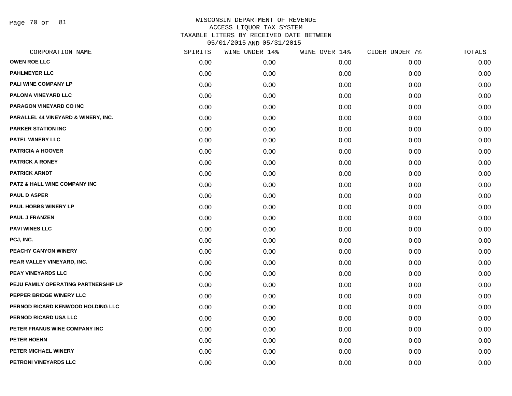Page 70 of 81

| CORPORATION NAME                     | SPIRITS | WINE UNDER 14% | WINE OVER 14% | CIDER UNDER 7% | TOTALS |
|--------------------------------------|---------|----------------|---------------|----------------|--------|
| <b>OWEN ROE LLC</b>                  | 0.00    | 0.00           | 0.00          | 0.00           | 0.00   |
| <b>PAHLMEYER LLC</b>                 | 0.00    | 0.00           | 0.00          | 0.00           | 0.00   |
| PALI WINE COMPANY LP                 | 0.00    | 0.00           | 0.00          | 0.00           | 0.00   |
| PALOMA VINEYARD LLC                  | 0.00    | 0.00           | 0.00          | 0.00           | 0.00   |
| PARAGON VINEYARD CO INC              | 0.00    | 0.00           | 0.00          | 0.00           | 0.00   |
| PARALLEL 44 VINEYARD & WINERY, INC.  | 0.00    | 0.00           | 0.00          | 0.00           | 0.00   |
| <b>PARKER STATION INC</b>            | 0.00    | 0.00           | 0.00          | 0.00           | 0.00   |
| PATEL WINERY LLC                     | 0.00    | 0.00           | 0.00          | 0.00           | 0.00   |
| <b>PATRICIA A HOOVER</b>             | 0.00    | 0.00           | 0.00          | 0.00           | 0.00   |
| <b>PATRICK A RONEY</b>               | 0.00    | 0.00           | 0.00          | 0.00           | 0.00   |
| <b>PATRICK ARNDT</b>                 | 0.00    | 0.00           | 0.00          | 0.00           | 0.00   |
| PATZ & HALL WINE COMPANY INC         | 0.00    | 0.00           | 0.00          | 0.00           | 0.00   |
| <b>PAUL D ASPER</b>                  | 0.00    | 0.00           | 0.00          | 0.00           | 0.00   |
| PAUL HOBBS WINERY LP                 | 0.00    | 0.00           | 0.00          | 0.00           | 0.00   |
| <b>PAUL J FRANZEN</b>                | 0.00    | 0.00           | 0.00          | 0.00           | 0.00   |
| <b>PAVI WINES LLC</b>                | 0.00    | 0.00           | 0.00          | 0.00           | 0.00   |
| PCJ, INC.                            | 0.00    | 0.00           | 0.00          | 0.00           | 0.00   |
| PEACHY CANYON WINERY                 | 0.00    | 0.00           | 0.00          | 0.00           | 0.00   |
| PEAR VALLEY VINEYARD, INC.           | 0.00    | 0.00           | 0.00          | 0.00           | 0.00   |
| PEAY VINEYARDS LLC                   | 0.00    | 0.00           | 0.00          | 0.00           | 0.00   |
| PEJU FAMILY OPERATING PARTNERSHIP LP | 0.00    | 0.00           | 0.00          | 0.00           | 0.00   |
| PEPPER BRIDGE WINERY LLC             | 0.00    | 0.00           | 0.00          | 0.00           | 0.00   |
| PERNOD RICARD KENWOOD HOLDING LLC    | 0.00    | 0.00           | 0.00          | 0.00           | 0.00   |
| PERNOD RICARD USA LLC                | 0.00    | 0.00           | 0.00          | 0.00           | 0.00   |
| PETER FRANUS WINE COMPANY INC        | 0.00    | 0.00           | 0.00          | 0.00           | 0.00   |
| PETER HOEHN                          | 0.00    | 0.00           | 0.00          | 0.00           | 0.00   |
| PETER MICHAEL WINERY                 | 0.00    | 0.00           | 0.00          | 0.00           | 0.00   |
| PETRONI VINEYARDS LLC                | 0.00    | 0.00           | 0.00          | 0.00           | 0.00   |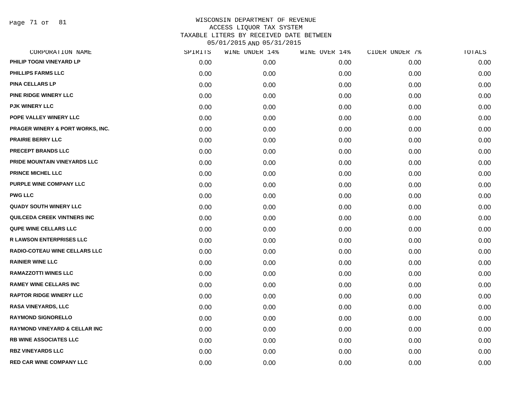Page 71 of 81

| CORPORATION NAME                         | SPIRITS | WINE UNDER 14% | WINE OVER 14% | CIDER UNDER 7% | TOTALS |
|------------------------------------------|---------|----------------|---------------|----------------|--------|
| PHILIP TOGNI VINEYARD LP                 | 0.00    | 0.00           | 0.00          | 0.00           | 0.00   |
| PHILLIPS FARMS LLC                       | 0.00    | 0.00           | 0.00          | 0.00           | 0.00   |
| <b>PINA CELLARS LP</b>                   | 0.00    | 0.00           | 0.00          | 0.00           | 0.00   |
| <b>PINE RIDGE WINERY LLC</b>             | 0.00    | 0.00           | 0.00          | 0.00           | 0.00   |
| <b>PJK WINERY LLC</b>                    | 0.00    | 0.00           | 0.00          | 0.00           | 0.00   |
| POPE VALLEY WINERY LLC                   | 0.00    | 0.00           | 0.00          | 0.00           | 0.00   |
| PRAGER WINERY & PORT WORKS, INC.         | 0.00    | 0.00           | 0.00          | 0.00           | 0.00   |
| <b>PRAIRIE BERRY LLC</b>                 | 0.00    | 0.00           | 0.00          | 0.00           | 0.00   |
| <b>PRECEPT BRANDS LLC</b>                | 0.00    | 0.00           | 0.00          | 0.00           | 0.00   |
| PRIDE MOUNTAIN VINEYARDS LLC             | 0.00    | 0.00           | 0.00          | 0.00           | 0.00   |
| <b>PRINCE MICHEL LLC</b>                 | 0.00    | 0.00           | 0.00          | 0.00           | 0.00   |
| PURPLE WINE COMPANY LLC                  | 0.00    | 0.00           | 0.00          | 0.00           | 0.00   |
| <b>PWG LLC</b>                           | 0.00    | 0.00           | 0.00          | 0.00           | 0.00   |
| <b>QUADY SOUTH WINERY LLC</b>            | 0.00    | 0.00           | 0.00          | 0.00           | 0.00   |
| QUILCEDA CREEK VINTNERS INC              | 0.00    | 0.00           | 0.00          | 0.00           | 0.00   |
| QUPE WINE CELLARS LLC                    | 0.00    | 0.00           | 0.00          | 0.00           | 0.00   |
| <b>R LAWSON ENTERPRISES LLC</b>          | 0.00    | 0.00           | 0.00          | 0.00           | 0.00   |
| <b>RADIO-COTEAU WINE CELLARS LLC</b>     | 0.00    | 0.00           | 0.00          | 0.00           | 0.00   |
| <b>RAINIER WINE LLC</b>                  | 0.00    | 0.00           | 0.00          | 0.00           | 0.00   |
| <b>RAMAZZOTTI WINES LLC</b>              | 0.00    | 0.00           | 0.00          | 0.00           | 0.00   |
| <b>RAMEY WINE CELLARS INC</b>            | 0.00    | 0.00           | 0.00          | 0.00           | 0.00   |
| <b>RAPTOR RIDGE WINERY LLC</b>           | 0.00    | 0.00           | 0.00          | 0.00           | 0.00   |
| <b>RASA VINEYARDS, LLC</b>               | 0.00    | 0.00           | 0.00          | 0.00           | 0.00   |
| <b>RAYMOND SIGNORELLO</b>                | 0.00    | 0.00           | 0.00          | 0.00           | 0.00   |
| <b>RAYMOND VINEYARD &amp; CELLAR INC</b> | 0.00    | 0.00           | 0.00          | 0.00           | 0.00   |
| RB WINE ASSOCIATES LLC                   | 0.00    | 0.00           | 0.00          | 0.00           | 0.00   |
| <b>RBZ VINEYARDS LLC</b>                 | 0.00    | 0.00           | 0.00          | 0.00           | 0.00   |
| <b>RED CAR WINE COMPANY LLC</b>          | 0.00    | 0.00           | 0.00          | 0.00           | 0.00   |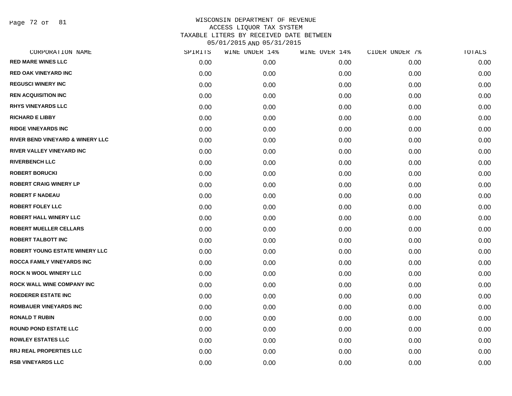Page 72 of 81

| CORPORATION NAME                            | SPIRITS | WINE UNDER 14% | WINE OVER 14% | CIDER UNDER 7% | TOTALS |
|---------------------------------------------|---------|----------------|---------------|----------------|--------|
| <b>RED MARE WINES LLC</b>                   | 0.00    | 0.00           | 0.00          | 0.00           | 0.00   |
| <b>RED OAK VINEYARD INC</b>                 | 0.00    | 0.00           | 0.00          | 0.00           | 0.00   |
| <b>REGUSCI WINERY INC</b>                   | 0.00    | 0.00           | 0.00          | 0.00           | 0.00   |
| <b>REN ACQUISITION INC</b>                  | 0.00    | 0.00           | 0.00          | 0.00           | 0.00   |
| <b>RHYS VINEYARDS LLC</b>                   | 0.00    | 0.00           | 0.00          | 0.00           | 0.00   |
| <b>RICHARD E LIBBY</b>                      | 0.00    | 0.00           | 0.00          | 0.00           | 0.00   |
| <b>RIDGE VINEYARDS INC</b>                  | 0.00    | 0.00           | 0.00          | 0.00           | 0.00   |
| <b>RIVER BEND VINEYARD &amp; WINERY LLC</b> | 0.00    | 0.00           | 0.00          | 0.00           | 0.00   |
| RIVER VALLEY VINEYARD INC                   | 0.00    | 0.00           | 0.00          | 0.00           | 0.00   |
| <b>RIVERBENCH LLC</b>                       | 0.00    | 0.00           | 0.00          | 0.00           | 0.00   |
| <b>ROBERT BORUCKI</b>                       | 0.00    | 0.00           | 0.00          | 0.00           | 0.00   |
| <b>ROBERT CRAIG WINERY LP</b>               | 0.00    | 0.00           | 0.00          | 0.00           | 0.00   |
| <b>ROBERT F NADEAU</b>                      | 0.00    | 0.00           | 0.00          | 0.00           | 0.00   |
| <b>ROBERT FOLEY LLC</b>                     | 0.00    | 0.00           | 0.00          | 0.00           | 0.00   |
| <b>ROBERT HALL WINERY LLC</b>               | 0.00    | 0.00           | 0.00          | 0.00           | 0.00   |
| <b>ROBERT MUELLER CELLARS</b>               | 0.00    | 0.00           | 0.00          | 0.00           | 0.00   |
| <b>ROBERT TALBOTT INC</b>                   | 0.00    | 0.00           | 0.00          | 0.00           | 0.00   |
| <b>ROBERT YOUNG ESTATE WINERY LLC</b>       | 0.00    | 0.00           | 0.00          | 0.00           | 0.00   |
| ROCCA FAMILY VINEYARDS INC                  | 0.00    | 0.00           | 0.00          | 0.00           | 0.00   |
| <b>ROCK N WOOL WINERY LLC</b>               | 0.00    | 0.00           | 0.00          | 0.00           | 0.00   |
| <b>ROCK WALL WINE COMPANY INC</b>           | 0.00    | 0.00           | 0.00          | 0.00           | 0.00   |
| <b>ROEDERER ESTATE INC</b>                  | 0.00    | 0.00           | 0.00          | 0.00           | 0.00   |
| <b>ROMBAUER VINEYARDS INC</b>               | 0.00    | 0.00           | 0.00          | 0.00           | 0.00   |
| <b>RONALD T RUBIN</b>                       | 0.00    | 0.00           | 0.00          | 0.00           | 0.00   |
| <b>ROUND POND ESTATE LLC</b>                | 0.00    | 0.00           | 0.00          | 0.00           | 0.00   |
| <b>ROWLEY ESTATES LLC</b>                   | 0.00    | 0.00           | 0.00          | 0.00           | 0.00   |
| <b>RRJ REAL PROPERTIES LLC</b>              | 0.00    | 0.00           | 0.00          | 0.00           | 0.00   |
| <b>RSB VINEYARDS LLC</b>                    | 0.00    | 0.00           | 0.00          | 0.00           | 0.00   |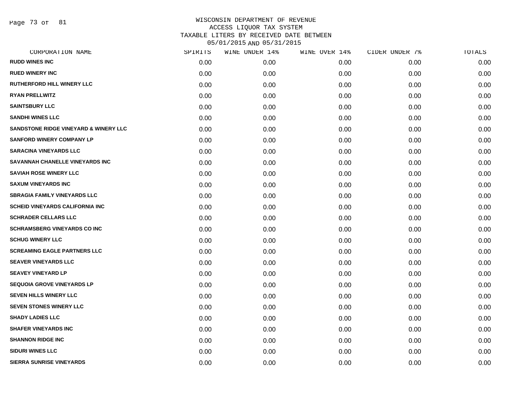Page 73 of 81

|      | WINE UNDER 14% |      | CIDER UNDER 7% | TOTALS |
|------|----------------|------|----------------|--------|
| 0.00 | 0.00           | 0.00 | 0.00           | 0.00   |
| 0.00 | 0.00           | 0.00 | 0.00           | 0.00   |
| 0.00 | 0.00           | 0.00 | 0.00           | 0.00   |
| 0.00 | 0.00           | 0.00 | 0.00           | 0.00   |
| 0.00 | 0.00           | 0.00 | 0.00           | 0.00   |
| 0.00 | 0.00           | 0.00 | 0.00           | 0.00   |
| 0.00 | 0.00           | 0.00 | 0.00           | 0.00   |
| 0.00 | 0.00           | 0.00 | 0.00           | 0.00   |
| 0.00 | 0.00           | 0.00 | 0.00           | 0.00   |
| 0.00 | 0.00           | 0.00 | 0.00           | 0.00   |
| 0.00 | 0.00           | 0.00 | 0.00           | 0.00   |
| 0.00 | 0.00           | 0.00 | 0.00           | 0.00   |
| 0.00 | 0.00           | 0.00 | 0.00           | 0.00   |
| 0.00 | 0.00           | 0.00 | 0.00           | 0.00   |
| 0.00 | 0.00           | 0.00 | 0.00           | 0.00   |
| 0.00 | 0.00           | 0.00 | 0.00           | 0.00   |
| 0.00 | 0.00           | 0.00 | 0.00           | 0.00   |
| 0.00 | 0.00           | 0.00 | 0.00           | 0.00   |
| 0.00 | 0.00           | 0.00 | 0.00           | 0.00   |
| 0.00 | 0.00           | 0.00 | 0.00           | 0.00   |
| 0.00 | 0.00           | 0.00 | 0.00           | 0.00   |
| 0.00 | 0.00           | 0.00 | 0.00           | 0.00   |
| 0.00 | 0.00           | 0.00 | 0.00           | 0.00   |
| 0.00 | 0.00           | 0.00 | 0.00           | 0.00   |
| 0.00 | 0.00           | 0.00 | 0.00           | 0.00   |
| 0.00 | 0.00           | 0.00 | 0.00           | 0.00   |
| 0.00 | 0.00           | 0.00 | 0.00           | 0.00   |
| 0.00 | 0.00           | 0.00 | 0.00           | 0.00   |
|      | SPIRITS        |      | WINE OVER 14%  |        |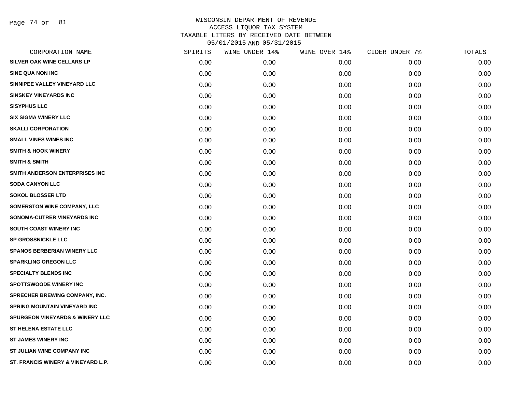Page 74 of 81

| CORPORATION NAME                           | SPIRITS | WINE UNDER 14% | WINE OVER 14% | CIDER UNDER 7% | TOTALS |
|--------------------------------------------|---------|----------------|---------------|----------------|--------|
| <b>SILVER OAK WINE CELLARS LP</b>          | 0.00    | 0.00           | 0.00          | 0.00           | 0.00   |
| <b>SINE QUA NON INC</b>                    | 0.00    | 0.00           | 0.00          | 0.00           | 0.00   |
| SINNIPEE VALLEY VINEYARD LLC               | 0.00    | 0.00           | 0.00          | 0.00           | 0.00   |
| <b>SINSKEY VINEYARDS INC</b>               | 0.00    | 0.00           | 0.00          | 0.00           | 0.00   |
| <b>SISYPHUS LLC</b>                        | 0.00    | 0.00           | 0.00          | 0.00           | 0.00   |
| <b>SIX SIGMA WINERY LLC</b>                | 0.00    | 0.00           | 0.00          | 0.00           | 0.00   |
| <b>SKALLI CORPORATION</b>                  | 0.00    | 0.00           | 0.00          | 0.00           | 0.00   |
| <b>SMALL VINES WINES INC</b>               | 0.00    | 0.00           | 0.00          | 0.00           | 0.00   |
| <b>SMITH &amp; HOOK WINERY</b>             | 0.00    | 0.00           | 0.00          | 0.00           | 0.00   |
| <b>SMITH &amp; SMITH</b>                   | 0.00    | 0.00           | 0.00          | 0.00           | 0.00   |
| SMITH ANDERSON ENTERPRISES INC             | 0.00    | 0.00           | 0.00          | 0.00           | 0.00   |
| <b>SODA CANYON LLC</b>                     | 0.00    | 0.00           | 0.00          | 0.00           | 0.00   |
| <b>SOKOL BLOSSER LTD</b>                   | 0.00    | 0.00           | 0.00          | 0.00           | 0.00   |
| SOMERSTON WINE COMPANY, LLC                | 0.00    | 0.00           | 0.00          | 0.00           | 0.00   |
| SONOMA-CUTRER VINEYARDS INC                | 0.00    | 0.00           | 0.00          | 0.00           | 0.00   |
| SOUTH COAST WINERY INC                     | 0.00    | 0.00           | 0.00          | 0.00           | 0.00   |
| <b>SP GROSSNICKLE LLC</b>                  | 0.00    | 0.00           | 0.00          | 0.00           | 0.00   |
| <b>SPANOS BERBERIAN WINERY LLC</b>         | 0.00    | 0.00           | 0.00          | 0.00           | 0.00   |
| <b>SPARKLING OREGON LLC</b>                | 0.00    | 0.00           | 0.00          | 0.00           | 0.00   |
| <b>SPECIALTY BLENDS INC</b>                | 0.00    | 0.00           | 0.00          | 0.00           | 0.00   |
| <b>SPOTTSWOODE WINERY INC</b>              | 0.00    | 0.00           | 0.00          | 0.00           | 0.00   |
| SPRECHER BREWING COMPANY, INC.             | 0.00    | 0.00           | 0.00          | 0.00           | 0.00   |
| <b>SPRING MOUNTAIN VINEYARD INC</b>        | 0.00    | 0.00           | 0.00          | 0.00           | 0.00   |
| <b>SPURGEON VINEYARDS &amp; WINERY LLC</b> | 0.00    | 0.00           | 0.00          | 0.00           | 0.00   |
| <b>ST HELENA ESTATE LLC</b>                | 0.00    | 0.00           | 0.00          | 0.00           | 0.00   |
| <b>ST JAMES WINERY INC</b>                 | 0.00    | 0.00           | 0.00          | 0.00           | 0.00   |
| ST JULIAN WINE COMPANY INC                 | 0.00    | 0.00           | 0.00          | 0.00           | 0.00   |
| ST. FRANCIS WINERY & VINEYARD L.P.         | 0.00    | 0.00           | 0.00          | 0.00           | 0.00   |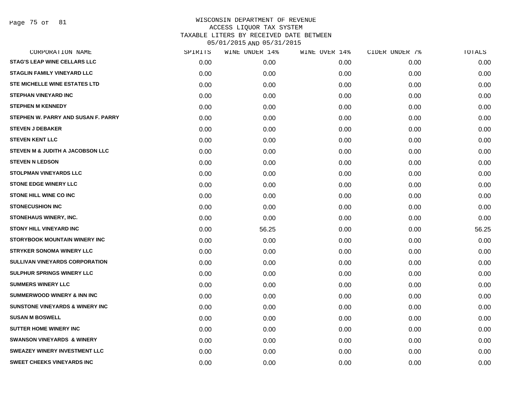Page 75 of 81

| CORPORATION NAME                           | SPIRITS | WINE UNDER 14% | WINE OVER 14% | CIDER UNDER 7% | TOTALS |
|--------------------------------------------|---------|----------------|---------------|----------------|--------|
| <b>STAG'S LEAP WINE CELLARS LLC</b>        | 0.00    | 0.00           | 0.00          | 0.00           | 0.00   |
| <b>STAGLIN FAMILY VINEYARD LLC</b>         | 0.00    | 0.00           | 0.00          | 0.00           | 0.00   |
| STE MICHELLE WINE ESTATES LTD              | 0.00    | 0.00           | 0.00          | 0.00           | 0.00   |
| <b>STEPHAN VINEYARD INC</b>                | 0.00    | 0.00           | 0.00          | 0.00           | 0.00   |
| <b>STEPHEN M KENNEDY</b>                   | 0.00    | 0.00           | 0.00          | 0.00           | 0.00   |
| STEPHEN W. PARRY AND SUSAN F. PARRY        | 0.00    | 0.00           | 0.00          | 0.00           | 0.00   |
| <b>STEVEN J DEBAKER</b>                    | 0.00    | 0.00           | 0.00          | 0.00           | 0.00   |
| <b>STEVEN KENT LLC</b>                     | 0.00    | 0.00           | 0.00          | 0.00           | 0.00   |
| STEVEN M & JUDITH A JACOBSON LLC           | 0.00    | 0.00           | 0.00          | 0.00           | 0.00   |
| <b>STEVEN N LEDSON</b>                     | 0.00    | 0.00           | 0.00          | 0.00           | 0.00   |
| <b>STOLPMAN VINEYARDS LLC</b>              | 0.00    | 0.00           | 0.00          | 0.00           | 0.00   |
| <b>STONE EDGE WINERY LLC</b>               | 0.00    | 0.00           | 0.00          | 0.00           | 0.00   |
| <b>STONE HILL WINE CO INC</b>              | 0.00    | 0.00           | 0.00          | 0.00           | 0.00   |
| <b>STONECUSHION INC</b>                    | 0.00    | 0.00           | 0.00          | 0.00           | 0.00   |
| STONEHAUS WINERY, INC.                     | 0.00    | 0.00           | 0.00          | 0.00           | 0.00   |
| <b>STONY HILL VINEYARD INC</b>             | 0.00    | 56.25          | 0.00          | 0.00           | 56.25  |
| <b>STORYBOOK MOUNTAIN WINERY INC</b>       | 0.00    | 0.00           | 0.00          | 0.00           | 0.00   |
| <b>STRYKER SONOMA WINERY LLC</b>           | 0.00    | 0.00           | 0.00          | 0.00           | 0.00   |
| SULLIVAN VINEYARDS CORPORATION             | 0.00    | 0.00           | 0.00          | 0.00           | 0.00   |
| SULPHUR SPRINGS WINERY LLC                 | 0.00    | 0.00           | 0.00          | 0.00           | 0.00   |
| <b>SUMMERS WINERY LLC</b>                  | 0.00    | 0.00           | 0.00          | 0.00           | 0.00   |
| <b>SUMMERWOOD WINERY &amp; INN INC</b>     | 0.00    | 0.00           | 0.00          | 0.00           | 0.00   |
| <b>SUNSTONE VINEYARDS &amp; WINERY INC</b> | 0.00    | 0.00           | 0.00          | 0.00           | 0.00   |
| <b>SUSAN M BOSWELL</b>                     | 0.00    | 0.00           | 0.00          | 0.00           | 0.00   |
| <b>SUTTER HOME WINERY INC</b>              | 0.00    | 0.00           | 0.00          | 0.00           | 0.00   |
| <b>SWANSON VINEYARDS &amp; WINERY</b>      | 0.00    | 0.00           | 0.00          | 0.00           | 0.00   |
| <b>SWEAZEY WINERY INVESTMENT LLC</b>       | 0.00    | 0.00           | 0.00          | 0.00           | 0.00   |
| <b>SWEET CHEEKS VINEYARDS INC</b>          | 0.00    | 0.00           | 0.00          | 0.00           | 0.00   |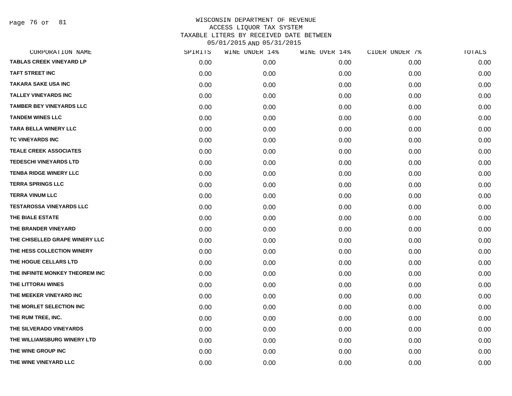Page 76 of 81

| CORPORATION NAME                | SPIRITS | WINE UNDER 14% | WINE OVER 14% | CIDER UNDER 7% | TOTALS |
|---------------------------------|---------|----------------|---------------|----------------|--------|
| <b>TABLAS CREEK VINEYARD LP</b> | 0.00    | 0.00           | 0.00          | 0.00           | 0.00   |
| TAFT STREET INC                 | 0.00    | 0.00           | 0.00          | 0.00           | 0.00   |
| TAKARA SAKE USA INC             | 0.00    | 0.00           | 0.00          | 0.00           | 0.00   |
| <b>TALLEY VINEYARDS INC</b>     | 0.00    | 0.00           | 0.00          | 0.00           | 0.00   |
| <b>TAMBER BEY VINEYARDS LLC</b> | 0.00    | 0.00           | 0.00          | 0.00           | 0.00   |
| <b>TANDEM WINES LLC</b>         | 0.00    | 0.00           | 0.00          | 0.00           | 0.00   |
| <b>TARA BELLA WINERY LLC</b>    | 0.00    | 0.00           | 0.00          | 0.00           | 0.00   |
| TC VINEYARDS INC                | 0.00    | 0.00           | 0.00          | 0.00           | 0.00   |
| <b>TEALE CREEK ASSOCIATES</b>   | 0.00    | 0.00           | 0.00          | 0.00           | 0.00   |
| <b>TEDESCHI VINEYARDS LTD</b>   | 0.00    | 0.00           | 0.00          | 0.00           | 0.00   |
| <b>TENBA RIDGE WINERY LLC</b>   | 0.00    | 0.00           | 0.00          | 0.00           | 0.00   |
| <b>TERRA SPRINGS LLC</b>        | 0.00    | 0.00           | 0.00          | 0.00           | 0.00   |
| <b>TERRA VINUM LLC</b>          | 0.00    | 0.00           | 0.00          | 0.00           | 0.00   |
| <b>TESTAROSSA VINEYARDS LLC</b> | 0.00    | 0.00           | 0.00          | 0.00           | 0.00   |
| THE BIALE ESTATE                | 0.00    | 0.00           | 0.00          | 0.00           | 0.00   |
| THE BRANDER VINEYARD            | 0.00    | 0.00           | 0.00          | 0.00           | 0.00   |
| THE CHISELLED GRAPE WINERY LLC  | 0.00    | 0.00           | 0.00          | 0.00           | 0.00   |
| THE HESS COLLECTION WINERY      | 0.00    | 0.00           | 0.00          | 0.00           | 0.00   |
| THE HOGUE CELLARS LTD           | 0.00    | 0.00           | 0.00          | 0.00           | 0.00   |
| THE INFINITE MONKEY THEOREM INC | 0.00    | 0.00           | 0.00          | 0.00           | 0.00   |
| THE LITTORAI WINES              | 0.00    | 0.00           | 0.00          | 0.00           | 0.00   |
| THE MEEKER VINEYARD INC         | 0.00    | 0.00           | 0.00          | 0.00           | 0.00   |
| THE MORLET SELECTION INC        | 0.00    | 0.00           | 0.00          | 0.00           | 0.00   |
| THE RUM TREE, INC.              | 0.00    | 0.00           | 0.00          | 0.00           | 0.00   |
| THE SILVERADO VINEYARDS         | 0.00    | 0.00           | 0.00          | 0.00           | 0.00   |
| THE WILLIAMSBURG WINERY LTD     | 0.00    | 0.00           | 0.00          | 0.00           | 0.00   |
| THE WINE GROUP INC              | 0.00    | 0.00           | 0.00          | 0.00           | 0.00   |
| THE WINE VINEYARD LLC           | 0.00    | 0.00           | 0.00          | 0.00           | 0.00   |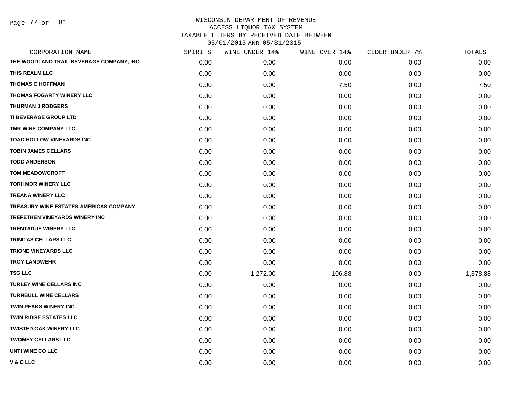Page 77 of 81

| CORPORATION NAME                          | SPIRITS | WINE UNDER 14% | WINE OVER 14% | CIDER UNDER 7% | TOTALS   |
|-------------------------------------------|---------|----------------|---------------|----------------|----------|
| THE WOODLAND TRAIL BEVERAGE COMPANY, INC. | 0.00    | 0.00           | 0.00          | 0.00           | 0.00     |
| THIS REALM LLC                            | 0.00    | 0.00           | 0.00          | 0.00           | 0.00     |
| <b>THOMAS C HOFFMAN</b>                   | 0.00    | 0.00           | 7.50          | 0.00           | 7.50     |
| <b>THOMAS FOGARTY WINERY LLC</b>          | 0.00    | 0.00           | 0.00          | 0.00           | 0.00     |
| <b>THURMAN J RODGERS</b>                  | 0.00    | 0.00           | 0.00          | 0.00           | 0.00     |
| TI BEVERAGE GROUP LTD                     | 0.00    | 0.00           | 0.00          | 0.00           | 0.00     |
| TMR WINE COMPANY LLC                      | 0.00    | 0.00           | 0.00          | 0.00           | 0.00     |
| <b>TOAD HOLLOW VINEYARDS INC</b>          | 0.00    | 0.00           | 0.00          | 0.00           | 0.00     |
| <b>TOBIN JAMES CELLARS</b>                | 0.00    | 0.00           | 0.00          | 0.00           | 0.00     |
| <b>TODD ANDERSON</b>                      | 0.00    | 0.00           | 0.00          | 0.00           | 0.00     |
| <b>TOM MEADOWCROFT</b>                    | 0.00    | 0.00           | 0.00          | 0.00           | 0.00     |
| <b>TORII MOR WINERY LLC</b>               | 0.00    | 0.00           | 0.00          | 0.00           | 0.00     |
| <b>TREANA WINERY LLC</b>                  | 0.00    | 0.00           | 0.00          | 0.00           | 0.00     |
| TREASURY WINE ESTATES AMERICAS COMPANY    | 0.00    | 0.00           | 0.00          | 0.00           | 0.00     |
| <b>TREFETHEN VINEYARDS WINERY INC</b>     | 0.00    | 0.00           | 0.00          | 0.00           | 0.00     |
| <b>TRENTADUE WINERY LLC</b>               | 0.00    | 0.00           | 0.00          | 0.00           | 0.00     |
| <b>TRINITAS CELLARS LLC</b>               | 0.00    | 0.00           | 0.00          | 0.00           | 0.00     |
| <b>TRIONE VINEYARDS LLC</b>               | 0.00    | 0.00           | 0.00          | 0.00           | 0.00     |
| <b>TROY LANDWEHR</b>                      | 0.00    | 0.00           | 0.00          | 0.00           | 0.00     |
| <b>TSG LLC</b>                            | 0.00    | 1,272.00       | 106.88        | 0.00           | 1,378.88 |
| <b>TURLEY WINE CELLARS INC</b>            | 0.00    | 0.00           | 0.00          | 0.00           | 0.00     |
| <b>TURNBULL WINE CELLARS</b>              | 0.00    | 0.00           | 0.00          | 0.00           | 0.00     |
| <b>TWIN PEAKS WINERY INC</b>              | 0.00    | 0.00           | 0.00          | 0.00           | 0.00     |
| <b>TWIN RIDGE ESTATES LLC</b>             | 0.00    | 0.00           | 0.00          | 0.00           | 0.00     |
| <b>TWISTED OAK WINERY LLC</b>             | 0.00    | 0.00           | 0.00          | 0.00           | 0.00     |
| <b>TWOMEY CELLARS LLC</b>                 | 0.00    | 0.00           | 0.00          | 0.00           | 0.00     |
| <b>UNTI WINE CO LLC</b>                   | 0.00    | 0.00           | 0.00          | 0.00           | 0.00     |
| V & C LLC                                 | 0.00    | 0.00           | 0.00          | 0.00           | 0.00     |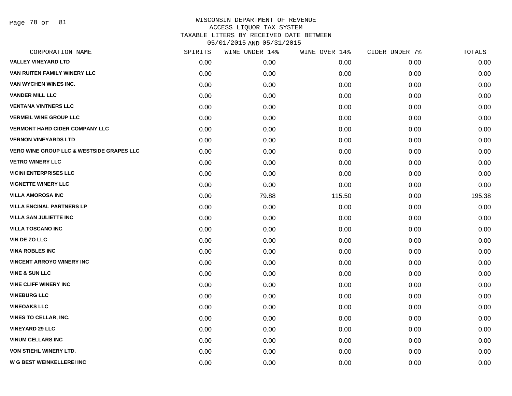Page 78 of 81

| CORPORATION NAME                                     | SPIRITS | WINE UNDER 14% | WINE OVER 14% | CIDER UNDER 7% | TOTALS |
|------------------------------------------------------|---------|----------------|---------------|----------------|--------|
| <b>VALLEY VINEYARD LTD</b>                           | 0.00    | 0.00           | 0.00          | 0.00           | 0.00   |
| VAN RUITEN FAMILY WINERY LLC                         | 0.00    | 0.00           | 0.00          | 0.00           | 0.00   |
| VAN WYCHEN WINES INC.                                | 0.00    | 0.00           | 0.00          | 0.00           | 0.00   |
| <b>VANDER MILL LLC</b>                               | 0.00    | 0.00           | 0.00          | 0.00           | 0.00   |
| <b>VENTANA VINTNERS LLC</b>                          | 0.00    | 0.00           | 0.00          | 0.00           | 0.00   |
| <b>VERMEIL WINE GROUP LLC</b>                        | 0.00    | 0.00           | 0.00          | 0.00           | 0.00   |
| <b>VERMONT HARD CIDER COMPANY LLC</b>                | 0.00    | 0.00           | 0.00          | 0.00           | 0.00   |
| <b>VERNON VINEYARDS LTD</b>                          | 0.00    | 0.00           | 0.00          | 0.00           | 0.00   |
| <b>VERO WINE GROUP LLC &amp; WESTSIDE GRAPES LLC</b> | 0.00    | 0.00           | 0.00          | 0.00           | 0.00   |
| <b>VETRO WINERY LLC</b>                              | 0.00    | 0.00           | 0.00          | 0.00           | 0.00   |
| <b>VICINI ENTERPRISES LLC</b>                        | 0.00    | 0.00           | 0.00          | 0.00           | 0.00   |
| <b>VIGNETTE WINERY LLC</b>                           | 0.00    | 0.00           | 0.00          | 0.00           | 0.00   |
| <b>VILLA AMOROSA INC</b>                             | 0.00    | 79.88          | 115.50        | 0.00           | 195.38 |
| <b>VILLA ENCINAL PARTNERS LP</b>                     | 0.00    | 0.00           | 0.00          | 0.00           | 0.00   |
| <b>VILLA SAN JULIETTE INC</b>                        | 0.00    | 0.00           | 0.00          | 0.00           | 0.00   |
| <b>VILLA TOSCANO INC</b>                             | 0.00    | 0.00           | 0.00          | 0.00           | 0.00   |
| VIN DE ZO LLC                                        | 0.00    | 0.00           | 0.00          | 0.00           | 0.00   |
| <b>VINA ROBLES INC</b>                               | 0.00    | 0.00           | 0.00          | 0.00           | 0.00   |
| <b>VINCENT ARROYO WINERY INC</b>                     | 0.00    | 0.00           | 0.00          | 0.00           | 0.00   |
| <b>VINE &amp; SUN LLC</b>                            | 0.00    | 0.00           | 0.00          | 0.00           | 0.00   |
| <b>VINE CLIFF WINERY INC</b>                         | 0.00    | 0.00           | 0.00          | 0.00           | 0.00   |
| <b>VINEBURG LLC</b>                                  | 0.00    | 0.00           | 0.00          | 0.00           | 0.00   |
| <b>VINEOAKS LLC</b>                                  | 0.00    | 0.00           | 0.00          | 0.00           | 0.00   |
| <b>VINES TO CELLAR, INC.</b>                         | 0.00    | 0.00           | 0.00          | 0.00           | 0.00   |
| <b>VINEYARD 29 LLC</b>                               | 0.00    | 0.00           | 0.00          | 0.00           | 0.00   |
| <b>VINUM CELLARS INC</b>                             | 0.00    | 0.00           | 0.00          | 0.00           | 0.00   |
| VON STIEHL WINERY LTD.                               | 0.00    | 0.00           | 0.00          | 0.00           | 0.00   |
| <b>W G BEST WEINKELLEREI INC</b>                     | 0.00    | 0.00           | 0.00          | 0.00           | 0.00   |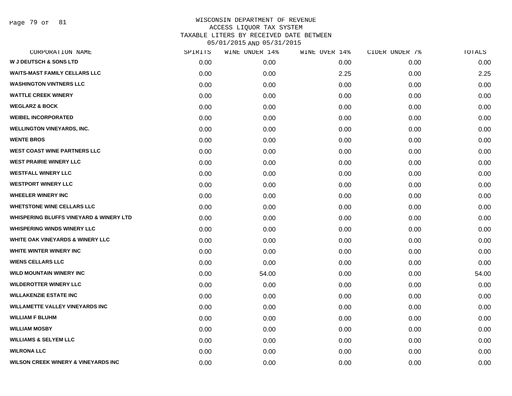Page 79 of 81

| SPIRITS | WINE UNDER 14% | WINE OVER 14% | CIDER UNDER 7% | TOTALS |
|---------|----------------|---------------|----------------|--------|
| 0.00    | 0.00           | 0.00          | 0.00           | 0.00   |
| 0.00    | 0.00           | 2.25          | 0.00           | 2.25   |
| 0.00    | 0.00           | 0.00          | 0.00           | 0.00   |
| 0.00    | 0.00           | 0.00          | 0.00           | 0.00   |
| 0.00    | 0.00           | 0.00          | 0.00           | 0.00   |
| 0.00    | 0.00           | 0.00          | 0.00           | 0.00   |
| 0.00    | 0.00           | 0.00          | 0.00           | 0.00   |
| 0.00    | 0.00           | 0.00          | 0.00           | 0.00   |
| 0.00    | 0.00           | 0.00          | 0.00           | 0.00   |
| 0.00    | 0.00           | 0.00          | 0.00           | 0.00   |
| 0.00    | 0.00           | 0.00          | 0.00           | 0.00   |
| 0.00    | 0.00           | 0.00          | 0.00           | 0.00   |
| 0.00    | 0.00           | 0.00          | 0.00           | 0.00   |
| 0.00    | 0.00           | 0.00          | 0.00           | 0.00   |
| 0.00    | 0.00           | 0.00          | 0.00           | 0.00   |
| 0.00    | 0.00           | 0.00          | 0.00           | 0.00   |
| 0.00    | 0.00           | 0.00          | 0.00           | 0.00   |
| 0.00    | 0.00           | 0.00          | 0.00           | 0.00   |
| 0.00    | 0.00           | 0.00          | 0.00           | 0.00   |
| 0.00    | 54.00          | 0.00          | 0.00           | 54.00  |
| 0.00    | 0.00           | 0.00          | 0.00           | 0.00   |
| 0.00    | 0.00           | 0.00          | 0.00           | 0.00   |
| 0.00    | 0.00           | 0.00          | 0.00           | 0.00   |
| 0.00    | 0.00           | 0.00          | 0.00           | 0.00   |
| 0.00    | 0.00           | 0.00          | 0.00           | 0.00   |
| 0.00    | 0.00           | 0.00          | 0.00           | 0.00   |
| 0.00    | 0.00           | 0.00          | 0.00           | 0.00   |
| 0.00    | 0.00           | 0.00          | 0.00           | 0.00   |
|         |                |               |                |        |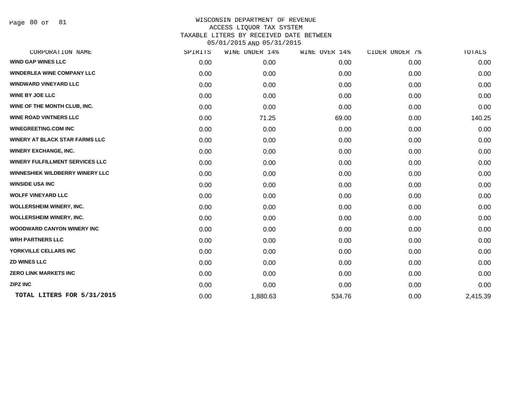Page 80 of 81

| CORPORATION NAME                       | SPIRITS | WINE UNDER 14% | WINE OVER 14% | CIDER UNDER 7% | TOTALS   |
|----------------------------------------|---------|----------------|---------------|----------------|----------|
| <b>WIND GAP WINES LLC</b>              | 0.00    | 0.00           | 0.00          | 0.00           | 0.00     |
| <b>WINDERLEA WINE COMPANY LLC</b>      | 0.00    | 0.00           | 0.00          | 0.00           | 0.00     |
| <b>WINDWARD VINEYARD LLC</b>           | 0.00    | 0.00           | 0.00          | 0.00           | 0.00     |
| <b>WINE BY JOE LLC</b>                 | 0.00    | 0.00           | 0.00          | 0.00           | 0.00     |
| WINE OF THE MONTH CLUB, INC.           | 0.00    | 0.00           | 0.00          | 0.00           | 0.00     |
| <b>WINE ROAD VINTNERS LLC</b>          | 0.00    | 71.25          | 69.00         | 0.00           | 140.25   |
| <b>WINEGREETING.COM INC</b>            | 0.00    | 0.00           | 0.00          | 0.00           | 0.00     |
| <b>WINERY AT BLACK STAR FARMS LLC</b>  | 0.00    | 0.00           | 0.00          | 0.00           | 0.00     |
| <b>WINERY EXCHANGE, INC.</b>           | 0.00    | 0.00           | 0.00          | 0.00           | 0.00     |
| <b>WINERY FULFILLMENT SERVICES LLC</b> | 0.00    | 0.00           | 0.00          | 0.00           | 0.00     |
| WINNESHIEK WILDBERRY WINERY LLC        | 0.00    | 0.00           | 0.00          | 0.00           | 0.00     |
| <b>WINSIDE USA INC</b>                 | 0.00    | 0.00           | 0.00          | 0.00           | 0.00     |
| <b>WOLFF VINEYARD LLC</b>              | 0.00    | 0.00           | 0.00          | 0.00           | 0.00     |
| <b>WOLLERSHEIM WINERY, INC.</b>        | 0.00    | 0.00           | 0.00          | 0.00           | 0.00     |
| <b>WOLLERSHEIM WINERY, INC.</b>        | 0.00    | 0.00           | 0.00          | 0.00           | 0.00     |
| <b>WOODWARD CANYON WINERY INC</b>      | 0.00    | 0.00           | 0.00          | 0.00           | 0.00     |
| <b>WRH PARTNERS LLC</b>                | 0.00    | 0.00           | 0.00          | 0.00           | 0.00     |
| YORKVILLE CELLARS INC                  | 0.00    | 0.00           | 0.00          | 0.00           | 0.00     |
| <b>ZD WINES LLC</b>                    | 0.00    | 0.00           | 0.00          | 0.00           | 0.00     |
| <b>ZERO LINK MARKETS INC</b>           | 0.00    | 0.00           | 0.00          | 0.00           | 0.00     |
| <b>ZIPZ INC</b>                        | 0.00    | 0.00           | 0.00          | 0.00           | 0.00     |
| TOTAL LITERS FOR 5/31/2015             | 0.00    | 1,880.63       | 534.76        | 0.00           | 2,415.39 |